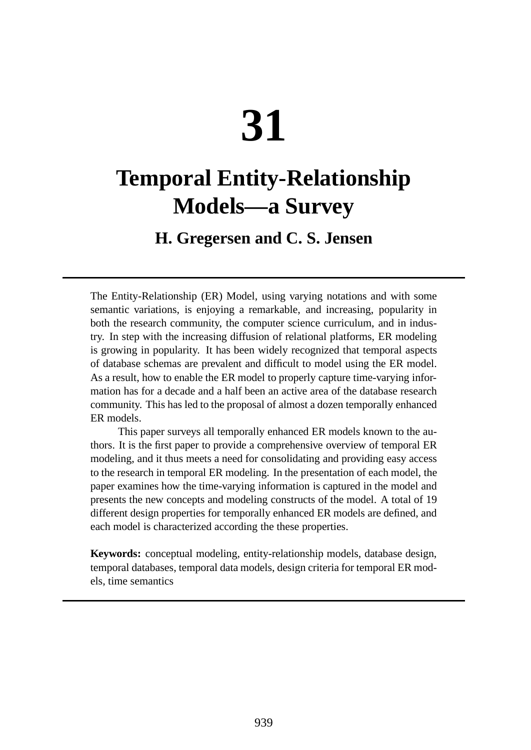# **31**

# **Temporal Entity-Relationship Models—a Survey**

# **H. Gregersen and C. S. Jensen**

The Entity-Relationship (ER) Model, using varying notations and with some semantic variations, is enjoying a remarkable, and increasing, popularity in both the research community, the computer science curriculum, and in industry. In step with the increasing diffusion of relational platforms, ER modeling is growing in popularity. It has been widely recognized that temporal aspects of database schemas are prevalent and difficult to model using the ER model. As a result, how to enable the ER model to properly capture time-varying information has for a decade and a half been an active area of the database research community. This has led to the proposal of almost a dozen temporally enhanced ER models.

This paper surveys all temporally enhanced ER models known to the authors. It is the first paper to provide a comprehensive overview of temporal ER modeling, and it thus meets a need for consolidating and providing easy access to the research in temporal ER modeling. In the presentation of each model, the paper examines how the time-varying information is captured in the model and presents the new concepts and modeling constructs of the model. A total of 19 different design properties for temporally enhanced ER models are defined, and each model is characterized according the these properties.

**Keywords:** conceptual modeling, entity-relationship models, database design, temporal databases, temporal data models, design criteria for temporal ER models, time semantics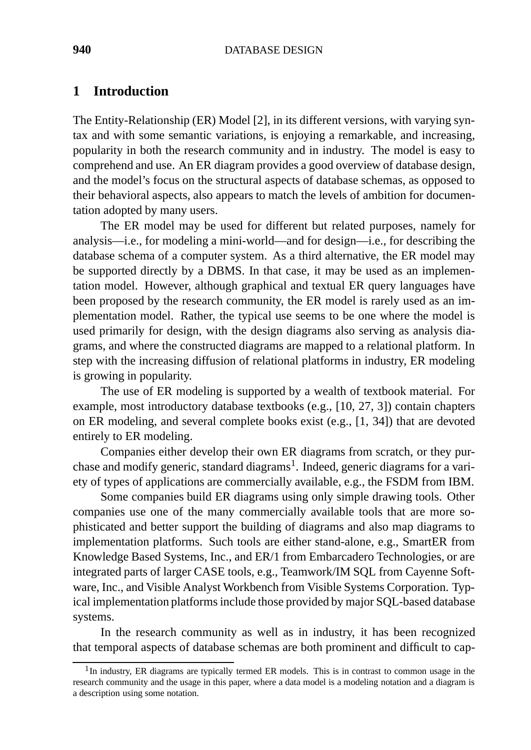#### **940** DATABASE DESIGN

# **1 Introduction**

The Entity-Relationship (ER) Model [2], in its different versions, with varying syntax and with some semantic variations, is enjoying a remarkable, and increasing, popularity in both the research community and in industry. The model is easy to comprehend and use. An ER diagram provides a good overview of database design, and the model's focus on the structural aspects of database schemas, as opposed to their behavioral aspects, also appears to match the levels of ambition for documentation adopted by many users.

The ER model may be used for different but related purposes, namely for analysis—i.e., for modeling a mini-world—and for design—i.e., for describing the database schema of a computer system. As a third alternative, the ER model may be supported directly by a DBMS. In that case, it may be used as an implementation model. However, although graphical and textual ER query languages have been proposed by the research community, the ER model is rarely used as an implementation model. Rather, the typical use seems to be one where the model is used primarily for design, with the design diagrams also serving as analysis diagrams, and where the constructed diagrams are mapped to a relational platform. In step with the increasing diffusion of relational platforms in industry, ER modeling is growing in popularity.

The use of ER modeling is supported by a wealth of textbook material. For example, most introductory database textbooks (e.g., [10, 27, 3]) contain chapters on ER modeling, and several complete books exist (e.g., [1, 34]) that are devoted entirely to ER modeling.

Companies either develop their own ER diagrams from scratch, or they purchase and modify generic, standard diagrams<sup>1</sup>. Indeed, generic diagrams for a variety of types of applications are commercially available, e.g., the FSDM from IBM.

Some companies build ER diagrams using only simple drawing tools. Other companies use one of the many commercially available tools that are more sophisticated and better support the building of diagrams and also map diagrams to implementation platforms. Such tools are either stand-alone, e.g., SmartER from Knowledge Based Systems, Inc., and ER/1 from Embarcadero Technologies, or are integrated parts of larger CASE tools, e.g., Teamwork/IM SQL from Cayenne Software, Inc., and Visible Analyst Workbench from Visible Systems Corporation. Typical implementation platforms include those provided by major SQL-based database systems.

In the research community as well as in industry, it has been recognized that temporal aspects of database schemas are both prominent and difficult to cap-

 $1$ In industry, ER diagrams are typically termed ER models. This is in contrast to common usage in the research community and the usage in this paper, where a data model is a modeling notation and a diagram is a description using some notation.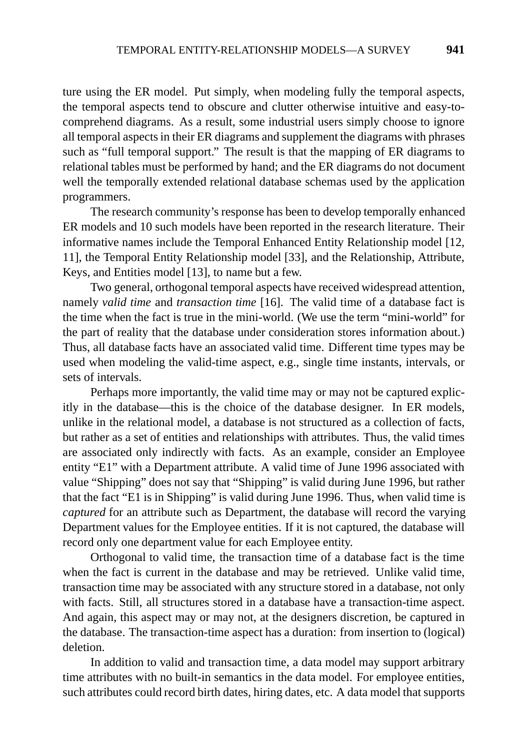ture using the ER model. Put simply, when modeling fully the temporal aspects, the temporal aspects tend to obscure and clutter otherwise intuitive and easy-tocomprehend diagrams. As a result, some industrial users simply choose to ignore all temporal aspects in their ER diagrams and supplement the diagrams with phrases such as "full temporal support." The result is that the mapping of ER diagrams to relational tables must be performed by hand; and the ER diagrams do not document well the temporally extended relational database schemas used by the application programmers.

The research community's response has been to develop temporally enhanced ER models and 10 such models have been reported in the research literature. Their informative names include the Temporal Enhanced Entity Relationship model [12, 11], the Temporal Entity Relationship model [33], and the Relationship, Attribute, Keys, and Entities model [13], to name but a few.

Two general, orthogonal temporal aspects have received widespread attention, namely *valid time* and *transaction time* [16]. The valid time of a database fact is the time when the fact is true in the mini-world. (We use the term "mini-world" for the part of reality that the database under consideration stores information about.) Thus, all database facts have an associated valid time. Different time types may be used when modeling the valid-time aspect, e.g., single time instants, intervals, or sets of intervals.

Perhaps more importantly, the valid time may or may not be captured explicitly in the database—this is the choice of the database designer. In ER models, unlike in the relational model, a database is not structured as a collection of facts, but rather as a set of entities and relationships with attributes. Thus, the valid times are associated only indirectly with facts. As an example, consider an Employee entity "E1" with a Department attribute. A valid time of June 1996 associated with value "Shipping" does not say that "Shipping" is valid during June 1996, but rather that the fact "E1 is in Shipping" is valid during June 1996. Thus, when valid time is *captured* for an attribute such as Department, the database will record the varying Department values for the Employee entities. If it is not captured, the database will record only one department value for each Employee entity.

Orthogonal to valid time, the transaction time of a database fact is the time when the fact is current in the database and may be retrieved. Unlike valid time, transaction time may be associated with any structure stored in a database, not only with facts. Still, all structures stored in a database have a transaction-time aspect. And again, this aspect may or may not, at the designers discretion, be captured in the database. The transaction-time aspect has a duration: from insertion to (logical) deletion.

In addition to valid and transaction time, a data model may support arbitrary time attributes with no built-in semantics in the data model. For employee entities, such attributes could record birth dates, hiring dates, etc. A data model that supports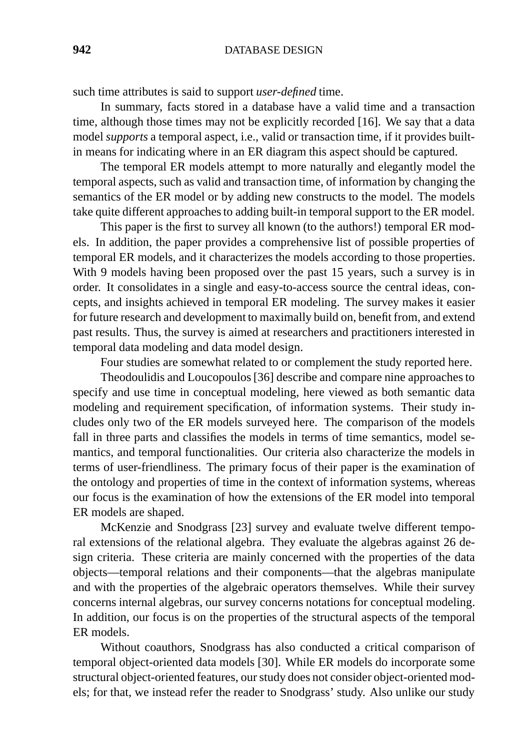such time attributes is said to support *user-defined* time.

In summary, facts stored in a database have a valid time and a transaction time, although those times may not be explicitly recorded [16]. We say that a data model *supports* a temporal aspect, i.e., valid or transaction time, if it provides builtin means for indicating where in an ER diagram this aspect should be captured.

The temporal ER models attempt to more naturally and elegantly model the temporal aspects, such as valid and transaction time, of information by changing the semantics of the ER model or by adding new constructs to the model. The models take quite different approaches to adding built-in temporal support to the ER model.

This paper is the first to survey all known (to the authors!) temporal ER models. In addition, the paper provides a comprehensive list of possible properties of temporal ER models, and it characterizes the models according to those properties. With 9 models having been proposed over the past 15 years, such a survey is in order. It consolidates in a single and easy-to-access source the central ideas, concepts, and insights achieved in temporal ER modeling. The survey makes it easier for future research and development to maximally build on, benefit from, and extend past results. Thus, the survey is aimed at researchers and practitioners interested in temporal data modeling and data model design.

Four studies are somewhat related to or complement the study reported here.

Theodoulidis and Loucopoulos [36] describe and compare nine approaches to specify and use time in conceptual modeling, here viewed as both semantic data modeling and requirement specification, of information systems. Their study includes only two of the ER models surveyed here. The comparison of the models fall in three parts and classifies the models in terms of time semantics, model semantics, and temporal functionalities. Our criteria also characterize the models in terms of user-friendliness. The primary focus of their paper is the examination of the ontology and properties of time in the context of information systems, whereas our focus is the examination of how the extensions of the ER model into temporal ER models are shaped.

McKenzie and Snodgrass [23] survey and evaluate twelve different temporal extensions of the relational algebra. They evaluate the algebras against 26 design criteria. These criteria are mainly concerned with the properties of the data objects—temporal relations and their components—that the algebras manipulate and with the properties of the algebraic operators themselves. While their survey concerns internal algebras, our survey concerns notations for conceptual modeling. In addition, our focus is on the properties of the structural aspects of the temporal ER models.

Without coauthors, Snodgrass has also conducted a critical comparison of temporal object-oriented data models [30]. While ER models do incorporate some structural object-oriented features, our study does not consider object-oriented models; for that, we instead refer the reader to Snodgrass' study. Also unlike our study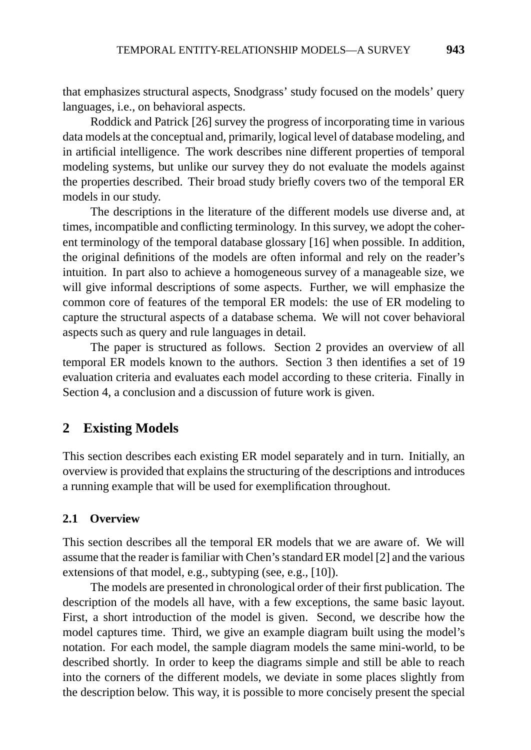that emphasizes structural aspects, Snodgrass' study focused on the models' query languages, i.e., on behavioral aspects.

Roddick and Patrick [26] survey the progress of incorporating time in various data models at the conceptual and, primarily, logical level of database modeling, and in artificial intelligence. The work describes nine different properties of temporal modeling systems, but unlike our survey they do not evaluate the models against the properties described. Their broad study briefly covers two of the temporal ER models in our study.

The descriptions in the literature of the different models use diverse and, at times, incompatible and conflicting terminology. In this survey, we adopt the coherent terminology of the temporal database glossary [16] when possible. In addition, the original definitions of the models are often informal and rely on the reader's intuition. In part also to achieve a homogeneous survey of a manageable size, we will give informal descriptions of some aspects. Further, we will emphasize the common core of features of the temporal ER models: the use of ER modeling to capture the structural aspects of a database schema. We will not cover behavioral aspects such as query and rule languages in detail.

The paper is structured as follows. Section 2 provides an overview of all temporal ER models known to the authors. Section 3 then identifies a set of 19 evaluation criteria and evaluates each model according to these criteria. Finally in Section 4, a conclusion and a discussion of future work is given.

# **2 Existing Models**

This section describes each existing ER model separately and in turn. Initially, an overview is provided that explains the structuring of the descriptions and introduces a running example that will be used for exemplification throughout.

#### **2.1 Overview**

This section describes all the temporal ER models that we are aware of. We will assume that the reader is familiar with Chen's standard ER model [2] and the various extensions of that model, e.g., subtyping (see, e.g., [10]).

The models are presented in chronological order of their first publication. The description of the models all have, with a few exceptions, the same basic layout. First, a short introduction of the model is given. Second, we describe how the model captures time. Third, we give an example diagram built using the model's notation. For each model, the sample diagram models the same mini-world, to be described shortly. In order to keep the diagrams simple and still be able to reach into the corners of the different models, we deviate in some places slightly from the description below. This way, it is possible to more concisely present the special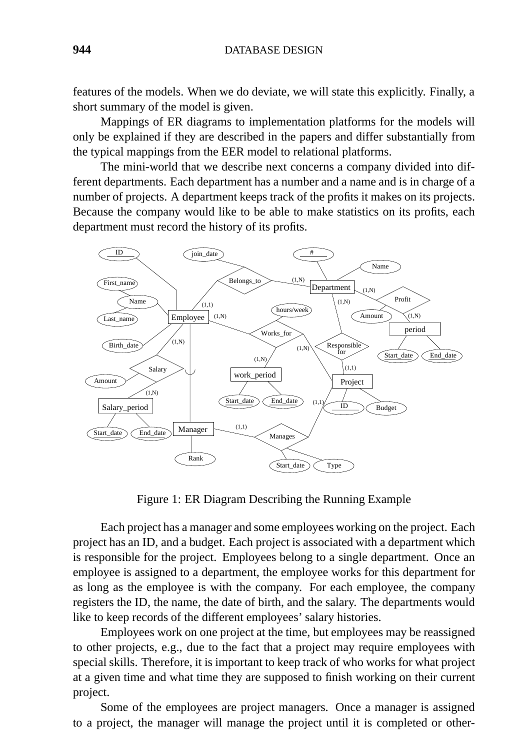features of the models. When we do deviate, we will state this explicitly. Finally, a short summary of the model is given.

Mappings of ER diagrams to implementation platforms for the models will only be explained if they are described in the papers and differ substantially from the typical mappings from the EER model to relational platforms.

The mini-world that we describe next concerns a company divided into different departments. Each department has a number and a name and is in charge of a number of projects. A department keeps track of the profits it makes on its projects. Because the company would like to be able to make statistics on its profits, each department must record the history of its profits.



Figure 1: ER Diagram Describing the Running Example

Each project has a manager and some employees working on the project. Each project has an ID, and a budget. Each project is associated with a department which is responsible for the project. Employees belong to a single department. Once an employee is assigned to a department, the employee works for this department for as long as the employee is with the company. For each employee, the company registers the ID, the name, the date of birth, and the salary. The departments would like to keep records of the different employees' salary histories.

Employees work on one project at the time, but employees may be reassigned to other projects, e.g., due to the fact that a project may require employees with special skills. Therefore, it is important to keep track of who works for what project at a given time and what time they are supposed to finish working on their current project.

Some of the employees are project managers. Once a manager is assigned to a project, the manager will manage the project until it is completed or other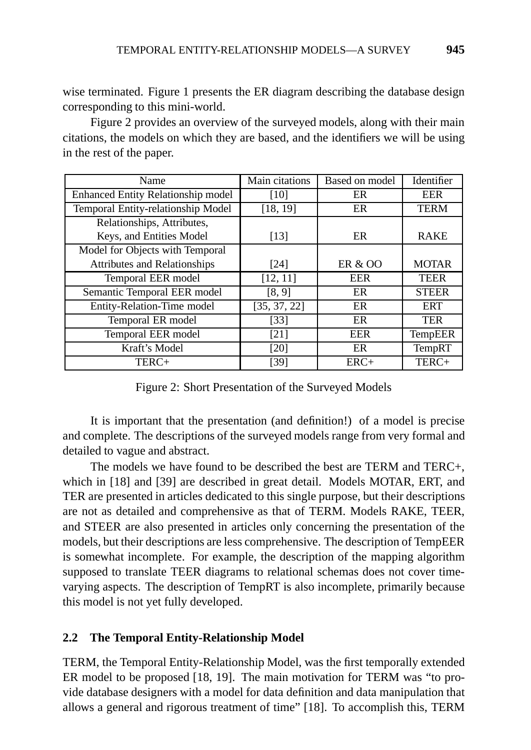wise terminated. Figure 1 presents the ER diagram describing the database design corresponding to this mini-world.

Figure 2 provides an overview of the surveyed models, along with their main citations, the models on which they are based, and the identifiers we will be using in the rest of the paper.

| Name                                      | Main citations | Based on model     | Identifier    |
|-------------------------------------------|----------------|--------------------|---------------|
| <b>Enhanced Entity Relationship model</b> | [10]           | ER                 | <b>EER</b>    |
| Temporal Entity-relationship Model        | [18, 19]       | ER                 | <b>TERM</b>   |
| Relationships, Attributes,                |                |                    |               |
| Keys, and Entities Model                  | [13]           | ER                 | <b>RAKE</b>   |
| Model for Objects with Temporal           |                |                    |               |
| <b>Attributes and Relationships</b>       | [24]           | <b>ER &amp; OO</b> | <b>MOTAR</b>  |
| Temporal EER model                        | [12, 11]       | <b>EER</b>         | <b>TEER</b>   |
| Semantic Temporal EER model               | [8, 9]         | ER                 | <b>STEER</b>  |
| Entity-Relation-Time model                | [35, 37, 22]   | ER                 | <b>ERT</b>    |
| Temporal ER model                         | [33]           | ER                 | <b>TER</b>    |
| Temporal EER model                        | [21]           | <b>EER</b>         | TempEER       |
| Kraft's Model                             | [20]           | ER                 | <b>TempRT</b> |
| TERC+                                     | [39]           | $ERC+$             | TERC+         |

Figure 2: Short Presentation of the Surveyed Models

It is important that the presentation (and definition!) of a model is precise and complete. The descriptions of the surveyed models range from very formal and detailed to vague and abstract.

The models we have found to be described the best are TERM and TERC+, which in [18] and [39] are described in great detail. Models MOTAR, ERT, and TER are presented in articles dedicated to this single purpose, but their descriptions are not as detailed and comprehensive as that of TERM. Models RAKE, TEER, and STEER are also presented in articles only concerning the presentation of the models, but their descriptions are less comprehensive. The description of TempEER is somewhat incomplete. For example, the description of the mapping algorithm supposed to translate TEER diagrams to relational schemas does not cover timevarying aspects. The description of TempRT is also incomplete, primarily because this model is not yet fully developed.

# **2.2 The Temporal Entity-Relationship Model**

TERM, the Temporal Entity-Relationship Model, was the first temporally extended ER model to be proposed [18, 19]. The main motivation for TERM was "to provide database designers with a model for data definition and data manipulation that allows a general and rigorous treatment of time" [18]. To accomplish this, TERM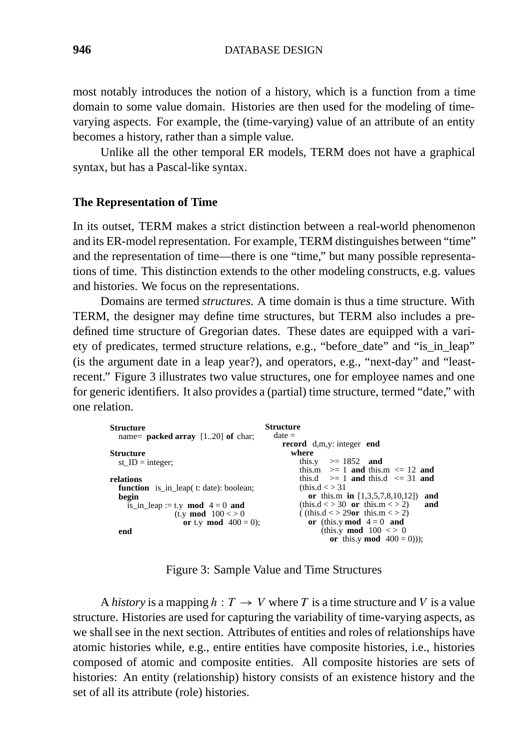most notably introduces the notion of a history, which is a function from a time domain to some value domain. Histories are then used for the modeling of timevarying aspects. For example, the (time-varying) value of an attribute of an entity becomes a history, rather than a simple value.

Unlike all the other temporal ER models, TERM does not have a graphical syntax, but has a Pascal-like syntax.

#### **The Representation of Time**

In its outset, TERM makes a strict distinction between a real-world phenomenon and its ER-model representation. For example, TERM distinguishes between "time" and the representation of time—there is one "time," but many possible representations of time. This distinction extends to the other modeling constructs, e.g. values and histories. We focus on the representations.

Domains are termed *structures*. A time domain is thus a time structure. With TERM, the designer may define time structures, but TERM also includes a predefined time structure of Gregorian dates. These dates are equipped with a variety of predicates, termed structure relations, e.g., "before\_date" and "is\_in\_leap" (is the argument date in a leap year?), and operators, e.g., "next-day" and "leastrecent." Figure 3 illustrates two value structures, one for employee names and one for generic identifiers. It also provides a (partial) time structure, termed "date," with one relation.

| <b>Structure</b><br>name= <b>packed array</b> $[120]$ of char;    | <b>Structure</b><br>$date =$                                                                     |
|-------------------------------------------------------------------|--------------------------------------------------------------------------------------------------|
| <b>Structure</b><br>st $ID = integer$ ;                           | record d,m,y: integer end<br>where<br>this.y $> = 1852$ and                                      |
| relations                                                         | this.m $> = 1$ and this.m $\leq 12$ and<br>this.d $\geq 1$ and this.d $\leq 31$ and              |
| <b>function</b> is in leap(t: date): boolean;<br>begin            | (this.d < > 31)<br>or this.m in $[1,3,5,7,8,10,12]$<br>and                                       |
| is in leap := t.y mod $4 = 0$ and<br>(t.y <b>mod</b> $100 \leq 0$ | (this.d $\langle 30 \text{ or this.m} \rangle$ = 2)<br>and<br>((this.d < > 29 $or$ this.m < > 2) |
| or t.y mod $400 = 0$ ;<br>end                                     | or (this.y mod $4 = 0$ and<br>(this.y <b>mod</b> $100 \leq 0$<br>or this y mod $400 = 0$ ));     |

Figure 3: Sample Value and Time Structures

A *history* is a mapping  $h: T \to V$  where T is a time structure and V is a value structure. Histories are used for capturing the variability of time-varying aspects, as we shall see in the next section. Attributes of entities and roles of relationships have atomic histories while, e.g., entire entities have composite histories, i.e., histories composed of atomic and composite entities. All composite histories are sets of histories: An entity (relationship) history consists of an existence history and the set of all its attribute (role) histories.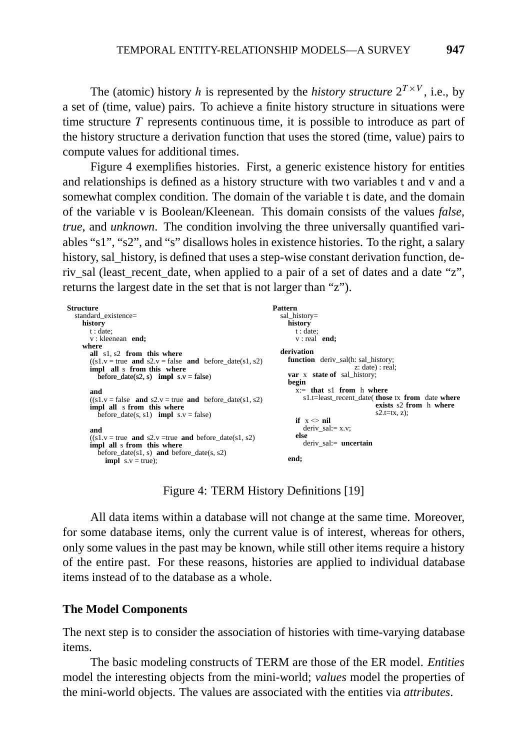The (atomic) history *h* is represented by the *history structure*  $2^{T \times V}$ , i.e., by a set of (time, value) pairs. To achieve a finite history structure in situations were time structure *T* represents continuous time, it is possible to introduce as part of the history structure a derivation function that uses the stored (time, value) pairs to compute values for additional times.

Figure 4 exemplifies histories. First, a generic existence history for entities and relationships is defined as a history structure with two variables t and v and a somewhat complex condition. The domain of the variable t is date, and the domain of the variable v is Boolean/Kleenean. This domain consists of the values *false*, *true*, and *unknown*. The condition involving the three universally quantified variables "s1", "s2", and "s" disallows holes in existence histories. To the right, a salary history, sal\_history, is defined that uses a step-wise constant derivation function, deriv sal (least\_recent\_date, when applied to a pair of a set of dates and a date "z", returns the largest date in the set that is not larger than "z").

| Structure                                                                   | <b>Pattern</b>                                   |
|-----------------------------------------------------------------------------|--------------------------------------------------|
| standard_existence=                                                         | sal history=                                     |
| history                                                                     | history                                          |
| t:date:                                                                     | t:date:                                          |
| v: kleenean end:                                                            | $v:$ real end;                                   |
| where                                                                       |                                                  |
| all s1, s2 from this where                                                  | derivation                                       |
| $((s1.v = true and s2.v = false and before date(s1, s2))$                   | <b>function</b> deriv_sal(h: sal_history;        |
| impl all s from this where                                                  | z: date) : real;                                 |
| before $date(s2, s)$ impl $s.v = false$                                     | <b>var</b> x <b>state of</b> sal history;        |
|                                                                             | begin                                            |
| and                                                                         | $x:=$ that s1 from h where                       |
| $((s1.v = false \text{ and } s2.v = true \text{ and } before date(s1, s2))$ | s1.t=least recent date( those tx from date where |
| impl all s from this where                                                  | exists s2 from h where                           |
| before date(s, s1) <b>impl</b> $s.v = false$ )                              | $s2.t = tx, z);$                                 |
|                                                                             | if $x \leq nil$                                  |
| and                                                                         | deriv sal: $= x.v$ ;                             |
| $((s1.v = true and s2.v = true and before date(s1, s2))$                    | else                                             |
| impl all s from this where                                                  | $deriv$ sal: $=$ <b>uncertain</b>                |
| before $date(s1, s)$ and before $date(s, s2)$                               |                                                  |
| <b>impl</b> $s.v = true$ ;                                                  | end;                                             |
|                                                                             |                                                  |

Figure 4: TERM History Definitions [19]

All data items within a database will not change at the same time. Moreover, for some database items, only the current value is of interest, whereas for others, only some values in the past may be known, while still other items require a history of the entire past. For these reasons, histories are applied to individual database items instead of to the database as a whole.

#### **The Model Components**

The next step is to consider the association of histories with time-varying database items.

The basic modeling constructs of TERM are those of the ER model. *Entities* model the interesting objects from the mini-world; *values* model the properties of the mini-world objects. The values are associated with the entities via *attributes*.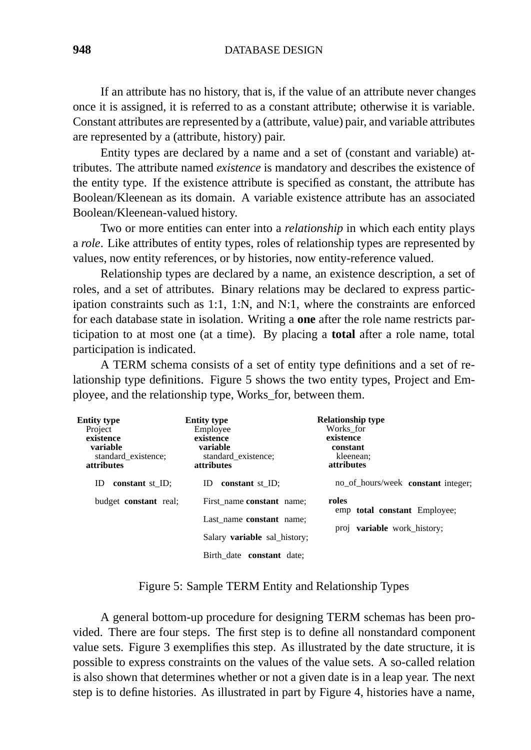If an attribute has no history, that is, if the value of an attribute never changes once it is assigned, it is referred to as a constant attribute; otherwise it is variable. Constant attributes are represented by a (attribute, value) pair, and variable attributes are represented by a (attribute, history) pair.

Entity types are declared by a name and a set of (constant and variable) attributes. The attribute named *existence* is mandatory and describes the existence of the entity type. If the existence attribute is specified as constant, the attribute has Boolean/Kleenean as its domain. A variable existence attribute has an associated Boolean/Kleenean-valued history.

Two or more entities can enter into a *relationship* in which each entity plays a *role*. Like attributes of entity types, roles of relationship types are represented by values, now entity references, or by histories, now entity-reference valued.

Relationship types are declared by a name, an existence description, a set of roles, and a set of attributes. Binary relations may be declared to express participation constraints such as 1:1, 1:N, and N:1, where the constraints are enforced for each database state in isolation. Writing a **one** after the role name restricts participation to at most one (at a time). By placing a **total** after a role name, total participation is indicated.

A TERM schema consists of a set of entity type definitions and a set of relationship type definitions. Figure 5 shows the two entity types, Project and Employee, and the relationship type, Works\_for, between them.

| Entity type<br>Project<br>existence<br>variable<br>standard existence;<br><b>attributes</b> | <b>Entity type</b><br>Employee<br>existence<br>variable<br>standard existence;<br><i>attributes</i> | <b>Relationship type</b><br>Works for<br>existence<br>constant<br>kleenean:<br><b>attributes</b> |
|---------------------------------------------------------------------------------------------|-----------------------------------------------------------------------------------------------------|--------------------------------------------------------------------------------------------------|
| constant $st$ <sub>-ID;</sub><br>ID                                                         | constant st ID;<br>ID                                                                               | no_of_hours/week constant integer;                                                               |
| budget <b>constant</b> real;                                                                | First name constant name:                                                                           | roles                                                                                            |
|                                                                                             | Last name constant name:                                                                            | emp total constant Employee;                                                                     |
|                                                                                             | Salary <b>variable</b> sal history;                                                                 | proj <b>variable</b> work history;                                                               |
|                                                                                             | Birth date constant date:                                                                           |                                                                                                  |

Figure 5: Sample TERM Entity and Relationship Types

A general bottom-up procedure for designing TERM schemas has been provided. There are four steps. The first step is to define all nonstandard component value sets. Figure 3 exemplifies this step. As illustrated by the date structure, it is possible to express constraints on the values of the value sets. A so-called relation is also shown that determines whether or not a given date is in a leap year. The next step is to define histories. As illustrated in part by Figure 4, histories have a name,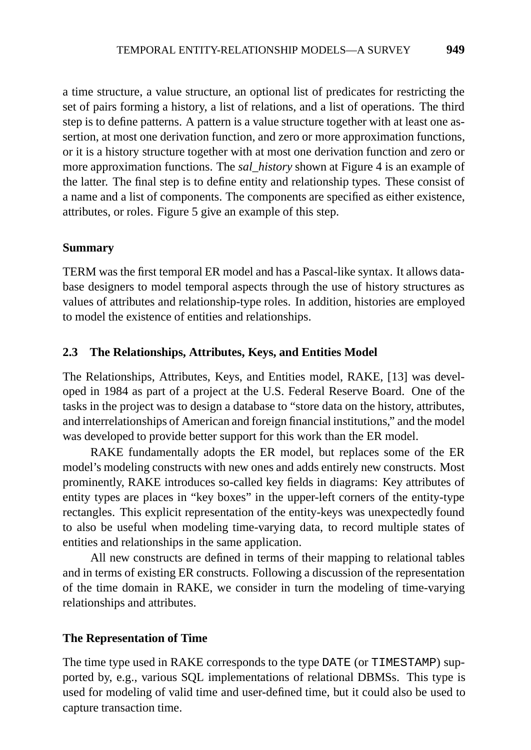a time structure, a value structure, an optional list of predicates for restricting the set of pairs forming a history, a list of relations, and a list of operations. The third step is to define patterns. A pattern is a value structure together with at least one assertion, at most one derivation function, and zero or more approximation functions, or it is a history structure together with at most one derivation function and zero or more approximation functions. The *sal\_history* shown at Figure 4 is an example of the latter. The final step is to define entity and relationship types. These consist of a name and a list of components. The components are specified as either existence, attributes, or roles. Figure 5 give an example of this step.

# **Summary**

TERM was the first temporal ER model and has a Pascal-like syntax. It allows database designers to model temporal aspects through the use of history structures as values of attributes and relationship-type roles. In addition, histories are employed to model the existence of entities and relationships.

# **2.3 The Relationships, Attributes, Keys, and Entities Model**

The Relationships, Attributes, Keys, and Entities model, RAKE, [13] was developed in 1984 as part of a project at the U.S. Federal Reserve Board. One of the tasks in the project was to design a database to "store data on the history, attributes, and interrelationships of American and foreign financial institutions," and the model was developed to provide better support for this work than the ER model.

RAKE fundamentally adopts the ER model, but replaces some of the ER model's modeling constructs with new ones and adds entirely new constructs. Most prominently, RAKE introduces so-called key fields in diagrams: Key attributes of entity types are places in "key boxes" in the upper-left corners of the entity-type rectangles. This explicit representation of the entity-keys was unexpectedly found to also be useful when modeling time-varying data, to record multiple states of entities and relationships in the same application.

All new constructs are defined in terms of their mapping to relational tables and in terms of existing ER constructs. Following a discussion of the representation of the time domain in RAKE, we consider in turn the modeling of time-varying relationships and attributes.

# **The Representation of Time**

The time type used in RAKE corresponds to the type DATE (or TIMESTAMP) supported by, e.g., various SQL implementations of relational DBMSs. This type is used for modeling of valid time and user-defined time, but it could also be used to capture transaction time.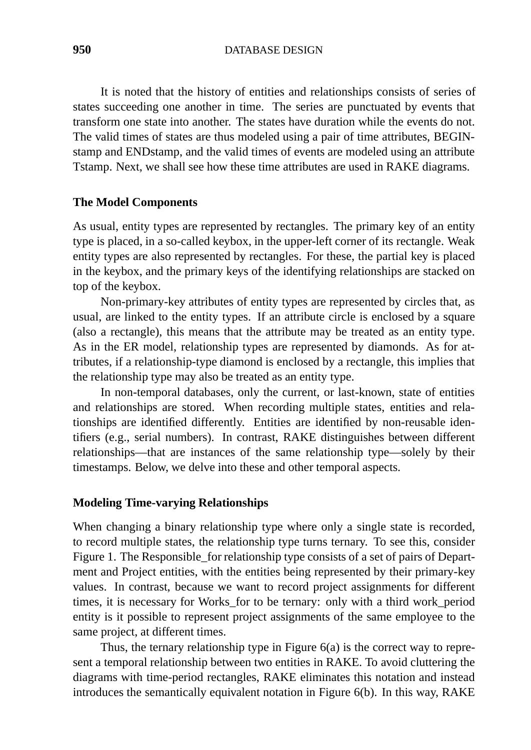**950** DATABASE DESIGN

It is noted that the history of entities and relationships consists of series of states succeeding one another in time. The series are punctuated by events that transform one state into another. The states have duration while the events do not. The valid times of states are thus modeled using a pair of time attributes, BEGINstamp and ENDstamp, and the valid times of events are modeled using an attribute Tstamp. Next, we shall see how these time attributes are used in RAKE diagrams.

#### **The Model Components**

As usual, entity types are represented by rectangles. The primary key of an entity type is placed, in a so-called keybox, in the upper-left corner of its rectangle. Weak entity types are also represented by rectangles. For these, the partial key is placed in the keybox, and the primary keys of the identifying relationships are stacked on top of the keybox.

Non-primary-key attributes of entity types are represented by circles that, as usual, are linked to the entity types. If an attribute circle is enclosed by a square (also a rectangle), this means that the attribute may be treated as an entity type. As in the ER model, relationship types are represented by diamonds. As for attributes, if a relationship-type diamond is enclosed by a rectangle, this implies that the relationship type may also be treated as an entity type.

In non-temporal databases, only the current, or last-known, state of entities and relationships are stored. When recording multiple states, entities and relationships are identified differently. Entities are identified by non-reusable identifiers (e.g., serial numbers). In contrast, RAKE distinguishes between different relationships—that are instances of the same relationship type—solely by their timestamps. Below, we delve into these and other temporal aspects.

#### **Modeling Time-varying Relationships**

When changing a binary relationship type where only a single state is recorded, to record multiple states, the relationship type turns ternary. To see this, consider Figure 1. The Responsible\_for relationship type consists of a set of pairs of Department and Project entities, with the entities being represented by their primary-key values. In contrast, because we want to record project assignments for different times, it is necessary for Works\_for to be ternary: only with a third work\_period entity is it possible to represent project assignments of the same employee to the same project, at different times.

Thus, the ternary relationship type in Figure 6(a) is the correct way to represent a temporal relationship between two entities in RAKE. To avoid cluttering the diagrams with time-period rectangles, RAKE eliminates this notation and instead introduces the semantically equivalent notation in Figure 6(b). In this way, RAKE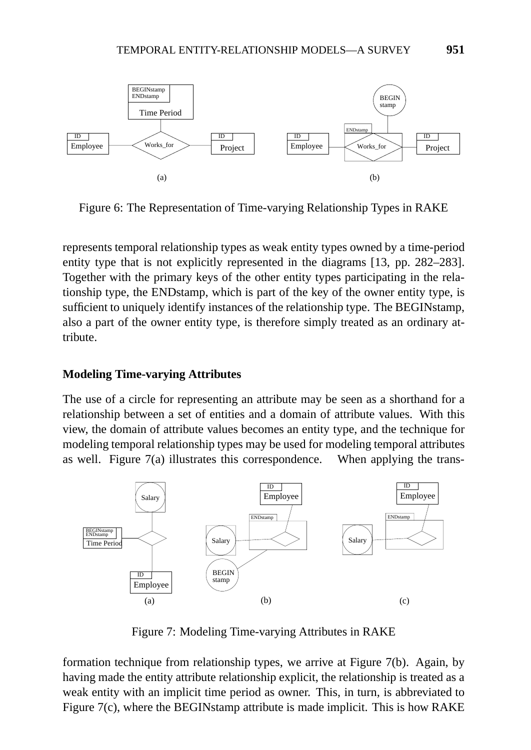

Figure 6: The Representation of Time-varying Relationship Types in RAKE

represents temporal relationship types as weak entity types owned by a time-period entity type that is not explicitly represented in the diagrams [13, pp. 282–283]. Together with the primary keys of the other entity types participating in the relationship type, the ENDstamp, which is part of the key of the owner entity type, is sufficient to uniquely identify instances of the relationship type. The BEGINstamp, also a part of the owner entity type, is therefore simply treated as an ordinary attribute.

# **Modeling Time-varying Attributes**

The use of a circle for representing an attribute may be seen as a shorthand for a relationship between a set of entities and a domain of attribute values. With this view, the domain of attribute values becomes an entity type, and the technique for modeling temporal relationship types may be used for modeling temporal attributes as well. Figure 7(a) illustrates this correspondence. When applying the trans-



Figure 7: Modeling Time-varying Attributes in RAKE

formation technique from relationship types, we arrive at Figure 7(b). Again, by having made the entity attribute relationship explicit, the relationship is treated as a weak entity with an implicit time period as owner. This, in turn, is abbreviated to Figure 7(c), where the BEGINstamp attribute is made implicit. This is how RAKE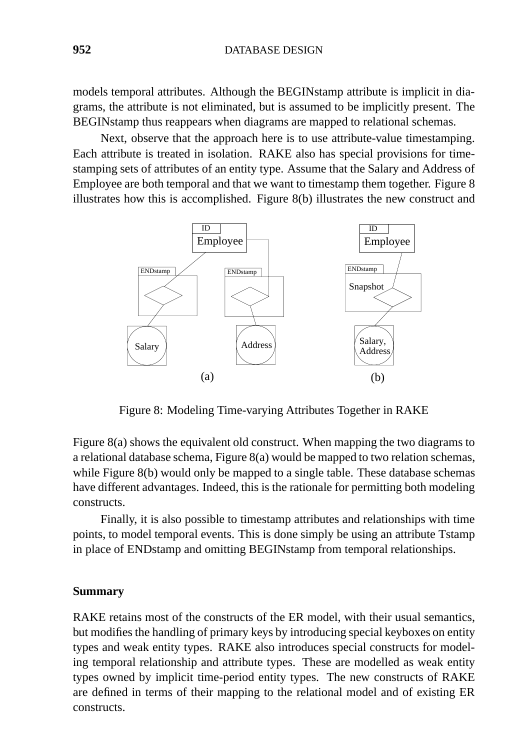models temporal attributes. Although the BEGINstamp attribute is implicit in diagrams, the attribute is not eliminated, but is assumed to be implicitly present. The BEGINstamp thus reappears when diagrams are mapped to relational schemas.

Next, observe that the approach here is to use attribute-value timestamping. Each attribute is treated in isolation. RAKE also has special provisions for timestamping sets of attributes of an entity type. Assume that the Salary and Address of Employee are both temporal and that we want to timestamp them together. Figure 8 illustrates how this is accomplished. Figure 8(b) illustrates the new construct and



Figure 8: Modeling Time-varying Attributes Together in RAKE

Figure 8(a) shows the equivalent old construct. When mapping the two diagrams to a relational database schema, Figure 8(a) would be mapped to two relation schemas, while Figure 8(b) would only be mapped to a single table. These database schemas have different advantages. Indeed, this is the rationale for permitting both modeling constructs.

Finally, it is also possible to timestamp attributes and relationships with time points, to model temporal events. This is done simply be using an attribute Tstamp in place of ENDstamp and omitting BEGINstamp from temporal relationships.

#### **Summary**

RAKE retains most of the constructs of the ER model, with their usual semantics, but modifies the handling of primary keys by introducing special keyboxes on entity types and weak entity types. RAKE also introduces special constructs for modeling temporal relationship and attribute types. These are modelled as weak entity types owned by implicit time-period entity types. The new constructs of RAKE are defined in terms of their mapping to the relational model and of existing ER constructs.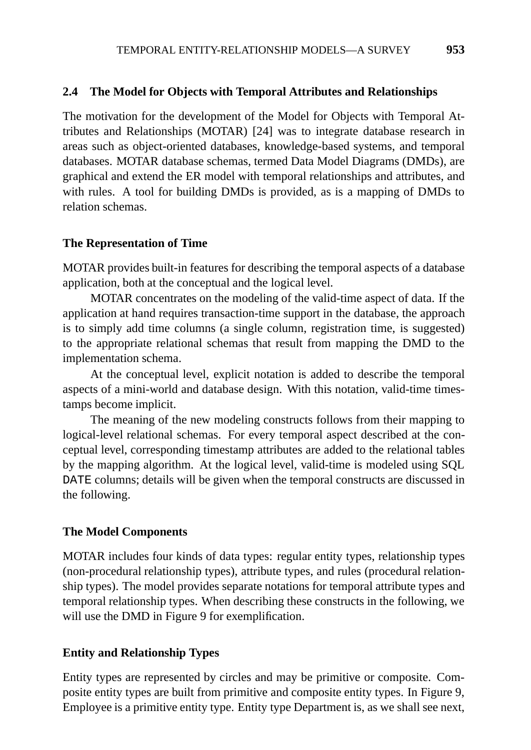#### **2.4 The Model for Objects with Temporal Attributes and Relationships**

The motivation for the development of the Model for Objects with Temporal Attributes and Relationships (MOTAR) [24] was to integrate database research in areas such as object-oriented databases, knowledge-based systems, and temporal databases. MOTAR database schemas, termed Data Model Diagrams (DMDs), are graphical and extend the ER model with temporal relationships and attributes, and with rules. A tool for building DMDs is provided, as is a mapping of DMDs to relation schemas.

#### **The Representation of Time**

MOTAR provides built-in features for describing the temporal aspects of a database application, both at the conceptual and the logical level.

MOTAR concentrates on the modeling of the valid-time aspect of data. If the application at hand requires transaction-time support in the database, the approach is to simply add time columns (a single column, registration time, is suggested) to the appropriate relational schemas that result from mapping the DMD to the implementation schema.

At the conceptual level, explicit notation is added to describe the temporal aspects of a mini-world and database design. With this notation, valid-time timestamps become implicit.

The meaning of the new modeling constructs follows from their mapping to logical-level relational schemas. For every temporal aspect described at the conceptual level, corresponding timestamp attributes are added to the relational tables by the mapping algorithm. At the logical level, valid-time is modeled using SQL DATE columns; details will be given when the temporal constructs are discussed in the following.

#### **The Model Components**

MOTAR includes four kinds of data types: regular entity types, relationship types (non-procedural relationship types), attribute types, and rules (procedural relationship types). The model provides separate notations for temporal attribute types and temporal relationship types. When describing these constructs in the following, we will use the DMD in Figure 9 for exemplification.

#### **Entity and Relationship Types**

Entity types are represented by circles and may be primitive or composite. Composite entity types are built from primitive and composite entity types. In Figure 9, Employee is a primitive entity type. Entity type Department is, as we shall see next,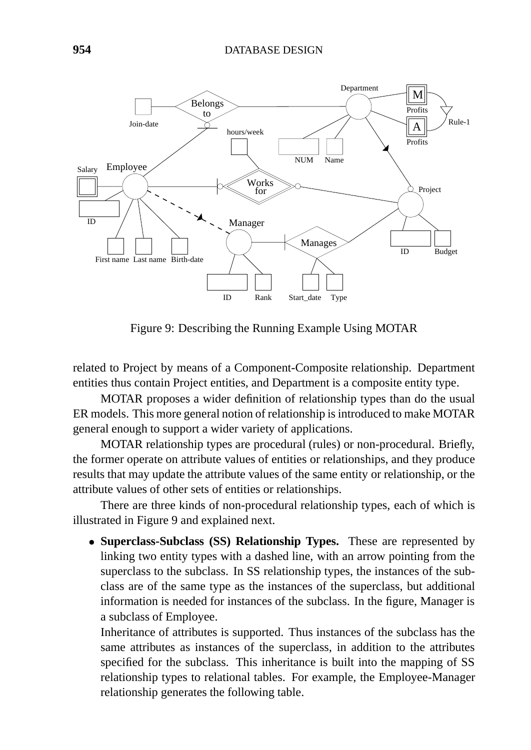

Figure 9: Describing the Running Example Using MOTAR

related to Project by means of a Component-Composite relationship. Department entities thus contain Project entities, and Department is a composite entity type.

MOTAR proposes a wider definition of relationship types than do the usual ER models. This more general notion of relationship is introduced to make MOTAR general enough to support a wider variety of applications.

MOTAR relationship types are procedural (rules) or non-procedural. Briefly, the former operate on attribute values of entities or relationships, and they produce results that may update the attribute values of the same entity or relationship, or the attribute values of other sets of entities or relationships.

There are three kinds of non-procedural relationship types, each of which is illustrated in Figure 9 and explained next.

• **Superclass-Subclass (SS) Relationship Types.** These are represented by linking two entity types with a dashed line, with an arrow pointing from the superclass to the subclass. In SS relationship types, the instances of the subclass are of the same type as the instances of the superclass, but additional information is needed for instances of the subclass. In the figure, Manager is a subclass of Employee.

Inheritance of attributes is supported. Thus instances of the subclass has the same attributes as instances of the superclass, in addition to the attributes specified for the subclass. This inheritance is built into the mapping of SS relationship types to relational tables. For example, the Employee-Manager relationship generates the following table.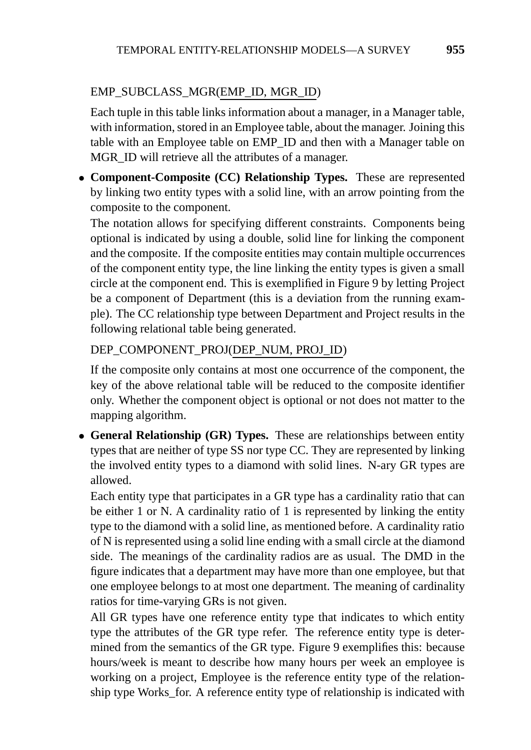# EMP\_SUBCLASS\_MGR(EMP\_ID, MGR\_ID)

Each tuple in this table links information about a manager, in a Manager table, with information, stored in an Employee table, about the manager. Joining this table with an Employee table on EMP\_ID and then with a Manager table on MGR\_ID will retrieve all the attributes of a manager.

• **Component-Composite (CC) Relationship Types.** These are represented by linking two entity types with a solid line, with an arrow pointing from the composite to the component.

The notation allows for specifying different constraints. Components being optional is indicated by using a double, solid line for linking the component and the composite. If the composite entities may contain multiple occurrences of the component entity type, the line linking the entity types is given a small circle at the component end. This is exemplified in Figure 9 by letting Project be a component of Department (this is a deviation from the running example). The CC relationship type between Department and Project results in the following relational table being generated.

# DEP\_COMPONENT\_PROJ(DEP\_NUM, PROJ\_ID)

If the composite only contains at most one occurrence of the component, the key of the above relational table will be reduced to the composite identifier only. Whether the component object is optional or not does not matter to the mapping algorithm.

• **General Relationship (GR) Types.** These are relationships between entity types that are neither of type SS nor type CC. They are represented by linking the involved entity types to a diamond with solid lines. N-ary GR types are allowed.

Each entity type that participates in a GR type has a cardinality ratio that can be either 1 or N. A cardinality ratio of 1 is represented by linking the entity type to the diamond with a solid line, as mentioned before. A cardinality ratio of N is represented using a solid line ending with a small circle at the diamond side. The meanings of the cardinality radios are as usual. The DMD in the figure indicates that a department may have more than one employee, but that one employee belongs to at most one department. The meaning of cardinality ratios for time-varying GRs is not given.

All GR types have one reference entity type that indicates to which entity type the attributes of the GR type refer. The reference entity type is determined from the semantics of the GR type. Figure 9 exemplifies this: because hours/week is meant to describe how many hours per week an employee is working on a project, Employee is the reference entity type of the relationship type Works\_for. A reference entity type of relationship is indicated with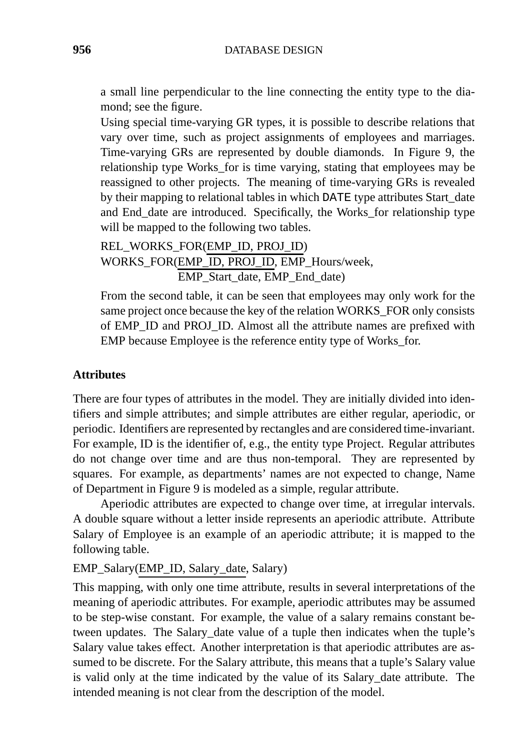a small line perpendicular to the line connecting the entity type to the diamond; see the figure.

Using special time-varying GR types, it is possible to describe relations that vary over time, such as project assignments of employees and marriages. Time-varying GRs are represented by double diamonds. In Figure 9, the relationship type Works\_for is time varying, stating that employees may be reassigned to other projects. The meaning of time-varying GRs is revealed by their mapping to relational tables in which DATE type attributes Start\_date and End\_date are introduced. Specifically, the Works\_for relationship type will be mapped to the following two tables.

REL\_WORKS\_FOR(EMP\_ID, PROJ\_ID) WORKS\_FOR(EMP\_ID, PROJ\_ID, EMP\_Hours/week, EMP\_Start\_date, EMP\_End\_date)

From the second table, it can be seen that employees may only work for the same project once because the key of the relation WORKS\_FOR only consists of EMP\_ID and PROJ\_ID. Almost all the attribute names are prefixed with EMP because Employee is the reference entity type of Works\_for.

# **Attributes**

There are four types of attributes in the model. They are initially divided into identifiers and simple attributes; and simple attributes are either regular, aperiodic, or periodic. Identifiers are represented by rectangles and are considered time-invariant. For example, ID is the identifier of, e.g., the entity type Project. Regular attributes do not change over time and are thus non-temporal. They are represented by squares. For example, as departments' names are not expected to change, Name of Department in Figure 9 is modeled as a simple, regular attribute.

Aperiodic attributes are expected to change over time, at irregular intervals. A double square without a letter inside represents an aperiodic attribute. Attribute Salary of Employee is an example of an aperiodic attribute; it is mapped to the following table.

EMP\_Salary(EMP\_ID, Salary\_date, Salary)

This mapping, with only one time attribute, results in several interpretations of the meaning of aperiodic attributes. For example, aperiodic attributes may be assumed to be step-wise constant. For example, the value of a salary remains constant between updates. The Salary\_date value of a tuple then indicates when the tuple's Salary value takes effect. Another interpretation is that aperiodic attributes are assumed to be discrete. For the Salary attribute, this means that a tuple's Salary value is valid only at the time indicated by the value of its Salary\_date attribute. The intended meaning is not clear from the description of the model.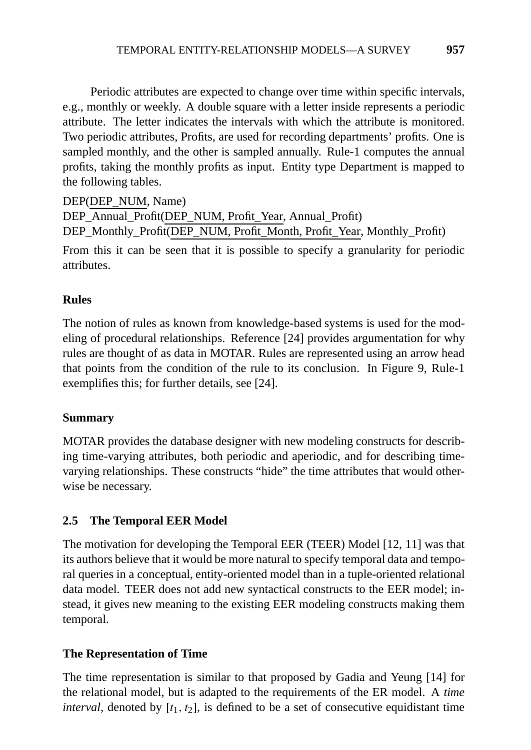Periodic attributes are expected to change over time within specific intervals, e.g., monthly or weekly. A double square with a letter inside represents a periodic attribute. The letter indicates the intervals with which the attribute is monitored. Two periodic attributes, Profits, are used for recording departments' profits. One is sampled monthly, and the other is sampled annually. Rule-1 computes the annual profits, taking the monthly profits as input. Entity type Department is mapped to the following tables.

DEP(DEP\_NUM, Name)

DEP\_Annual\_Profit(DEP\_NUM, Profit\_Year, Annual\_Profit) DEP\_Monthly\_Profit(DEP\_NUM, Profit\_Month, Profit\_Year, Monthly\_Profit)

From this it can be seen that it is possible to specify a granularity for periodic attributes.

# **Rules**

The notion of rules as known from knowledge-based systems is used for the modeling of procedural relationships. Reference [24] provides argumentation for why rules are thought of as data in MOTAR. Rules are represented using an arrow head that points from the condition of the rule to its conclusion. In Figure 9, Rule-1 exemplifies this; for further details, see [24].

# **Summary**

MOTAR provides the database designer with new modeling constructs for describing time-varying attributes, both periodic and aperiodic, and for describing timevarying relationships. These constructs "hide" the time attributes that would otherwise be necessary.

# **2.5 The Temporal EER Model**

The motivation for developing the Temporal EER (TEER) Model [12, 11] was that its authors believe that it would be more natural to specify temporal data and temporal queries in a conceptual, entity-oriented model than in a tuple-oriented relational data model. TEER does not add new syntactical constructs to the EER model; instead, it gives new meaning to the existing EER modeling constructs making them temporal.

# **The Representation of Time**

The time representation is similar to that proposed by Gadia and Yeung [14] for the relational model, but is adapted to the requirements of the ER model. A *time interval*, denoted by  $[t_1, t_2]$ , is defined to be a set of consecutive equidistant time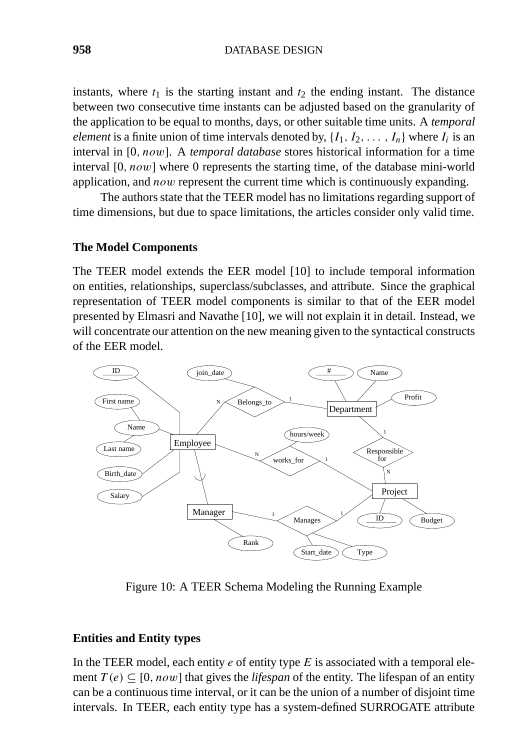instants, where  $t_1$  is the starting instant and  $t_2$  the ending instant. The distance between two consecutive time instants can be adjusted based on the granularity of the application to be equal to months, days, or other suitable time units. A *temporal element* is a finite union of time intervals denoted by,  $\{I_1, I_2, \ldots, I_n\}$  where  $I_i$  is an interval in [0*, now*]. A *temporal database* stores historical information for a time interval [0*, now*] where 0 represents the starting time, of the database mini-world application, and *now* represent the current time which is continuously expanding.

The authors state that the TEER model has no limitations regarding support of time dimensions, but due to space limitations, the articles consider only valid time.

#### **The Model Components**

The TEER model extends the EER model [10] to include temporal information on entities, relationships, superclass/subclasses, and attribute. Since the graphical representation of TEER model components is similar to that of the EER model presented by Elmasri and Navathe [10], we will not explain it in detail. Instead, we will concentrate our attention on the new meaning given to the syntactical constructs of the EER model.



Figure 10: A TEER Schema Modeling the Running Example

#### **Entities and Entity types**

In the TEER model, each entity *e* of entity type *E* is associated with a temporal element  $T(e) \subseteq [0, now]$  that gives the *lifespan* of the entity. The lifespan of an entity can be a continuous time interval, or it can be the union of a number of disjoint time intervals. In TEER, each entity type has a system-defined SURROGATE attribute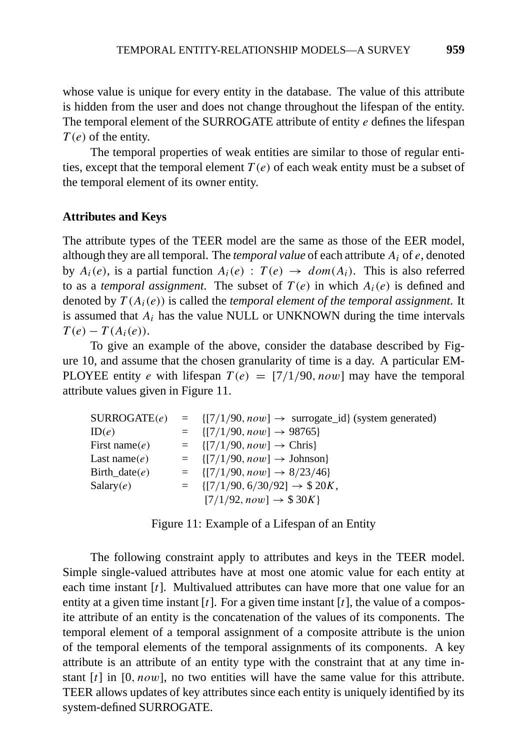whose value is unique for every entity in the database. The value of this attribute is hidden from the user and does not change throughout the lifespan of the entity. The temporal element of the SURROGATE attribute of entity *e* defines the lifespan *T (e)* of the entity.

The temporal properties of weak entities are similar to those of regular entities, except that the temporal element  $T(e)$  of each weak entity must be a subset of the temporal element of its owner entity.

#### **Attributes and Keys**

The attribute types of the TEER model are the same as those of the EER model, although they are all temporal. The *temporal value* of each attribute *Ai* of *e*, denoted by  $A_i(e)$ , is a partial function  $A_i(e)$ :  $T(e) \rightarrow dom(A_i)$ . This is also referred to as a *temporal assignment*. The subset of  $T(e)$  in which  $A_i(e)$  is defined and denoted by *T (Ai(e))* is called the *temporal element of the temporal assignment*. It is assumed that  $A_i$  has the value NULL or UNKNOWN during the time intervals  $T(e) - T(A_i(e)).$ 

To give an example of the above, consider the database described by Figure 10, and assume that the chosen granularity of time is a day. A particular EM-PLOYEE entity *e* with lifespan  $T(e) = [7/1/90, now]$  may have the temporal attribute values given in Figure 11.

| $\text{SURROGATE}(e)$ | $= \{ [7/1/90, now] \rightarrow \text{ surrogate_id} \}$ (system generated) |
|-----------------------|-----------------------------------------------------------------------------|
| ID(e)                 | $= \{ [7/1/90, now] \rightarrow 98765 \}$                                   |
| First name $(e)$      | $= \{ [7/1/90, now] \rightarrow Chris \}$                                   |
| Last name $(e)$       | $= \{ [7/1/90, now] \rightarrow \text{Johnson} \}$                          |
| Birth_date $(e)$      | $= \{ [7/1/90, now] \rightarrow 8/23/46 \}$                                 |
| Salary(e)             | $= \{ [7/1/90, 6/30/92] \rightarrow $20K,$                                  |
|                       | $[7/1/92, now] \rightarrow $30K$                                            |

|  | Figure 11: Example of a Lifespan of an Entity |  |  |
|--|-----------------------------------------------|--|--|
|  |                                               |  |  |

The following constraint apply to attributes and keys in the TEER model. Simple single-valued attributes have at most one atomic value for each entity at each time instant [*t*]. Multivalued attributes can have more that one value for an entity at a given time instant [*t*]. For a given time instant [*t*], the value of a composite attribute of an entity is the concatenation of the values of its components. The temporal element of a temporal assignment of a composite attribute is the union of the temporal elements of the temporal assignments of its components. A key attribute is an attribute of an entity type with the constraint that at any time instant [*t*] in [0*, now*], no two entities will have the same value for this attribute. TEER allows updates of key attributes since each entity is uniquely identified by its system-defined SURROGATE.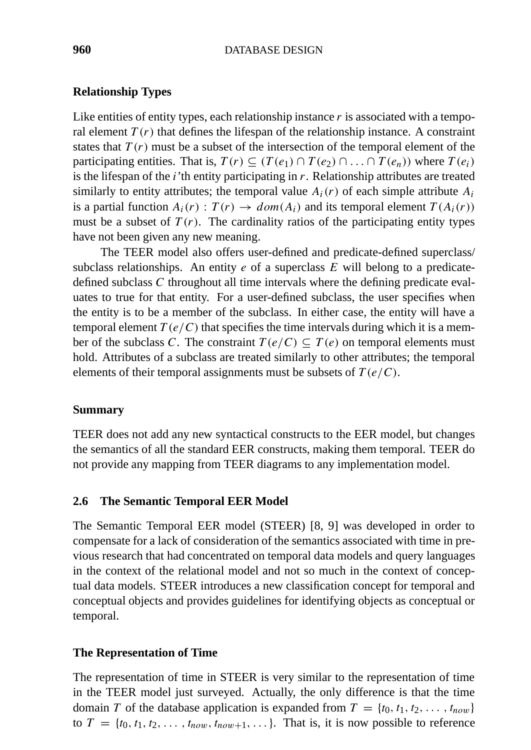#### **Relationship Types**

Like entities of entity types, each relationship instance r is associated with a temporal element  $T(r)$  that defines the lifespan of the relationship instance. A constraint states that  $T(r)$  must be a subset of the intersection of the temporal element of the participating entities. That is,  $T(r) \subseteq (T(e_1) \cap T(e_2) \cap ... \cap T(e_n))$  where  $T(e_i)$ is the lifespan of the *i*'th entity participating in *r*. Relationship attributes are treated similarly to entity attributes; the temporal value  $A_i(r)$  of each simple attribute  $A_i$ is a partial function  $A_i(r)$ :  $T(r) \rightarrow dom(A_i)$  and its temporal element  $T(A_i(r))$ must be a subset of  $T(r)$ . The cardinality ratios of the participating entity types have not been given any new meaning.

The TEER model also offers user-defined and predicate-defined superclass/ subclass relationships. An entity *e* of a superclass *E* will belong to a predicatedefined subclass *C* throughout all time intervals where the defining predicate evaluates to true for that entity. For a user-defined subclass, the user specifies when the entity is to be a member of the subclass. In either case, the entity will have a temporal element  $T(e/C)$  that specifies the time intervals during which it is a member of the subclass *C*. The constraint  $T(e/C) \subseteq T(e)$  on temporal elements must hold. Attributes of a subclass are treated similarly to other attributes; the temporal elements of their temporal assignments must be subsets of *T (e/C)*.

#### **Summary**

TEER does not add any new syntactical constructs to the EER model, but changes the semantics of all the standard EER constructs, making them temporal. TEER do not provide any mapping from TEER diagrams to any implementation model.

#### **2.6 The Semantic Temporal EER Model**

The Semantic Temporal EER model (STEER) [8, 9] was developed in order to compensate for a lack of consideration of the semantics associated with time in previous research that had concentrated on temporal data models and query languages in the context of the relational model and not so much in the context of conceptual data models. STEER introduces a new classification concept for temporal and conceptual objects and provides guidelines for identifying objects as conceptual or temporal.

#### **The Representation of Time**

The representation of time in STEER is very similar to the representation of time in the TEER model just surveyed. Actually, the only difference is that the time domain *T* of the database application is expanded from  $T = \{t_0, t_1, t_2, \ldots, t_{now}\}$ to  $T = \{t_0, t_1, t_2, \ldots, t_{now}, t_{now+1}, \ldots\}$ . That is, it is now possible to reference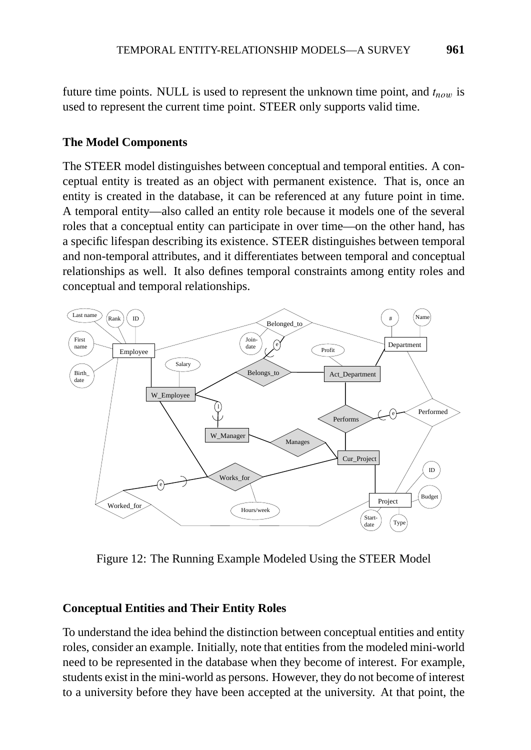future time points. NULL is used to represent the unknown time point, and  $t_{now}$  is used to represent the current time point. STEER only supports valid time.

# **The Model Components**

The STEER model distinguishes between conceptual and temporal entities. A conceptual entity is treated as an object with permanent existence. That is, once an entity is created in the database, it can be referenced at any future point in time. A temporal entity—also called an entity role because it models one of the several roles that a conceptual entity can participate in over time—on the other hand, has a specific lifespan describing its existence. STEER distinguishes between temporal and non-temporal attributes, and it differentiates between temporal and conceptual relationships as well. It also defines temporal constraints among entity roles and conceptual and temporal relationships.



Figure 12: The Running Example Modeled Using the STEER Model

# **Conceptual Entities and Their Entity Roles**

To understand the idea behind the distinction between conceptual entities and entity roles, consider an example. Initially, note that entities from the modeled mini-world need to be represented in the database when they become of interest. For example, students exist in the mini-world as persons. However, they do not become of interest to a university before they have been accepted at the university. At that point, the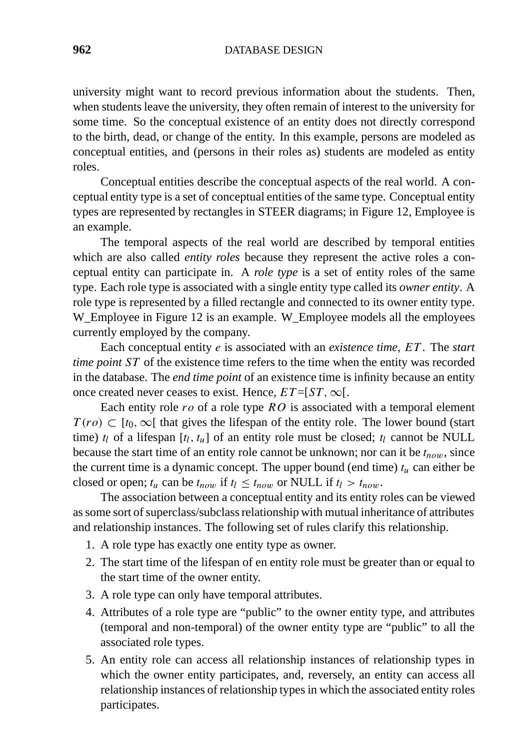**962** DATABASE DESIGN

university might want to record previous information about the students. Then, when students leave the university, they often remain of interest to the university for some time. So the conceptual existence of an entity does not directly correspond to the birth, dead, or change of the entity. In this example, persons are modeled as conceptual entities, and (persons in their roles as) students are modeled as entity roles.

Conceptual entities describe the conceptual aspects of the real world. A conceptual entity type is a set of conceptual entities of the same type. Conceptual entity types are represented by rectangles in STEER diagrams; in Figure 12, Employee is an example.

The temporal aspects of the real world are described by temporal entities which are also called *entity roles* because they represent the active roles a conceptual entity can participate in. A *role type* is a set of entity roles of the same type. Each role type is associated with a single entity type called its *owner entity*. A role type is represented by a filled rectangle and connected to its owner entity type. W\_Employee in Figure 12 is an example. W\_Employee models all the employees currently employed by the company.

Each conceptual entity *e* is associated with an *existence time*, *ET* . The *start time point* ST of the existence time refers to the time when the entity was recorded in the database. The *end time point* of an existence time is infinity because an entity once created never ceases to exist. Hence,  $ET = [ST, \infty]$ .

Each entity role *ro* of a role type *RO* is associated with a temporal element  $T(ro) \subset [t_0, \infty[$  that gives the lifespan of the entity role. The lower bound (start time)  $t_l$  of a lifespan  $[t_l, t_u]$  of an entity role must be closed;  $t_l$  cannot be NULL because the start time of an entity role cannot be unknown; nor can it be  $t_{now}$ , since the current time is a dynamic concept. The upper bound (end time)  $t<sub>u</sub>$  can either be closed or open;  $t_u$  can be  $t_{now}$  if  $t_l \leq t_{now}$  or NULL if  $t_l > t_{now}$ .

The association between a conceptual entity and its entity roles can be viewed as some sort of superclass/subclass relationship with mutual inheritance of attributes and relationship instances. The following set of rules clarify this relationship.

- 1. A role type has exactly one entity type as owner.
- 2. The start time of the lifespan of en entity role must be greater than or equal to the start time of the owner entity.
- 3. A role type can only have temporal attributes.
- 4. Attributes of a role type are "public" to the owner entity type, and attributes (temporal and non-temporal) of the owner entity type are "public" to all the associated role types.
- 5. An entity role can access all relationship instances of relationship types in which the owner entity participates, and, reversely, an entity can access all relationship instances of relationship types in which the associated entity roles participates.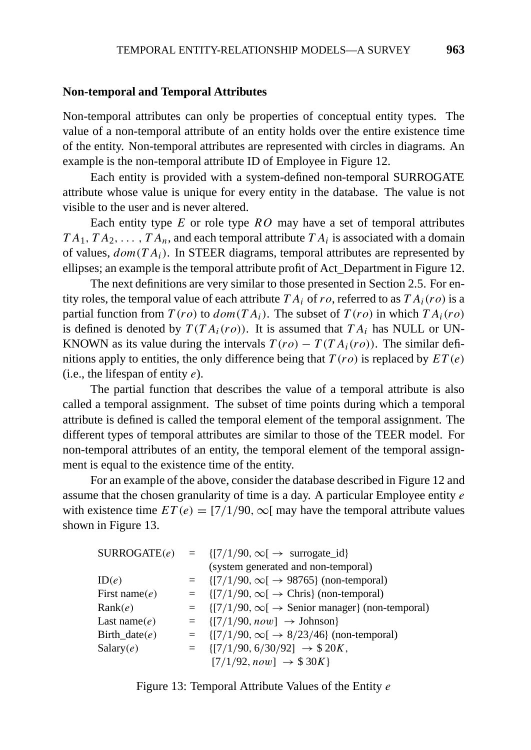#### **Non-temporal and Temporal Attributes**

Non-temporal attributes can only be properties of conceptual entity types. The value of a non-temporal attribute of an entity holds over the entire existence time of the entity. Non-temporal attributes are represented with circles in diagrams. An example is the non-temporal attribute ID of Employee in Figure 12.

Each entity is provided with a system-defined non-temporal SURROGATE attribute whose value is unique for every entity in the database. The value is not visible to the user and is never altered.

Each entity type *E* or role type *RO* may have a set of temporal attributes  $TA_1, TA_2, \ldots, TA_n$ , and each temporal attribute  $TA_i$  is associated with a domain of values, *dom(T Ai)*. In STEER diagrams, temporal attributes are represented by ellipses; an example is the temporal attribute profit of Act\_Department in Figure 12.

The next definitions are very similar to those presented in Section 2.5. For entity roles, the temporal value of each attribute  $TA_i$  of  $ro$ , referred to as  $TA_i(ro)$  is a partial function from  $T(ro)$  to  $dom(TA_i)$ . The subset of  $T(ro)$  in which  $TA_i(ro)$ is defined is denoted by  $T(T A_i(ro))$ . It is assumed that  $T A_i$  has NULL or UN-KNOWN as its value during the intervals  $T(ro) - T(T A_i(ro))$ . The similar definitions apply to entities, the only difference being that *T (ro)* is replaced by *ET (e)* (i.e., the lifespan of entity *e*).

The partial function that describes the value of a temporal attribute is also called a temporal assignment. The subset of time points during which a temporal attribute is defined is called the temporal element of the temporal assignment. The different types of temporal attributes are similar to those of the TEER model. For non-temporal attributes of an entity, the temporal element of the temporal assignment is equal to the existence time of the entity.

For an example of the above, consider the database described in Figure 12 and assume that the chosen granularity of time is a day. A particular Employee entity *e* with existence time  $ET(e) = \frac{7}{190}$ ,  $\infty$ [ may have the temporal attribute values shown in Figure 13.

|                  | $\text{SURROGATE}(e) = \{ [7/1/90, \infty[ \rightarrow \text{surrogate}_i] \}$ |
|------------------|--------------------------------------------------------------------------------|
|                  | (system generated and non-temporal)                                            |
| ID(e)            | = $\{ [7/1/90, \infty[ \rightarrow 98765] \text{ (non-temporal)} \}$           |
| First name $(e)$ | $= \{ [7/1/90, \infty[ \rightarrow Chris \} (non-temporal) \}$                 |
| Rank(e)          | $= \{ [7/1/90, \infty[ \rightarrow$ Senior manager $\}$ (non-temporal)         |
| Last name $(e)$  | $= \{ [7/1/90, now] \rightarrow \text{Johnson} \}$                             |
| Birth_date $(e)$ | = $\{ [7/1/90, \infty[ \rightarrow 8/23/46] \text{ (non-temporal)} \}$         |
| Salary(e)        | $= \{ [7/1/90, 6/30/92] \rightarrow $20K,$                                     |
|                  | $[7/1/92, now] \rightarrow $30K$                                               |

Figure 13: Temporal Attribute Values of the Entity *e*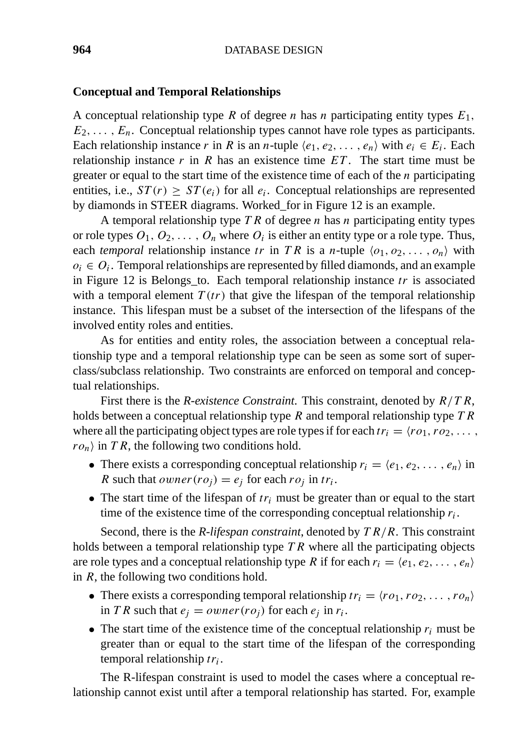#### **Conceptual and Temporal Relationships**

A conceptual relationship type *R* of degree *n* has *n* participating entity types *E*1*,*  $E_2, \ldots, E_n$ . Conceptual relationship types cannot have role types as participants. Each relationship instance *r* in *R* is an *n*-tuple  $\langle e_1, e_2, \ldots, e_n \rangle$  with  $e_i \in E_i$ . Each relationship instance  $r$  in  $R$  has an existence time  $ET$ . The start time must be greater or equal to the start time of the existence time of each of the *n* participating entities, i.e.,  $ST(r) \geq ST(e_i)$  for all  $e_i$ . Conceptual relationships are represented by diamonds in STEER diagrams. Worked\_for in Figure 12 is an example.

A temporal relationship type *T R* of degree *n* has *n* participating entity types or role types  $O_1, O_2, \ldots, O_n$  where  $O_i$  is either an entity type or a role type. Thus, each *temporal* relationship instance *tr* in *TR* is a *n*-tuple  $\langle o_1, o_2, \ldots, o_n \rangle$  with  $o_i \in O_i$ . Temporal relationships are represented by filled diamonds, and an example in Figure 12 is Belongs\_to. Each temporal relationship instance *tr* is associated with a temporal element  $T(tr)$  that give the lifespan of the temporal relationship instance. This lifespan must be a subset of the intersection of the lifespans of the involved entity roles and entities.

As for entities and entity roles, the association between a conceptual relationship type and a temporal relationship type can be seen as some sort of superclass/subclass relationship. Two constraints are enforced on temporal and conceptual relationships.

First there is the *R-existence Constraint*. This constraint, denoted by *R/T R*, holds between a conceptual relationship type *R* and temporal relationship type *T R* where all the participating object types are role types if for each  $tr_i = \langle r \, o_1, r \, o_2, \ldots, r \rangle$  $r o_n$  in *T R*, the following two conditions hold.

- There exists a corresponding conceptual relationship  $r_i = \langle e_1, e_2, \ldots, e_n \rangle$  in *R* such that *owner*  $(ro<sub>j</sub>) = e<sub>j</sub>$  for each  $ro<sub>j</sub>$  in  $tr<sub>i</sub>$ .
- The start time of the lifespan of  $tr_i$  must be greater than or equal to the start time of the existence time of the corresponding conceptual relationship *ri*.

Second, there is the *R-lifespan constraint*, denoted by *T R/R*. This constraint holds between a temporal relationship type *T R* where all the participating objects are role types and a conceptual relationship type *R* if for each  $r_i = \langle e_1, e_2, \ldots, e_n \rangle$ in *R*, the following two conditions hold.

- There exists a corresponding temporal relationship  $tr_i = \langle r \, o_1, r \, o_2, \ldots, r \, o_n \rangle$ in *T R* such that  $e_i = owner(ro_i)$  for each  $e_i$  in  $r_i$ .
- The start time of the existence time of the conceptual relationship  $r_i$  must be greater than or equal to the start time of the lifespan of the corresponding temporal relationship *tri*.

The R-lifespan constraint is used to model the cases where a conceptual relationship cannot exist until after a temporal relationship has started. For, example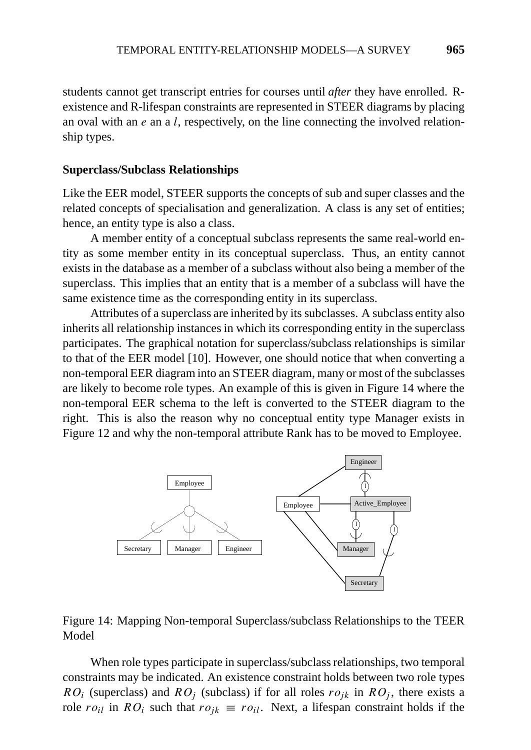students cannot get transcript entries for courses until *after* they have enrolled. Rexistence and R-lifespan constraints are represented in STEER diagrams by placing an oval with an *e* an a *l*, respectively, on the line connecting the involved relationship types.

#### **Superclass/Subclass Relationships**

Like the EER model, STEER supports the concepts of sub and super classes and the related concepts of specialisation and generalization. A class is any set of entities; hence, an entity type is also a class.

A member entity of a conceptual subclass represents the same real-world entity as some member entity in its conceptual superclass. Thus, an entity cannot exists in the database as a member of a subclass without also being a member of the superclass. This implies that an entity that is a member of a subclass will have the same existence time as the corresponding entity in its superclass.

Attributes of a superclass are inherited by its subclasses. A subclass entity also inherits all relationship instances in which its corresponding entity in the superclass participates. The graphical notation for superclass/subclass relationships is similar to that of the EER model [10]. However, one should notice that when converting a non-temporal EER diagram into an STEER diagram, many or most of the subclasses are likely to become role types. An example of this is given in Figure 14 where the non-temporal EER schema to the left is converted to the STEER diagram to the right. This is also the reason why no conceptual entity type Manager exists in Figure 12 and why the non-temporal attribute Rank has to be moved to Employee.



Figure 14: Mapping Non-temporal Superclass/subclass Relationships to the TEER Model

When role types participate in superclass/subclass relationships, two temporal constraints may be indicated. An existence constraint holds between two role types *RO<sub>i</sub>* (superclass) and *RO<sub>j</sub>* (subclass) if for all roles  $ro_{jk}$  in  $RO_j$ , there exists a role  $ro_{il}$  in  $RO_i$  such that  $ro_{jk} \equiv ro_{il}$ . Next, a lifespan constraint holds if the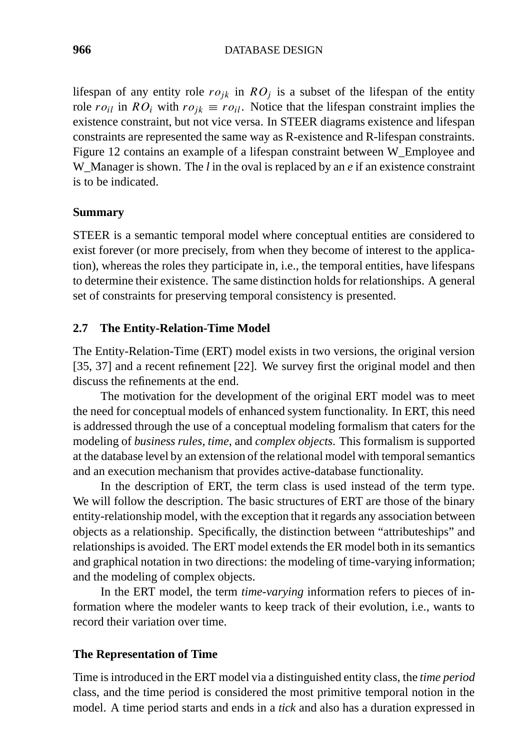lifespan of any entity role  $ro_{ik}$  in  $RO<sub>j</sub>$  is a subset of the lifespan of the entity role  $r \circ i \in \mathbb{R}$  *roil* with  $r \circ i \in \mathbb{R}$  *roil*. Notice that the lifespan constraint implies the existence constraint, but not vice versa. In STEER diagrams existence and lifespan constraints are represented the same way as R-existence and R-lifespan constraints. Figure 12 contains an example of a lifespan constraint between W\_Employee and W\_Manager is shown. The *l* in the oval is replaced by an *e* if an existence constraint is to be indicated.

# **Summary**

STEER is a semantic temporal model where conceptual entities are considered to exist forever (or more precisely, from when they become of interest to the application), whereas the roles they participate in, i.e., the temporal entities, have lifespans to determine their existence. The same distinction holds for relationships. A general set of constraints for preserving temporal consistency is presented.

# **2.7 The Entity-Relation-Time Model**

The Entity-Relation-Time (ERT) model exists in two versions, the original version [35, 37] and a recent refinement [22]. We survey first the original model and then discuss the refinements at the end.

The motivation for the development of the original ERT model was to meet the need for conceptual models of enhanced system functionality. In ERT, this need is addressed through the use of a conceptual modeling formalism that caters for the modeling of *business rules, time*, and *complex objects*. This formalism is supported at the database level by an extension of the relational model with temporal semantics and an execution mechanism that provides active-database functionality.

In the description of ERT, the term class is used instead of the term type. We will follow the description. The basic structures of ERT are those of the binary entity-relationship model, with the exception that it regards any association between objects as a relationship. Specifically, the distinction between "attributeships" and relationships is avoided. The ERT model extends the ER model both in its semantics and graphical notation in two directions: the modeling of time-varying information; and the modeling of complex objects.

In the ERT model, the term *time-varying* information refers to pieces of information where the modeler wants to keep track of their evolution, i.e., wants to record their variation over time.

#### **The Representation of Time**

Time is introduced in the ERT model via a distinguished entity class, the *time period* class, and the time period is considered the most primitive temporal notion in the model. A time period starts and ends in a *tick* and also has a duration expressed in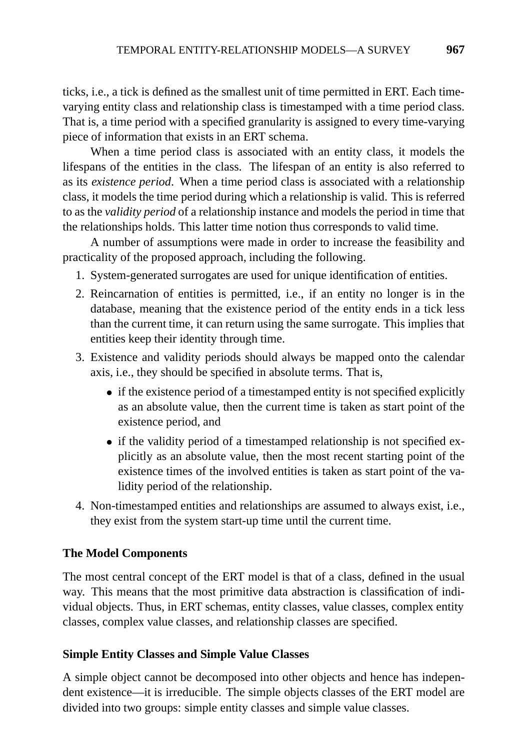ticks, i.e., a tick is defined as the smallest unit of time permitted in ERT. Each timevarying entity class and relationship class is timestamped with a time period class. That is, a time period with a specified granularity is assigned to every time-varying piece of information that exists in an ERT schema.

When a time period class is associated with an entity class, it models the lifespans of the entities in the class. The lifespan of an entity is also referred to as its *existence period*. When a time period class is associated with a relationship class, it models the time period during which a relationship is valid. This is referred to as the *validity period* of a relationship instance and models the period in time that the relationships holds. This latter time notion thus corresponds to valid time.

A number of assumptions were made in order to increase the feasibility and practicality of the proposed approach, including the following.

- 1. System-generated surrogates are used for unique identification of entities.
- 2. Reincarnation of entities is permitted, i.e., if an entity no longer is in the database, meaning that the existence period of the entity ends in a tick less than the current time, it can return using the same surrogate. This implies that entities keep their identity through time.
- 3. Existence and validity periods should always be mapped onto the calendar axis, i.e., they should be specified in absolute terms. That is,
	- if the existence period of a timestamped entity is not specified explicitly as an absolute value, then the current time is taken as start point of the existence period, and
	- if the validity period of a timestamped relationship is not specified explicitly as an absolute value, then the most recent starting point of the existence times of the involved entities is taken as start point of the validity period of the relationship.
- 4. Non-timestamped entities and relationships are assumed to always exist, i.e., they exist from the system start-up time until the current time.

# **The Model Components**

The most central concept of the ERT model is that of a class, defined in the usual way. This means that the most primitive data abstraction is classification of individual objects. Thus, in ERT schemas, entity classes, value classes, complex entity classes, complex value classes, and relationship classes are specified.

# **Simple Entity Classes and Simple Value Classes**

A simple object cannot be decomposed into other objects and hence has independent existence—it is irreducible. The simple objects classes of the ERT model are divided into two groups: simple entity classes and simple value classes.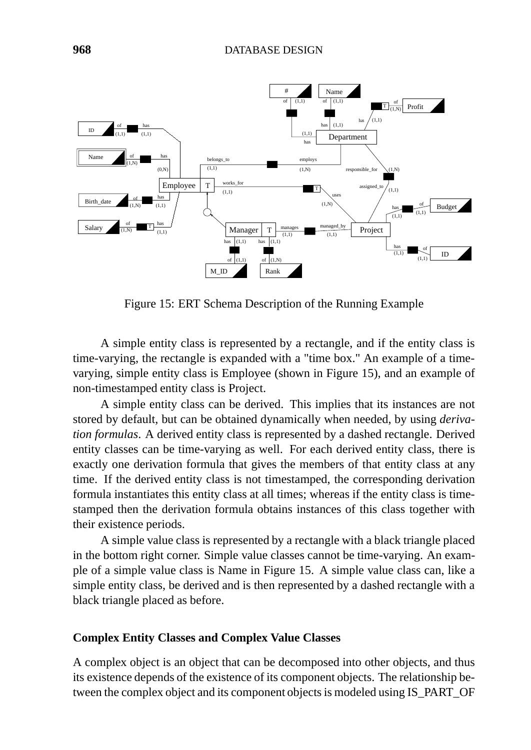

Figure 15: ERT Schema Description of the Running Example

A simple entity class is represented by a rectangle, and if the entity class is time-varying, the rectangle is expanded with a "time box." An example of a timevarying, simple entity class is Employee (shown in Figure 15), and an example of non-timestamped entity class is Project.

A simple entity class can be derived. This implies that its instances are not stored by default, but can be obtained dynamically when needed, by using *derivation formulas*. A derived entity class is represented by a dashed rectangle. Derived entity classes can be time-varying as well. For each derived entity class, there is exactly one derivation formula that gives the members of that entity class at any time. If the derived entity class is not timestamped, the corresponding derivation formula instantiates this entity class at all times; whereas if the entity class is timestamped then the derivation formula obtains instances of this class together with their existence periods.

A simple value class is represented by a rectangle with a black triangle placed in the bottom right corner. Simple value classes cannot be time-varying. An example of a simple value class is Name in Figure 15. A simple value class can, like a simple entity class, be derived and is then represented by a dashed rectangle with a black triangle placed as before.

#### **Complex Entity Classes and Complex Value Classes**

A complex object is an object that can be decomposed into other objects, and thus its existence depends of the existence of its component objects. The relationship between the complex object and its component objects is modeled using IS\_PART\_OF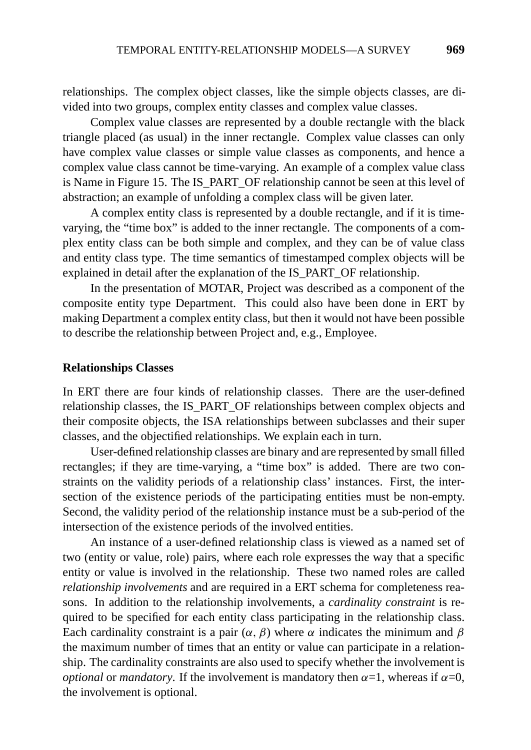relationships. The complex object classes, like the simple objects classes, are divided into two groups, complex entity classes and complex value classes.

Complex value classes are represented by a double rectangle with the black triangle placed (as usual) in the inner rectangle. Complex value classes can only have complex value classes or simple value classes as components, and hence a complex value class cannot be time-varying. An example of a complex value class is Name in Figure 15. The IS\_PART\_OF relationship cannot be seen at this level of abstraction; an example of unfolding a complex class will be given later.

A complex entity class is represented by a double rectangle, and if it is timevarying, the "time box" is added to the inner rectangle. The components of a complex entity class can be both simple and complex, and they can be of value class and entity class type. The time semantics of timestamped complex objects will be explained in detail after the explanation of the IS\_PART\_OF relationship.

In the presentation of MOTAR, Project was described as a component of the composite entity type Department. This could also have been done in ERT by making Department a complex entity class, but then it would not have been possible to describe the relationship between Project and, e.g., Employee.

#### **Relationships Classes**

In ERT there are four kinds of relationship classes. There are the user-defined relationship classes, the IS\_PART\_OF relationships between complex objects and their composite objects, the ISA relationships between subclasses and their super classes, and the objectified relationships. We explain each in turn.

User-defined relationship classes are binary and are represented by small filled rectangles; if they are time-varying, a "time box" is added. There are two constraints on the validity periods of a relationship class' instances. First, the intersection of the existence periods of the participating entities must be non-empty. Second, the validity period of the relationship instance must be a sub-period of the intersection of the existence periods of the involved entities.

An instance of a user-defined relationship class is viewed as a named set of two (entity or value, role) pairs, where each role expresses the way that a specific entity or value is involved in the relationship. These two named roles are called *relationship involvements* and are required in a ERT schema for completeness reasons. In addition to the relationship involvements, a *cardinality constraint* is required to be specified for each entity class participating in the relationship class. Each cardinality constraint is a pair  $(\alpha, \beta)$  where  $\alpha$  indicates the minimum and  $\beta$ the maximum number of times that an entity or value can participate in a relationship. The cardinality constraints are also used to specify whether the involvement is *optional* or *mandatory*. If the involvement is mandatory then  $\alpha = 1$ , whereas if  $\alpha = 0$ , the involvement is optional.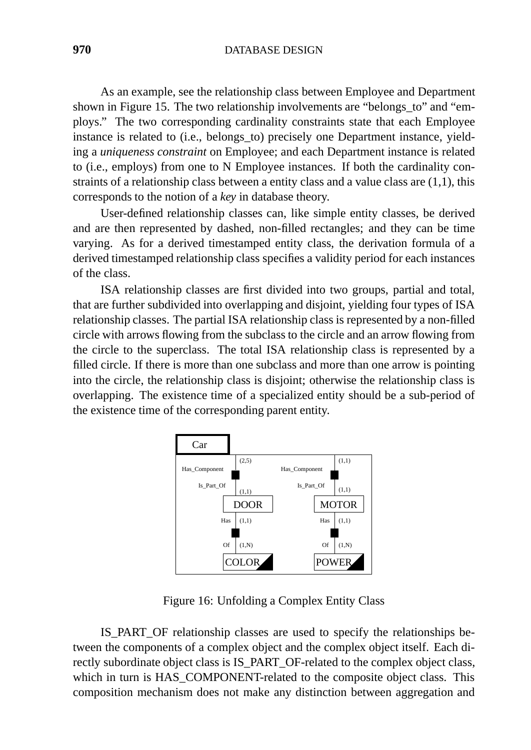As an example, see the relationship class between Employee and Department shown in Figure 15. The two relationship involvements are "belongs\_to" and "employs." The two corresponding cardinality constraints state that each Employee instance is related to (i.e., belongs\_to) precisely one Department instance, yielding a *uniqueness constraint* on Employee; and each Department instance is related to (i.e., employs) from one to N Employee instances. If both the cardinality constraints of a relationship class between a entity class and a value class are (1,1), this corresponds to the notion of a *key* in database theory.

User-defined relationship classes can, like simple entity classes, be derived and are then represented by dashed, non-filled rectangles; and they can be time varying. As for a derived timestamped entity class, the derivation formula of a derived timestamped relationship class specifies a validity period for each instances of the class.

ISA relationship classes are first divided into two groups, partial and total, that are further subdivided into overlapping and disjoint, yielding four types of ISA relationship classes. The partial ISA relationship class is represented by a non-filled circle with arrows flowing from the subclass to the circle and an arrow flowing from the circle to the superclass. The total ISA relationship class is represented by a filled circle. If there is more than one subclass and more than one arrow is pointing into the circle, the relationship class is disjoint; otherwise the relationship class is overlapping. The existence time of a specialized entity should be a sub-period of the existence time of the corresponding parent entity.



Figure 16: Unfolding a Complex Entity Class

IS\_PART\_OF relationship classes are used to specify the relationships between the components of a complex object and the complex object itself. Each directly subordinate object class is IS\_PART\_OF-related to the complex object class, which in turn is HAS\_COMPONENT-related to the composite object class. This composition mechanism does not make any distinction between aggregation and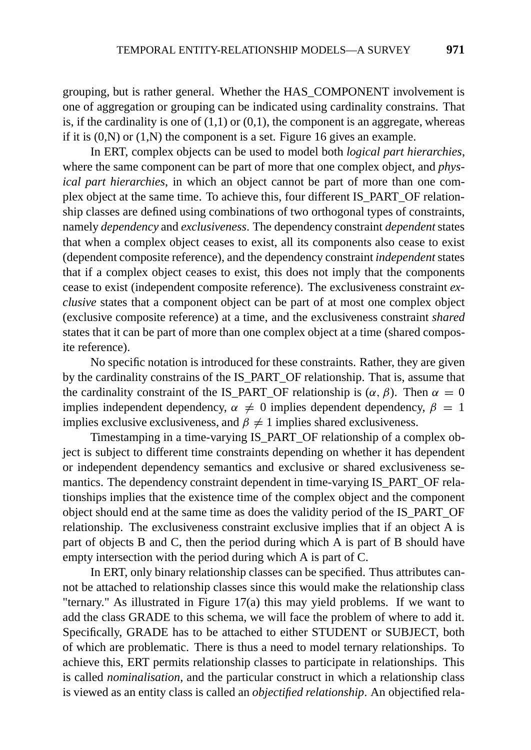grouping, but is rather general. Whether the HAS\_COMPONENT involvement is one of aggregation or grouping can be indicated using cardinality constrains. That is, if the cardinality is one of  $(1,1)$  or  $(0,1)$ , the component is an aggregate, whereas if it is  $(0,N)$  or  $(1,N)$  the component is a set. Figure 16 gives an example.

In ERT, complex objects can be used to model both *logical part hierarchies*, where the same component can be part of more that one complex object, and *physical part hierarchies*, in which an object cannot be part of more than one complex object at the same time. To achieve this, four different IS\_PART\_OF relationship classes are defined using combinations of two orthogonal types of constraints, namely *dependency* and *exclusiveness*. The dependency constraint *dependent*states that when a complex object ceases to exist, all its components also cease to exist (dependent composite reference), and the dependency constraint *independent* states that if a complex object ceases to exist, this does not imply that the components cease to exist (independent composite reference). The exclusiveness constraint *exclusive* states that a component object can be part of at most one complex object (exclusive composite reference) at a time, and the exclusiveness constraint *shared* states that it can be part of more than one complex object at a time (shared composite reference).

No specific notation is introduced for these constraints. Rather, they are given by the cardinality constrains of the IS\_PART\_OF relationship. That is, assume that the cardinality constraint of the IS\_PART\_OF relationship is  $(\alpha, \beta)$ . Then  $\alpha = 0$ implies independent dependency,  $\alpha \neq 0$  implies dependent dependency,  $\beta = 1$ implies exclusive exclusiveness, and  $\beta \neq 1$  implies shared exclusiveness.

Timestamping in a time-varying IS\_PART\_OF relationship of a complex object is subject to different time constraints depending on whether it has dependent or independent dependency semantics and exclusive or shared exclusiveness semantics. The dependency constraint dependent in time-varying IS\_PART\_OF relationships implies that the existence time of the complex object and the component object should end at the same time as does the validity period of the IS\_PART\_OF relationship. The exclusiveness constraint exclusive implies that if an object A is part of objects B and C, then the period during which A is part of B should have empty intersection with the period during which A is part of C.

In ERT, only binary relationship classes can be specified. Thus attributes cannot be attached to relationship classes since this would make the relationship class "ternary." As illustrated in Figure 17(a) this may yield problems. If we want to add the class GRADE to this schema, we will face the problem of where to add it. Specifically, GRADE has to be attached to either STUDENT or SUBJECT, both of which are problematic. There is thus a need to model ternary relationships. To achieve this, ERT permits relationship classes to participate in relationships. This is called *nominalisation*, and the particular construct in which a relationship class is viewed as an entity class is called an *objectified relationship*. An objectified rela-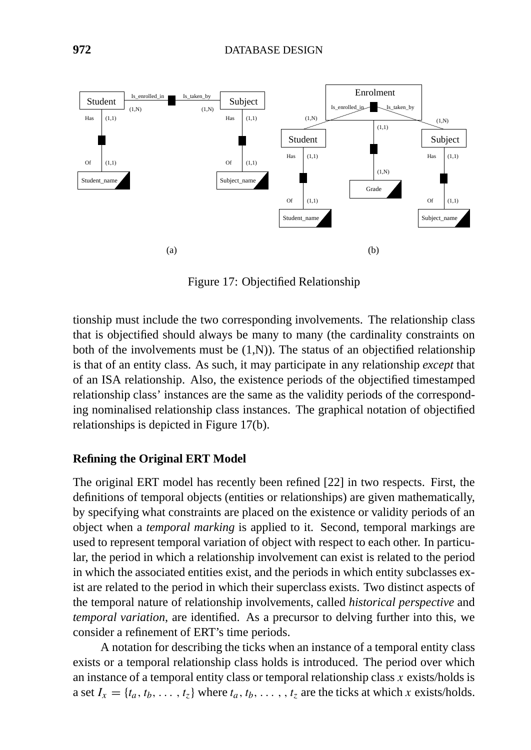

Figure 17: Objectified Relationship

tionship must include the two corresponding involvements. The relationship class that is objectified should always be many to many (the cardinality constraints on both of the involvements must be  $(1,N)$ ). The status of an objectified relationship is that of an entity class. As such, it may participate in any relationship *except* that of an ISA relationship. Also, the existence periods of the objectified timestamped relationship class' instances are the same as the validity periods of the corresponding nominalised relationship class instances. The graphical notation of objectified relationships is depicted in Figure 17(b).

# **Refining the Original ERT Model**

The original ERT model has recently been refined [22] in two respects. First, the definitions of temporal objects (entities or relationships) are given mathematically, by specifying what constraints are placed on the existence or validity periods of an object when a *temporal marking* is applied to it. Second, temporal markings are used to represent temporal variation of object with respect to each other. In particular, the period in which a relationship involvement can exist is related to the period in which the associated entities exist, and the periods in which entity subclasses exist are related to the period in which their superclass exists. Two distinct aspects of the temporal nature of relationship involvements, called *historical perspective* and *temporal variation*, are identified. As a precursor to delving further into this, we consider a refinement of ERT's time periods.

A notation for describing the ticks when an instance of a temporal entity class exists or a temporal relationship class holds is introduced. The period over which an instance of a temporal entity class or temporal relationship class *x* exists/holds is a set  $I_x = \{t_a, t_b, \ldots, t_z\}$  where  $t_a, t_b, \ldots, t_z$  are the ticks at which *x* exists/holds.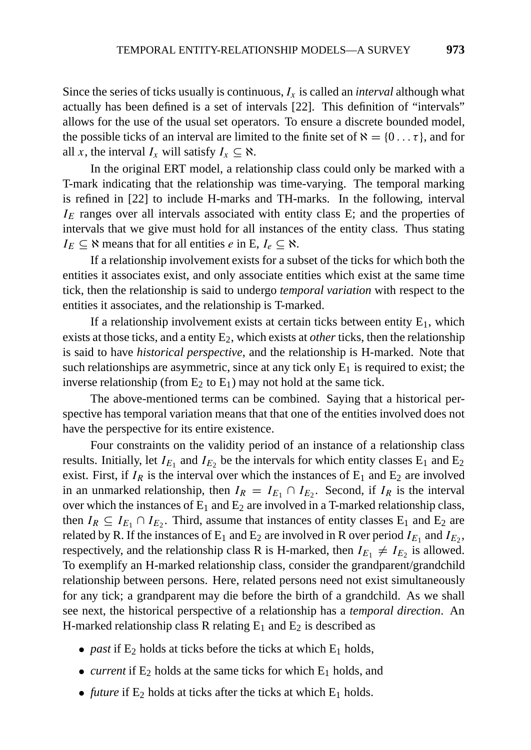Since the series of ticks usually is continuous,  $I_x$  is called an *interval* although what actually has been defined is a set of intervals [22]. This definition of "intervals" allows for the use of the usual set operators. To ensure a discrete bounded model, the possible ticks of an interval are limited to the finite set of  $\aleph = \{0 \dots \tau\}$ , and for all *x*, the interval  $I_x$  will satisfy  $I_x \subseteq \aleph$ .

In the original ERT model, a relationship class could only be marked with a T-mark indicating that the relationship was time-varying. The temporal marking is refined in [22] to include H-marks and TH-marks. In the following, interval *I<sub>E</sub>* ranges over all intervals associated with entity class E; and the properties of intervals that we give must hold for all instances of the entity class. Thus stating  $I_E \subseteq \aleph$  means that for all entities *e* in E,  $I_e \subseteq \aleph$ .

If a relationship involvement exists for a subset of the ticks for which both the entities it associates exist, and only associate entities which exist at the same time tick, then the relationship is said to undergo *temporal variation* with respect to the entities it associates, and the relationship is T-marked.

If a relationship involvement exists at certain ticks between entity  $E_1$ , which exists at those ticks, and a entity E<sub>2</sub>, which exists at *other* ticks, then the relationship is said to have *historical perspective*, and the relationship is H-marked. Note that such relationships are asymmetric, since at any tick only  $E_1$  is required to exist; the inverse relationship (from  $E_2$  to  $E_1$ ) may not hold at the same tick.

The above-mentioned terms can be combined. Saying that a historical perspective has temporal variation means that that one of the entities involved does not have the perspective for its entire existence.

Four constraints on the validity period of an instance of a relationship class results. Initially, let  $I_{E_1}$  and  $I_{E_2}$  be the intervals for which entity classes  $E_1$  and  $E_2$ exist. First, if  $I_R$  is the interval over which the instances of  $E_1$  and  $E_2$  are involved in an unmarked relationship, then  $I_R = I_{E_1} \cap I_{E_2}$ . Second, if  $I_R$  is the interval over which the instances of  $E_1$  and  $E_2$  are involved in a T-marked relationship class, then  $I_R \subseteq I_{E_1} \cap I_{E_2}$ . Third, assume that instances of entity classes  $E_1$  and  $E_2$  are related by R. If the instances of  $E_1$  and  $E_2$  are involved in R over period  $I_{E_1}$  and  $I_{E_2}$ , respectively, and the relationship class R is H-marked, then  $I_{E_1} \neq I_{E_2}$  is allowed. To exemplify an H-marked relationship class, consider the grandparent/grandchild relationship between persons. Here, related persons need not exist simultaneously for any tick; a grandparent may die before the birth of a grandchild. As we shall see next, the historical perspective of a relationship has a *temporal direction*. An H-marked relationship class R relating  $E_1$  and  $E_2$  is described as

- *past* if  $E_2$  holds at ticks before the ticks at which  $E_1$  holds,
- *current* if  $E_2$  holds at the same ticks for which  $E_1$  holds, and
- *future* if  $E_2$  holds at ticks after the ticks at which  $E_1$  holds.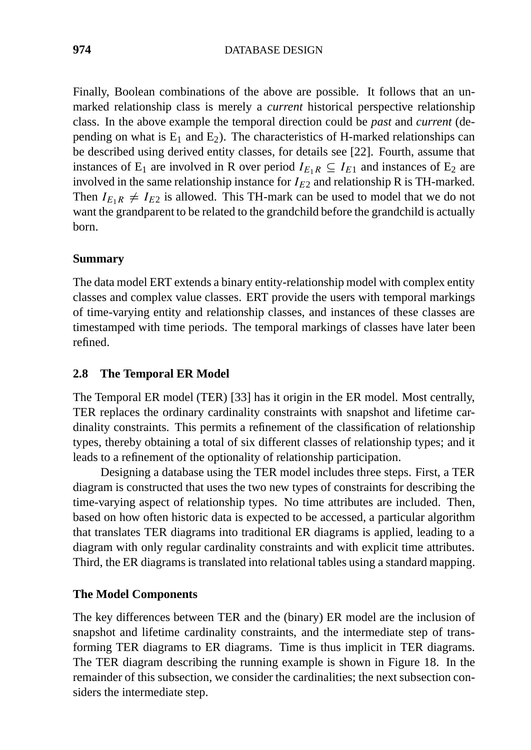Finally, Boolean combinations of the above are possible. It follows that an unmarked relationship class is merely a *current* historical perspective relationship class. In the above example the temporal direction could be *past* and *current* (depending on what is  $E_1$  and  $E_2$ ). The characteristics of H-marked relationships can be described using derived entity classes, for details see [22]. Fourth, assume that instances of E<sub>1</sub> are involved in R over period  $I_{E_1R} \subseteq I_{E_1}$  and instances of E<sub>2</sub> are involved in the same relationship instance for  $I_{E2}$  and relationship R is TH-marked. Then  $I_{E_1R} \neq I_{E_2}$  is allowed. This TH-mark can be used to model that we do not want the grandparent to be related to the grandchild before the grandchild is actually born.

# **Summary**

The data model ERT extends a binary entity-relationship model with complex entity classes and complex value classes. ERT provide the users with temporal markings of time-varying entity and relationship classes, and instances of these classes are timestamped with time periods. The temporal markings of classes have later been refined.

# **2.8 The Temporal ER Model**

The Temporal ER model (TER) [33] has it origin in the ER model. Most centrally, TER replaces the ordinary cardinality constraints with snapshot and lifetime cardinality constraints. This permits a refinement of the classification of relationship types, thereby obtaining a total of six different classes of relationship types; and it leads to a refinement of the optionality of relationship participation.

Designing a database using the TER model includes three steps. First, a TER diagram is constructed that uses the two new types of constraints for describing the time-varying aspect of relationship types. No time attributes are included. Then, based on how often historic data is expected to be accessed, a particular algorithm that translates TER diagrams into traditional ER diagrams is applied, leading to a diagram with only regular cardinality constraints and with explicit time attributes. Third, the ER diagrams is translated into relational tables using a standard mapping.

#### **The Model Components**

The key differences between TER and the (binary) ER model are the inclusion of snapshot and lifetime cardinality constraints, and the intermediate step of transforming TER diagrams to ER diagrams. Time is thus implicit in TER diagrams. The TER diagram describing the running example is shown in Figure 18. In the remainder of this subsection, we consider the cardinalities; the next subsection considers the intermediate step.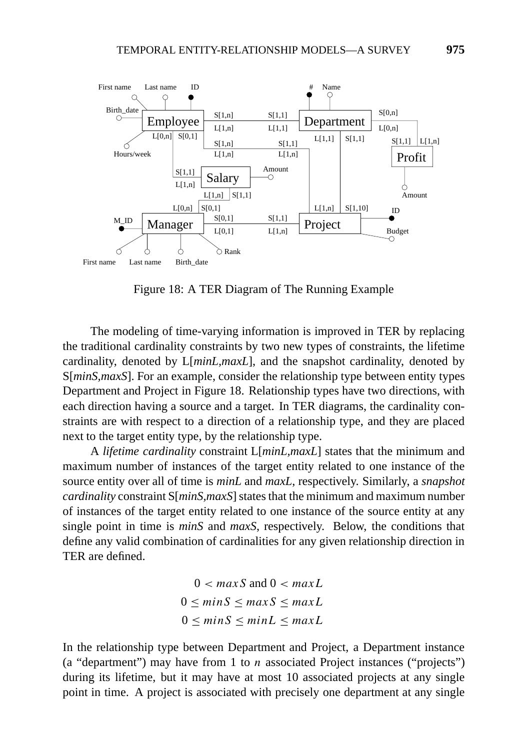

Figure 18: A TER Diagram of The Running Example

The modeling of time-varying information is improved in TER by replacing the traditional cardinality constraints by two new types of constraints, the lifetime cardinality, denoted by L[*minL,maxL*], and the snapshot cardinality, denoted by S[*minS,maxS*]. For an example, consider the relationship type between entity types Department and Project in Figure 18. Relationship types have two directions, with each direction having a source and a target. In TER diagrams, the cardinality constraints are with respect to a direction of a relationship type, and they are placed next to the target entity type, by the relationship type.

A *lifetime cardinality* constraint L[*minL,maxL*] states that the minimum and maximum number of instances of the target entity related to one instance of the source entity over all of time is *minL* and *maxL*, respectively. Similarly, a *snapshot cardinality* constraint S[*minS,maxS*] states that the minimum and maximum number of instances of the target entity related to one instance of the source entity at any single point in time is *minS* and *maxS*, respectively. Below, the conditions that define any valid combination of cardinalities for any given relationship direction in TER are defined.

> $0 < maxS$  and  $0 < maxL$  $0 \leq minS \leq maxS \leq maxL$  $0 \leq minS \leq minL \leq maxL$

In the relationship type between Department and Project, a Department instance (a "department") may have from 1 to *n* associated Project instances ("projects") during its lifetime, but it may have at most 10 associated projects at any single point in time. A project is associated with precisely one department at any single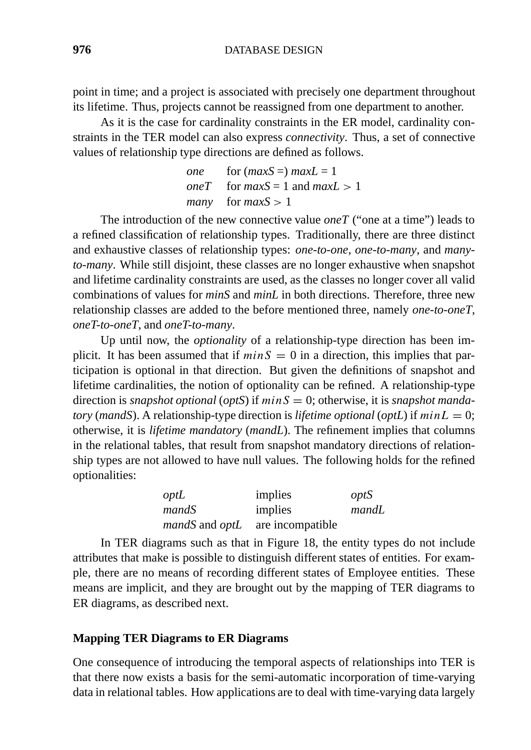point in time; and a project is associated with precisely one department throughout its lifetime. Thus, projects cannot be reassigned from one department to another.

As it is the case for cardinality constraints in the ER model, cardinality constraints in the TER model can also express *connectivity*. Thus, a set of connective values of relationship type directions are defined as follows.

| one for $(maxS =) maxL = 1$               |
|-------------------------------------------|
| <i>oneT</i> for $maxS = 1$ and $maxL > 1$ |
| <i>many</i> for $maxS > 1$                |

The introduction of the new connective value *oneT* ("one at a time") leads to a refined classification of relationship types. Traditionally, there are three distinct and exhaustive classes of relationship types: *one-to-one*, *one-to-many*, and *manyto-many*. While still disjoint, these classes are no longer exhaustive when snapshot and lifetime cardinality constraints are used, as the classes no longer cover all valid combinations of values for *minS* and *minL* in both directions. Therefore, three new relationship classes are added to the before mentioned three, namely *one-to-oneT*, *oneT-to-oneT*, and *oneT-to-many*.

Up until now, the *optionality* of a relationship-type direction has been implicit. It has been assumed that if  $minS = 0$  in a direction, this implies that participation is optional in that direction. But given the definitions of snapshot and lifetime cardinalities, the notion of optionality can be refined. A relationship-type direction is *snapshot optional* (*optS*) if *minS* = 0; otherwise, it is *snapshot mandatory* (*mandS*). A relationship-type direction is *lifetime optional* (*optL*) if  $minL = 0$ ; otherwise, it is *lifetime mandatory* (*mandL*). The refinement implies that columns in the relational tables, that result from snapshot mandatory directions of relationship types are not allowed to have null values. The following holds for the refined optionalities:

| optL  | implies                                       | optS  |
|-------|-----------------------------------------------|-------|
| mandS | implies                                       | mandL |
|       | <i>mandS</i> and <i>optL</i> are incompatible |       |

In TER diagrams such as that in Figure 18, the entity types do not include attributes that make is possible to distinguish different states of entities. For example, there are no means of recording different states of Employee entities. These means are implicit, and they are brought out by the mapping of TER diagrams to ER diagrams, as described next.

#### **Mapping TER Diagrams to ER Diagrams**

One consequence of introducing the temporal aspects of relationships into TER is that there now exists a basis for the semi-automatic incorporation of time-varying data in relational tables. How applications are to deal with time-varying data largely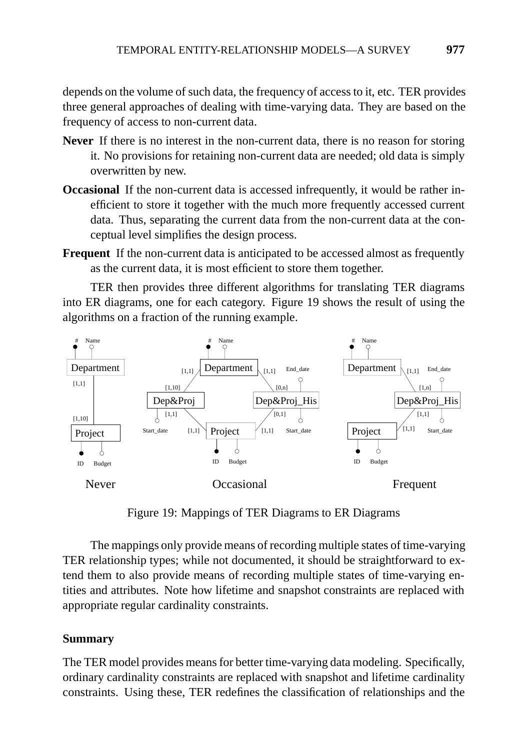depends on the volume of such data, the frequency of access to it, etc. TER provides three general approaches of dealing with time-varying data. They are based on the frequency of access to non-current data.

- **Never** If there is no interest in the non-current data, there is no reason for storing it. No provisions for retaining non-current data are needed; old data is simply overwritten by new.
- **Occasional** If the non-current data is accessed infrequently, it would be rather inefficient to store it together with the much more frequently accessed current data. Thus, separating the current data from the non-current data at the conceptual level simplifies the design process.
- **Frequent** If the non-current data is anticipated to be accessed almost as frequently as the current data, it is most efficient to store them together.

TER then provides three different algorithms for translating TER diagrams into ER diagrams, one for each category. Figure 19 shows the result of using the algorithms on a fraction of the running example.



Figure 19: Mappings of TER Diagrams to ER Diagrams

The mappings only provide means of recording multiple states of time-varying TER relationship types; while not documented, it should be straightforward to extend them to also provide means of recording multiple states of time-varying entities and attributes. Note how lifetime and snapshot constraints are replaced with appropriate regular cardinality constraints.

# **Summary**

The TER model provides means for better time-varying data modeling. Specifically, ordinary cardinality constraints are replaced with snapshot and lifetime cardinality constraints. Using these, TER redefines the classification of relationships and the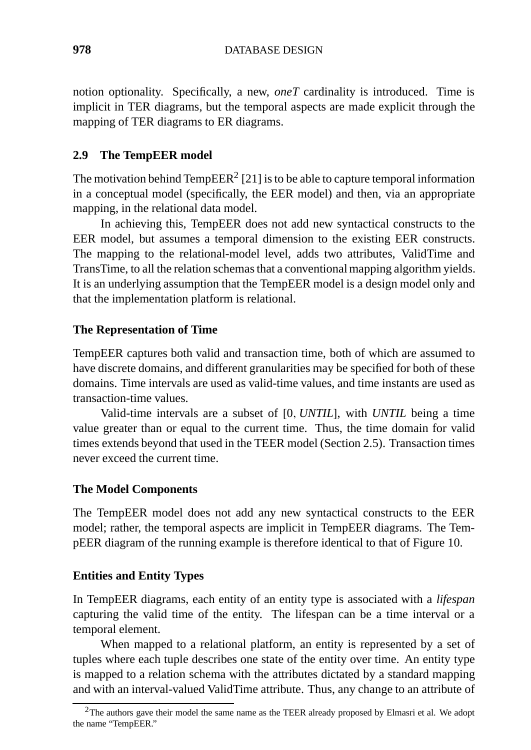notion optionality. Specifically, a new, *oneT* cardinality is introduced. Time is implicit in TER diagrams, but the temporal aspects are made explicit through the mapping of TER diagrams to ER diagrams.

# **2.9 The TempEER model**

The motivation behind  $TempEER<sup>2</sup>$  [21] is to be able to capture temporal information in a conceptual model (specifically, the EER model) and then, via an appropriate mapping, in the relational data model.

In achieving this, TempEER does not add new syntactical constructs to the EER model, but assumes a temporal dimension to the existing EER constructs. The mapping to the relational-model level, adds two attributes, ValidTime and TransTime, to all the relation schemas that a conventional mapping algorithm yields. It is an underlying assumption that the TempEER model is a design model only and that the implementation platform is relational.

# **The Representation of Time**

TempEER captures both valid and transaction time, both of which are assumed to have discrete domains, and different granularities may be specified for both of these domains. Time intervals are used as valid-time values, and time instants are used as transaction-time values.

Valid-time intervals are a subset of [0*, UNTIL*], with *UNTIL* being a time value greater than or equal to the current time. Thus, the time domain for valid times extends beyond that used in the TEER model (Section 2.5). Transaction times never exceed the current time.

# **The Model Components**

The TempEER model does not add any new syntactical constructs to the EER model; rather, the temporal aspects are implicit in TempEER diagrams. The TempEER diagram of the running example is therefore identical to that of Figure 10.

# **Entities and Entity Types**

In TempEER diagrams, each entity of an entity type is associated with a *lifespan* capturing the valid time of the entity. The lifespan can be a time interval or a temporal element.

When mapped to a relational platform, an entity is represented by a set of tuples where each tuple describes one state of the entity over time. An entity type is mapped to a relation schema with the attributes dictated by a standard mapping and with an interval-valued ValidTime attribute. Thus, any change to an attribute of

<sup>&</sup>lt;sup>2</sup>The authors gave their model the same name as the TEER already proposed by Elmasri et al. We adopt the name "TempEER."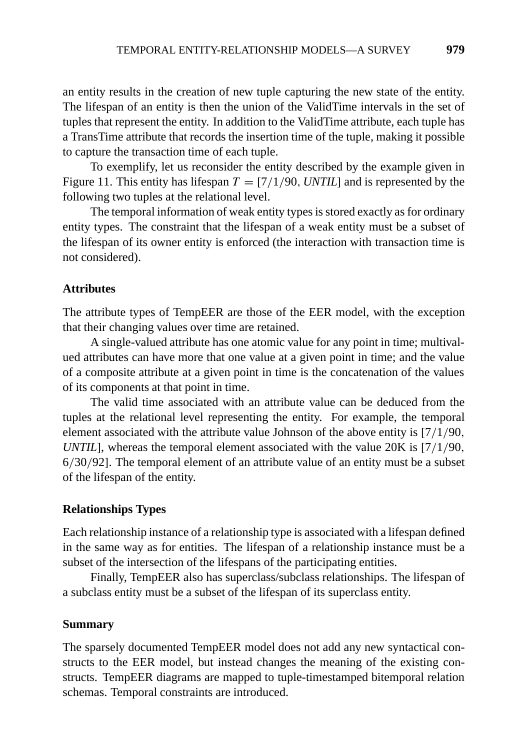an entity results in the creation of new tuple capturing the new state of the entity. The lifespan of an entity is then the union of the ValidTime intervals in the set of tuples that represent the entity. In addition to the ValidTime attribute, each tuple has a TransTime attribute that records the insertion time of the tuple, making it possible to capture the transaction time of each tuple.

To exemplify, let us reconsider the entity described by the example given in Figure 11. This entity has lifespan  $T = [7/1/90, \text{UNTIL}]$  and is represented by the following two tuples at the relational level.

The temporal information of weak entity types is stored exactly as for ordinary entity types. The constraint that the lifespan of a weak entity must be a subset of the lifespan of its owner entity is enforced (the interaction with transaction time is not considered).

#### **Attributes**

The attribute types of TempEER are those of the EER model, with the exception that their changing values over time are retained.

A single-valued attribute has one atomic value for any point in time; multivalued attributes can have more that one value at a given point in time; and the value of a composite attribute at a given point in time is the concatenation of the values of its components at that point in time.

The valid time associated with an attribute value can be deduced from the tuples at the relational level representing the entity. For example, the temporal element associated with the attribute value Johnson of the above entity is [7*/*1*/*90*, UNTIL*], whereas the temporal element associated with the value 20K is [7*/*1*/*90*,* 6*/*30*/*92]. The temporal element of an attribute value of an entity must be a subset of the lifespan of the entity.

#### **Relationships Types**

Each relationship instance of a relationship type is associated with a lifespan defined in the same way as for entities. The lifespan of a relationship instance must be a subset of the intersection of the lifespans of the participating entities.

Finally, TempEER also has superclass/subclass relationships. The lifespan of a subclass entity must be a subset of the lifespan of its superclass entity.

#### **Summary**

The sparsely documented TempEER model does not add any new syntactical constructs to the EER model, but instead changes the meaning of the existing constructs. TempEER diagrams are mapped to tuple-timestamped bitemporal relation schemas. Temporal constraints are introduced.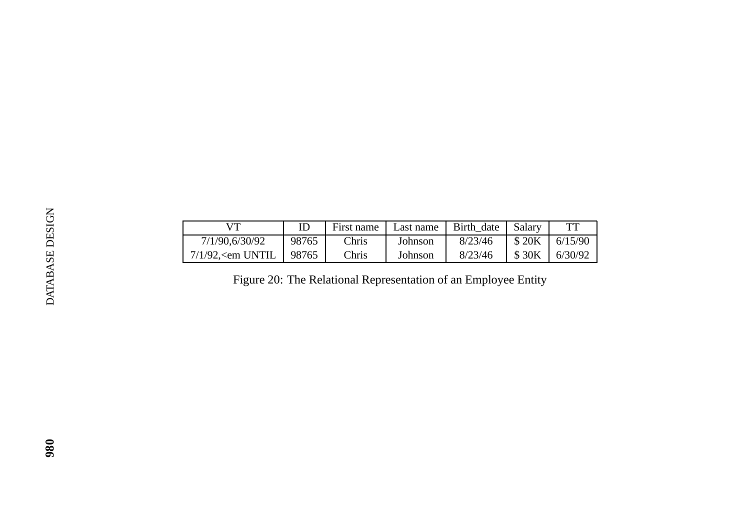|                 | <b>VT</b>                      | ID    | First name                                                     | Last name | Birth_date | Salary | <b>TT</b> |
|-----------------|--------------------------------|-------|----------------------------------------------------------------|-----------|------------|--------|-----------|
|                 | 7/1/90,6/30/92                 | 98765 | Chris                                                          | Johnson   | 8/23/46    | \$20K  | 6/15/90   |
|                 | $7/1/92$ , $\epsilon$ em UNTIL | 98765 | Chris                                                          | Johnson   | 8/23/46    | \$30K  | 6/30/92   |
| DATABASE DESIGN |                                |       | Figure 20: The Relational Representation of an Employee Entity |           |            |        |           |
|                 |                                |       |                                                                |           |            |        |           |
|                 |                                |       |                                                                |           |            |        |           |
|                 |                                |       |                                                                |           |            |        |           |
|                 |                                |       |                                                                |           |            |        |           |
| 980             |                                |       |                                                                |           |            |        |           |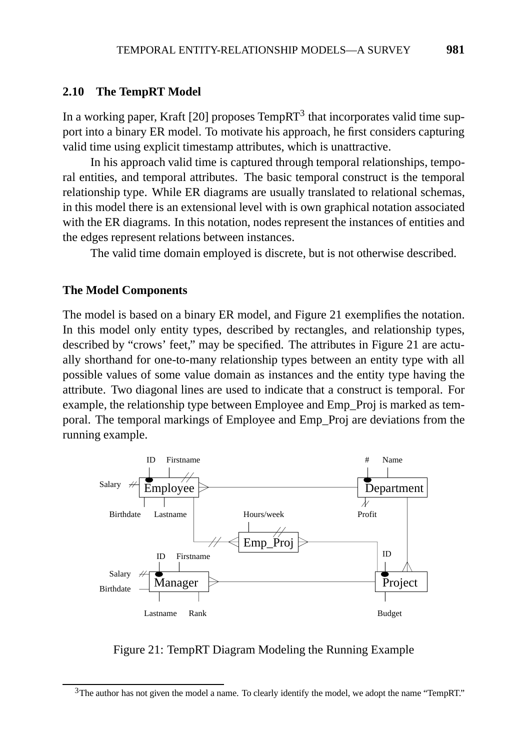#### **2.10 The TempRT Model**

In a working paper, Kraft [20] proposes  $TempRT<sup>3</sup>$  that incorporates valid time support into a binary ER model. To motivate his approach, he first considers capturing valid time using explicit timestamp attributes, which is unattractive.

In his approach valid time is captured through temporal relationships, temporal entities, and temporal attributes. The basic temporal construct is the temporal relationship type. While ER diagrams are usually translated to relational schemas, in this model there is an extensional level with is own graphical notation associated with the ER diagrams. In this notation, nodes represent the instances of entities and the edges represent relations between instances.

The valid time domain employed is discrete, but is not otherwise described.

#### **The Model Components**

The model is based on a binary ER model, and Figure 21 exemplifies the notation. In this model only entity types, described by rectangles, and relationship types, described by "crows' feet," may be specified. The attributes in Figure 21 are actually shorthand for one-to-many relationship types between an entity type with all possible values of some value domain as instances and the entity type having the attribute. Two diagonal lines are used to indicate that a construct is temporal. For example, the relationship type between Employee and Emp\_Proj is marked as temporal. The temporal markings of Employee and Emp\_Proj are deviations from the running example.



Figure 21: TempRT Diagram Modeling the Running Example

<sup>&</sup>lt;sup>3</sup>The author has not given the model a name. To clearly identify the model, we adopt the name "TempRT."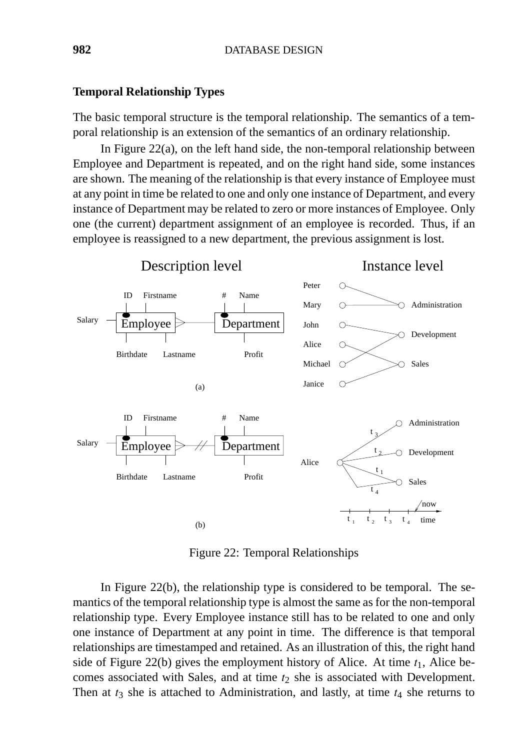#### **Temporal Relationship Types**

The basic temporal structure is the temporal relationship. The semantics of a temporal relationship is an extension of the semantics of an ordinary relationship.

In Figure  $22(a)$ , on the left hand side, the non-temporal relationship between Employee and Department is repeated, and on the right hand side, some instances are shown. The meaning of the relationship is that every instance of Employee must at any point in time be related to one and only one instance of Department, and every instance of Department may be related to zero or more instances of Employee. Only one (the current) department assignment of an employee is recorded. Thus, if an employee is reassigned to a new department, the previous assignment is lost.



Figure 22: Temporal Relationships

In Figure 22(b), the relationship type is considered to be temporal. The semantics of the temporal relationship type is almost the same as for the non-temporal relationship type. Every Employee instance still has to be related to one and only one instance of Department at any point in time. The difference is that temporal relationships are timestamped and retained. As an illustration of this, the right hand side of Figure 22(b) gives the employment history of Alice. At time *t*1, Alice becomes associated with Sales, and at time  $t_2$  she is associated with Development. Then at *t*<sup>3</sup> she is attached to Administration, and lastly, at time *t*<sup>4</sup> she returns to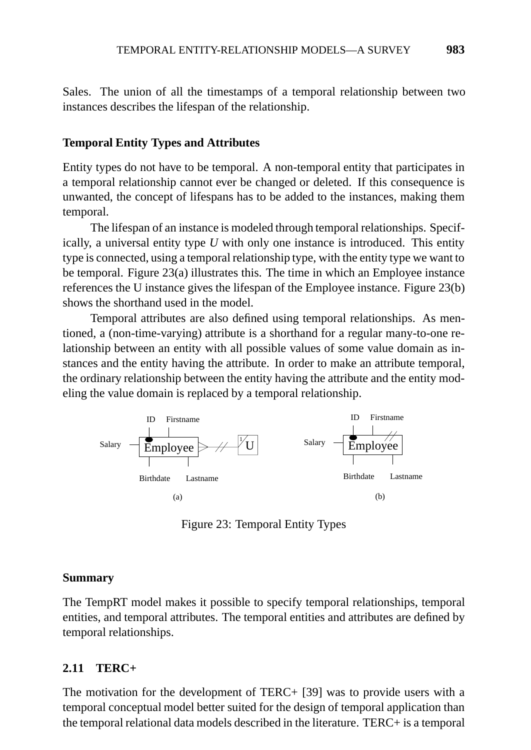Sales. The union of all the timestamps of a temporal relationship between two instances describes the lifespan of the relationship.

#### **Temporal Entity Types and Attributes**

Entity types do not have to be temporal. A non-temporal entity that participates in a temporal relationship cannot ever be changed or deleted. If this consequence is unwanted, the concept of lifespans has to be added to the instances, making them temporal.

The lifespan of an instance is modeled through temporal relationships. Specifically, a universal entity type *U* with only one instance is introduced. This entity type is connected, using a temporal relationship type, with the entity type we want to be temporal. Figure 23(a) illustrates this. The time in which an Employee instance references the U instance gives the lifespan of the Employee instance. Figure 23(b) shows the shorthand used in the model.

Temporal attributes are also defined using temporal relationships. As mentioned, a (non-time-varying) attribute is a shorthand for a regular many-to-one relationship between an entity with all possible values of some value domain as instances and the entity having the attribute. In order to make an attribute temporal, the ordinary relationship between the entity having the attribute and the entity modeling the value domain is replaced by a temporal relationship.



Figure 23: Temporal Entity Types

#### **Summary**

The TempRT model makes it possible to specify temporal relationships, temporal entities, and temporal attributes. The temporal entities and attributes are defined by temporal relationships.

#### **2.11 TERC+**

The motivation for the development of TERC+ [39] was to provide users with a temporal conceptual model better suited for the design of temporal application than the temporal relational data models described in the literature. TERC+ is a temporal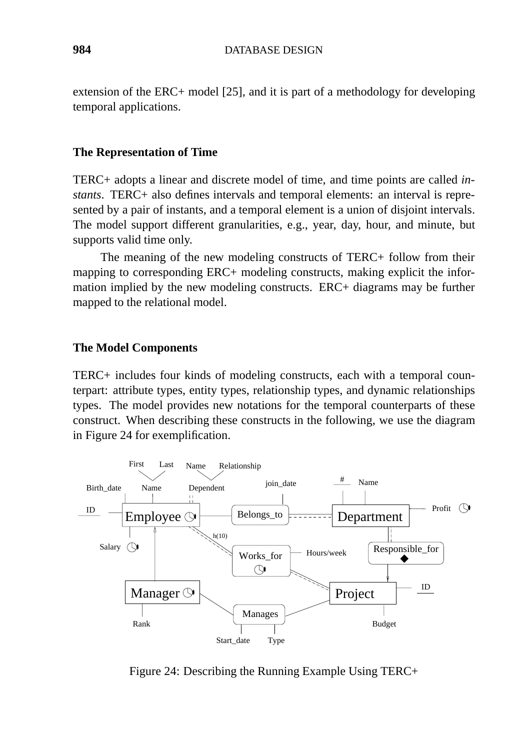extension of the ERC+ model [25], and it is part of a methodology for developing temporal applications.

#### **The Representation of Time**

TERC+ adopts a linear and discrete model of time, and time points are called *instants*. TERC+ also defines intervals and temporal elements: an interval is represented by a pair of instants, and a temporal element is a union of disjoint intervals. The model support different granularities, e.g., year, day, hour, and minute, but supports valid time only.

The meaning of the new modeling constructs of TERC+ follow from their mapping to corresponding ERC+ modeling constructs, making explicit the information implied by the new modeling constructs. ERC+ diagrams may be further mapped to the relational model.

#### **The Model Components**

TERC+ includes four kinds of modeling constructs, each with a temporal counterpart: attribute types, entity types, relationship types, and dynamic relationships types. The model provides new notations for the temporal counterparts of these construct. When describing these constructs in the following, we use the diagram in Figure 24 for exemplification.



Figure 24: Describing the Running Example Using TERC+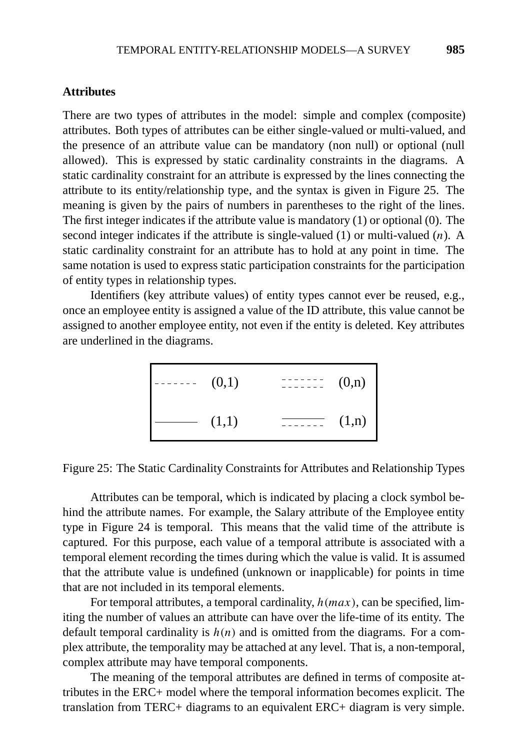#### **Attributes**

There are two types of attributes in the model: simple and complex (composite) attributes. Both types of attributes can be either single-valued or multi-valued, and the presence of an attribute value can be mandatory (non null) or optional (null allowed). This is expressed by static cardinality constraints in the diagrams. A static cardinality constraint for an attribute is expressed by the lines connecting the attribute to its entity/relationship type, and the syntax is given in Figure 25. The meaning is given by the pairs of numbers in parentheses to the right of the lines. The first integer indicates if the attribute value is mandatory (1) or optional (0). The second integer indicates if the attribute is single-valued (1) or multi-valued (*n*). A static cardinality constraint for an attribute has to hold at any point in time. The same notation is used to express static participation constraints for the participation of entity types in relationship types.

Identifiers (key attribute values) of entity types cannot ever be reused, e.g., once an employee entity is assigned a value of the ID attribute, this value cannot be assigned to another employee entity, not even if the entity is deleted. Key attributes are underlined in the diagrams.

> $(1,1)$   $\overline{\qquad \qquad } (1,n)$  $(0,1)$   $\qquad \qquad 1 \qquad (0,n)$

Figure 25: The Static Cardinality Constraints for Attributes and Relationship Types

Attributes can be temporal, which is indicated by placing a clock symbol behind the attribute names. For example, the Salary attribute of the Employee entity type in Figure 24 is temporal. This means that the valid time of the attribute is captured. For this purpose, each value of a temporal attribute is associated with a temporal element recording the times during which the value is valid. It is assumed that the attribute value is undefined (unknown or inapplicable) for points in time that are not included in its temporal elements.

For temporal attributes, a temporal cardinality, *h(max)*, can be specified, limiting the number of values an attribute can have over the life-time of its entity. The default temporal cardinality is  $h(n)$  and is omitted from the diagrams. For a complex attribute, the temporality may be attached at any level. That is, a non-temporal, complex attribute may have temporal components.

The meaning of the temporal attributes are defined in terms of composite attributes in the ERC+ model where the temporal information becomes explicit. The translation from TERC+ diagrams to an equivalent ERC+ diagram is very simple.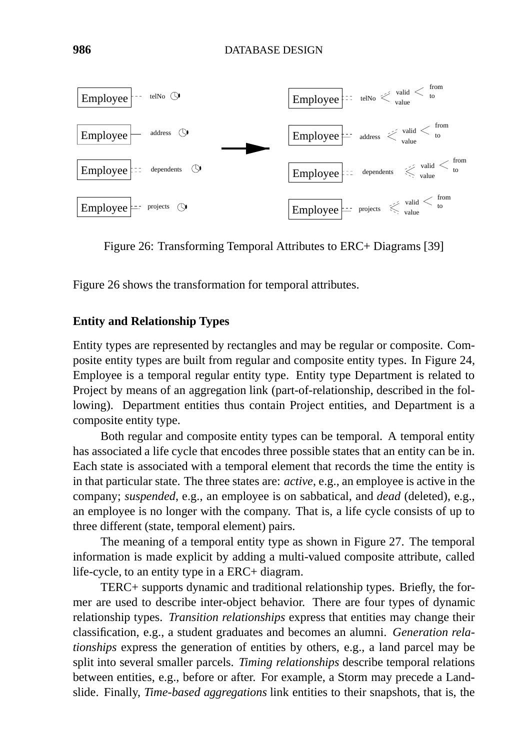

Figure 26: Transforming Temporal Attributes to ERC+ Diagrams [39]

Figure 26 shows the transformation for temporal attributes.

#### **Entity and Relationship Types**

Entity types are represented by rectangles and may be regular or composite. Composite entity types are built from regular and composite entity types. In Figure 24, Employee is a temporal regular entity type. Entity type Department is related to Project by means of an aggregation link (part-of-relationship, described in the following). Department entities thus contain Project entities, and Department is a composite entity type.

Both regular and composite entity types can be temporal. A temporal entity has associated a life cycle that encodes three possible states that an entity can be in. Each state is associated with a temporal element that records the time the entity is in that particular state. The three states are: *active*, e.g., an employee is active in the company; *suspended*, e.g., an employee is on sabbatical, and *dead* (deleted), e.g., an employee is no longer with the company. That is, a life cycle consists of up to three different (state, temporal element) pairs.

The meaning of a temporal entity type as shown in Figure 27. The temporal information is made explicit by adding a multi-valued composite attribute, called life-cycle, to an entity type in a ERC+ diagram.

TERC+ supports dynamic and traditional relationship types. Briefly, the former are used to describe inter-object behavior. There are four types of dynamic relationship types. *Transition relationships* express that entities may change their classification, e.g., a student graduates and becomes an alumni. *Generation relationships* express the generation of entities by others, e.g., a land parcel may be split into several smaller parcels. *Timing relationships* describe temporal relations between entities, e.g., before or after. For example, a Storm may precede a Landslide. Finally, *Time-based aggregations* link entities to their snapshots, that is, the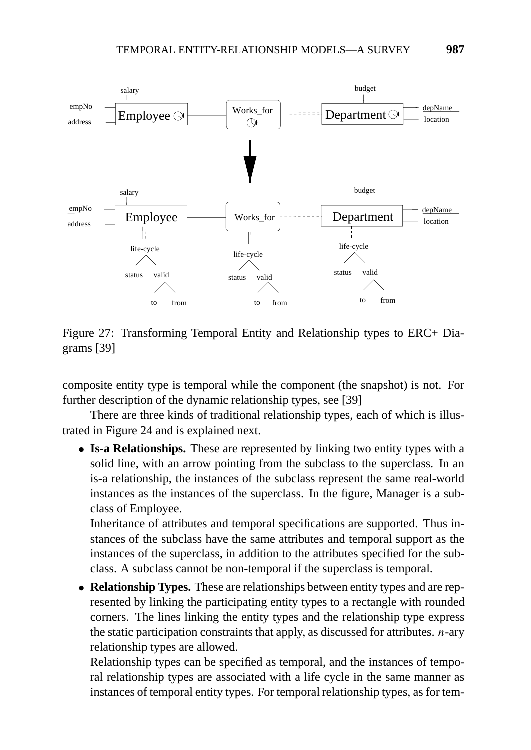

Figure 27: Transforming Temporal Entity and Relationship types to ERC+ Diagrams [39]

composite entity type is temporal while the component (the snapshot) is not. For further description of the dynamic relationship types, see [39]

There are three kinds of traditional relationship types, each of which is illustrated in Figure 24 and is explained next.

• **Is-a Relationships.** These are represented by linking two entity types with a solid line, with an arrow pointing from the subclass to the superclass. In an is-a relationship, the instances of the subclass represent the same real-world instances as the instances of the superclass. In the figure, Manager is a subclass of Employee.

Inheritance of attributes and temporal specifications are supported. Thus instances of the subclass have the same attributes and temporal support as the instances of the superclass, in addition to the attributes specified for the subclass. A subclass cannot be non-temporal if the superclass is temporal.

• **Relationship Types.** These are relationships between entity types and are represented by linking the participating entity types to a rectangle with rounded corners. The lines linking the entity types and the relationship type express the static participation constraints that apply, as discussed for attributes. *n*-ary relationship types are allowed.

Relationship types can be specified as temporal, and the instances of temporal relationship types are associated with a life cycle in the same manner as instances of temporal entity types. For temporal relationship types, as for tem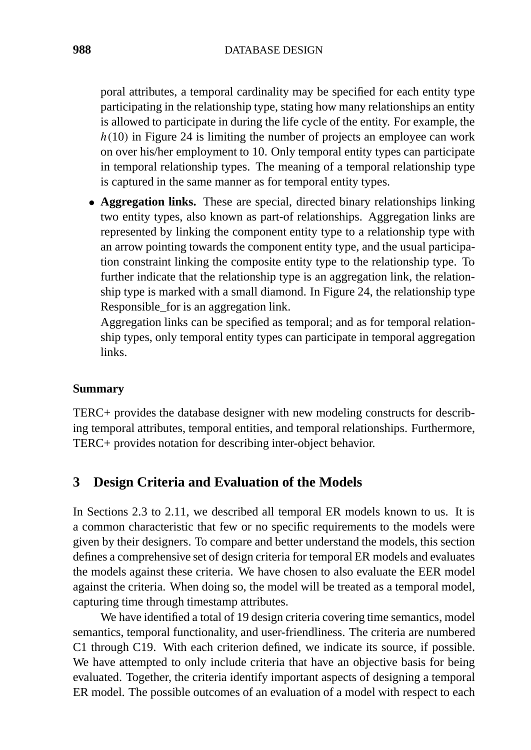poral attributes, a temporal cardinality may be specified for each entity type participating in the relationship type, stating how many relationships an entity is allowed to participate in during the life cycle of the entity. For example, the *h(*10*)* in Figure 24 is limiting the number of projects an employee can work on over his/her employment to 10. Only temporal entity types can participate in temporal relationship types. The meaning of a temporal relationship type is captured in the same manner as for temporal entity types.

• **Aggregation links.** These are special, directed binary relationships linking two entity types, also known as part-of relationships. Aggregation links are represented by linking the component entity type to a relationship type with an arrow pointing towards the component entity type, and the usual participation constraint linking the composite entity type to the relationship type. To further indicate that the relationship type is an aggregation link, the relationship type is marked with a small diamond. In Figure 24, the relationship type Responsible\_for is an aggregation link.

Aggregation links can be specified as temporal; and as for temporal relationship types, only temporal entity types can participate in temporal aggregation links.

#### **Summary**

TERC+ provides the database designer with new modeling constructs for describing temporal attributes, temporal entities, and temporal relationships. Furthermore, TERC+ provides notation for describing inter-object behavior.

# **3 Design Criteria and Evaluation of the Models**

In Sections 2.3 to 2.11, we described all temporal ER models known to us. It is a common characteristic that few or no specific requirements to the models were given by their designers. To compare and better understand the models, this section defines a comprehensive set of design criteria for temporal ER models and evaluates the models against these criteria. We have chosen to also evaluate the EER model against the criteria. When doing so, the model will be treated as a temporal model, capturing time through timestamp attributes.

We have identified a total of 19 design criteria covering time semantics, model semantics, temporal functionality, and user-friendliness. The criteria are numbered C1 through C19. With each criterion defined, we indicate its source, if possible. We have attempted to only include criteria that have an objective basis for being evaluated. Together, the criteria identify important aspects of designing a temporal ER model. The possible outcomes of an evaluation of a model with respect to each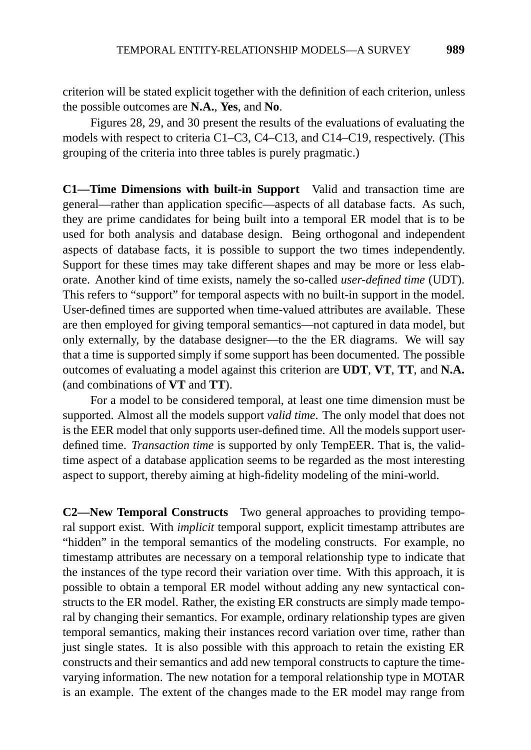criterion will be stated explicit together with the definition of each criterion, unless the possible outcomes are **N.A.**, **Yes**, and **No**.

Figures 28, 29, and 30 present the results of the evaluations of evaluating the models with respect to criteria C1–C3, C4–C13, and C14–C19, respectively. (This grouping of the criteria into three tables is purely pragmatic.)

**C1—Time Dimensions with built-in Support** Valid and transaction time are general—rather than application specific—aspects of all database facts. As such, they are prime candidates for being built into a temporal ER model that is to be used for both analysis and database design. Being orthogonal and independent aspects of database facts, it is possible to support the two times independently. Support for these times may take different shapes and may be more or less elaborate. Another kind of time exists, namely the so-called *user-defined time* (UDT). This refers to "support" for temporal aspects with no built-in support in the model. User-defined times are supported when time-valued attributes are available. These are then employed for giving temporal semantics—not captured in data model, but only externally, by the database designer—to the the ER diagrams. We will say that a time is supported simply if some support has been documented. The possible outcomes of evaluating a model against this criterion are **UDT**, **VT**, **TT**, and **N.A.** (and combinations of **VT** and **TT**).

For a model to be considered temporal, at least one time dimension must be supported. Almost all the models support *valid time*. The only model that does not is the EER model that only supports user-defined time. All the models support userdefined time. *Transaction time* is supported by only TempEER. That is, the validtime aspect of a database application seems to be regarded as the most interesting aspect to support, thereby aiming at high-fidelity modeling of the mini-world.

**C2—New Temporal Constructs** Two general approaches to providing temporal support exist. With *implicit* temporal support, explicit timestamp attributes are "hidden" in the temporal semantics of the modeling constructs. For example, no timestamp attributes are necessary on a temporal relationship type to indicate that the instances of the type record their variation over time. With this approach, it is possible to obtain a temporal ER model without adding any new syntactical constructs to the ER model. Rather, the existing ER constructs are simply made temporal by changing their semantics. For example, ordinary relationship types are given temporal semantics, making their instances record variation over time, rather than just single states. It is also possible with this approach to retain the existing ER constructs and their semantics and add new temporal constructs to capture the timevarying information. The new notation for a temporal relationship type in MOTAR is an example. The extent of the changes made to the ER model may range from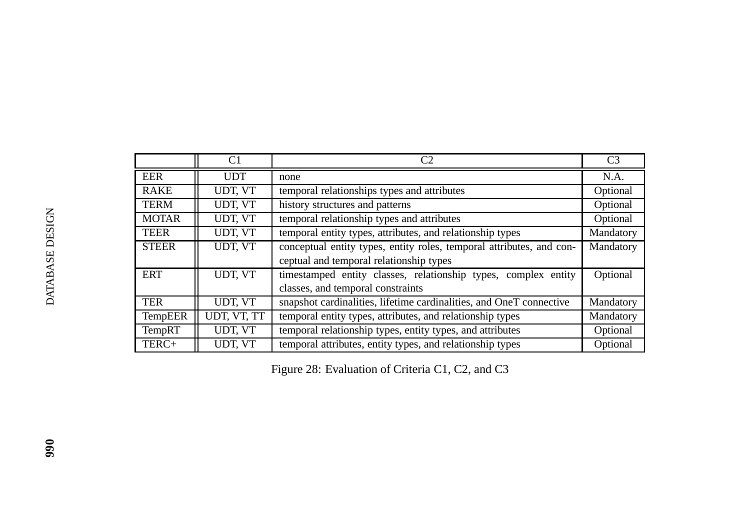|                | C1          | C2                                                                   | C <sub>3</sub> |
|----------------|-------------|----------------------------------------------------------------------|----------------|
| <b>EER</b>     | <b>UDT</b>  | none                                                                 | N.A.           |
| <b>RAKE</b>    | UDT, VT     | temporal relationships types and attributes                          | Optional       |
| <b>TERM</b>    | UDT, VT     | history structures and patterns                                      | Optional       |
| <b>MOTAR</b>   | UDT, VT     | temporal relationship types and attributes                           | Optional       |
| <b>TEER</b>    | UDT, VT     | temporal entity types, attributes, and relationship types            | Mandatory      |
| <b>STEER</b>   | UDT, VT     | conceptual entity types, entity roles, temporal attributes, and con- | Mandatory      |
|                |             | ceptual and temporal relationship types                              |                |
| <b>ERT</b>     | UDT, VT     | timestamped entity classes, relationship types, complex entity       | Optional       |
|                |             | classes, and temporal constraints                                    |                |
| <b>TER</b>     | UDT, VT     | snapshot cardinalities, lifetime cardinalities, and OneT connective  | Mandatory      |
| <b>TempEER</b> | UDT, VT, TT | temporal entity types, attributes, and relationship types            | Mandatory      |
| <b>TempRT</b>  | UDT, VT     | temporal relationship types, entity types, and attributes            | Optional       |
| TERC+          | UDT, VT     | temporal attributes, entity types, and relationship types            | Optional       |

Figure 28: Evaluation of Criteria C1, C2, and C3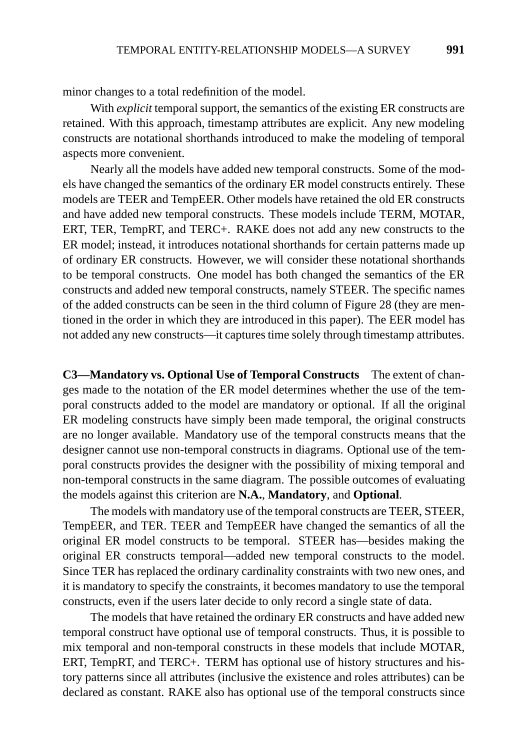minor changes to a total redefinition of the model.

With *explicit* temporal support, the semantics of the existing ER constructs are retained. With this approach, timestamp attributes are explicit. Any new modeling constructs are notational shorthands introduced to make the modeling of temporal aspects more convenient.

Nearly all the models have added new temporal constructs. Some of the models have changed the semantics of the ordinary ER model constructs entirely. These models are TEER and TempEER. Other models have retained the old ER constructs and have added new temporal constructs. These models include TERM, MOTAR, ERT, TER, TempRT, and TERC+. RAKE does not add any new constructs to the ER model; instead, it introduces notational shorthands for certain patterns made up of ordinary ER constructs. However, we will consider these notational shorthands to be temporal constructs. One model has both changed the semantics of the ER constructs and added new temporal constructs, namely STEER. The specific names of the added constructs can be seen in the third column of Figure 28 (they are mentioned in the order in which they are introduced in this paper). The EER model has not added any new constructs—it captures time solely through timestamp attributes.

**C3—Mandatory vs. Optional Use of Temporal Constructs** The extent of changes made to the notation of the ER model determines whether the use of the temporal constructs added to the model are mandatory or optional. If all the original ER modeling constructs have simply been made temporal, the original constructs are no longer available. Mandatory use of the temporal constructs means that the designer cannot use non-temporal constructs in diagrams. Optional use of the temporal constructs provides the designer with the possibility of mixing temporal and non-temporal constructs in the same diagram. The possible outcomes of evaluating the models against this criterion are **N.A.**, **Mandatory**, and **Optional**.

The models with mandatory use of the temporal constructs are TEER, STEER, TempEER, and TER. TEER and TempEER have changed the semantics of all the original ER model constructs to be temporal. STEER has—besides making the original ER constructs temporal—added new temporal constructs to the model. Since TER has replaced the ordinary cardinality constraints with two new ones, and it is mandatory to specify the constraints, it becomes mandatory to use the temporal constructs, even if the users later decide to only record a single state of data.

The models that have retained the ordinary ER constructs and have added new temporal construct have optional use of temporal constructs. Thus, it is possible to mix temporal and non-temporal constructs in these models that include MOTAR, ERT, TempRT, and TERC+. TERM has optional use of history structures and history patterns since all attributes (inclusive the existence and roles attributes) can be declared as constant. RAKE also has optional use of the temporal constructs since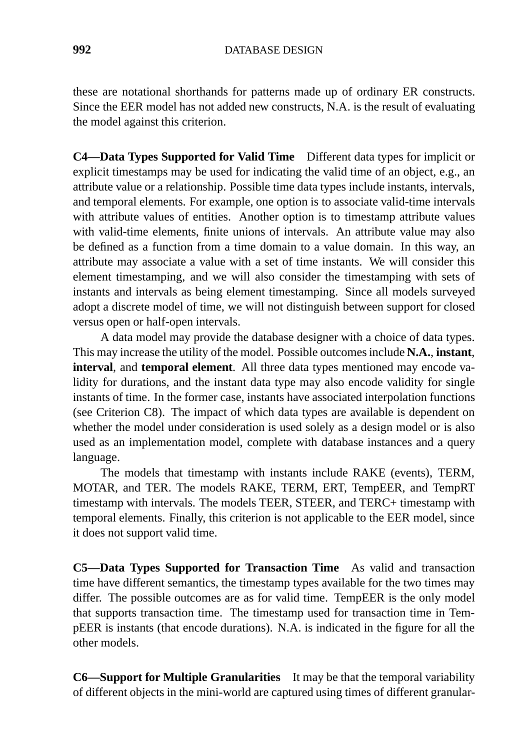these are notational shorthands for patterns made up of ordinary ER constructs. Since the EER model has not added new constructs, N.A. is the result of evaluating the model against this criterion.

**C4—Data Types Supported for Valid Time** Different data types for implicit or explicit timestamps may be used for indicating the valid time of an object, e.g., an attribute value or a relationship. Possible time data types include instants, intervals, and temporal elements. For example, one option is to associate valid-time intervals with attribute values of entities. Another option is to timestamp attribute values with valid-time elements, finite unions of intervals. An attribute value may also be defined as a function from a time domain to a value domain. In this way, an attribute may associate a value with a set of time instants. We will consider this element timestamping, and we will also consider the timestamping with sets of instants and intervals as being element timestamping. Since all models surveyed adopt a discrete model of time, we will not distinguish between support for closed versus open or half-open intervals.

A data model may provide the database designer with a choice of data types. This may increase the utility of the model. Possible outcomes include **N.A.**, **instant**, **interval**, and **temporal element**. All three data types mentioned may encode validity for durations, and the instant data type may also encode validity for single instants of time. In the former case, instants have associated interpolation functions (see Criterion C8). The impact of which data types are available is dependent on whether the model under consideration is used solely as a design model or is also used as an implementation model, complete with database instances and a query language.

The models that timestamp with instants include RAKE (events), TERM, MOTAR, and TER. The models RAKE, TERM, ERT, TempEER, and TempRT timestamp with intervals. The models TEER, STEER, and TERC+ timestamp with temporal elements. Finally, this criterion is not applicable to the EER model, since it does not support valid time.

**C5—Data Types Supported for Transaction Time** As valid and transaction time have different semantics, the timestamp types available for the two times may differ. The possible outcomes are as for valid time. TempEER is the only model that supports transaction time. The timestamp used for transaction time in TempEER is instants (that encode durations). N.A. is indicated in the figure for all the other models.

**C6—Support for Multiple Granularities** It may be that the temporal variability of different objects in the mini-world are captured using times of different granular-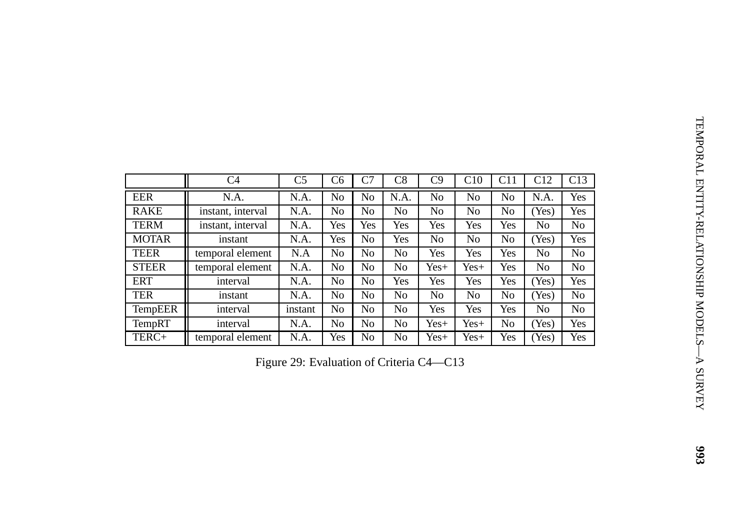|              | C <sub>4</sub>    | C <sub>5</sub>                           | C6             | C7             | C8             | C9             | C10            | C11            | C12            | C13            |
|--------------|-------------------|------------------------------------------|----------------|----------------|----------------|----------------|----------------|----------------|----------------|----------------|
| EER          | N.A.              | N.A.                                     | No             | N <sub>o</sub> | N.A.           | No             | No             | N <sub>o</sub> | N.A.           | Yes            |
|              |                   |                                          |                |                |                |                |                |                |                |                |
| <b>RAKE</b>  | instant, interval | N.A.                                     | N <sub>o</sub> | N <sub>o</sub> | No             | No             | N <sub>o</sub> | N <sub>o</sub> | (Yes)          | Yes            |
| <b>TERM</b>  | instant, interval | N.A.                                     | Yes            | Yes            | Yes            | Yes            | Yes            | Yes            | N <sub>o</sub> | N <sub>o</sub> |
| <b>MOTAR</b> | instant           | N.A.                                     | Yes            | N <sub>o</sub> | Yes            | No             | N <sub>o</sub> | N <sub>o</sub> | (Yes)          | Yes            |
| <b>TEER</b>  | temporal element  | N.A                                      | N <sub>0</sub> | N <sub>o</sub> | N <sub>o</sub> | Yes            | Yes            | Yes            | No             | N <sub>o</sub> |
| <b>STEER</b> | temporal element  | N.A.                                     | No             | N <sub>o</sub> | No             | $Yes+$         | Yes+           | Yes            | N <sub>o</sub> | No             |
| <b>ERT</b>   | interval          | N.A.                                     | No             | N <sub>o</sub> | Yes            | Yes            | Yes            | Yes            | (Yes)          | Yes            |
| <b>TER</b>   | instant           | N.A.                                     | No             | <b>No</b>      | No             | N <sub>o</sub> | No             | N <sub>o</sub> | (Yes)          | No             |
| TempEER      | interval          | instant                                  | N <sub>o</sub> | N <sub>o</sub> | N <sub>o</sub> | Yes            | Yes            | Yes            | N <sub>o</sub> | No             |
| TempRT       | interval          | N.A.                                     | N <sub>o</sub> | N <sub>o</sub> | N <sub>o</sub> | Yes+           | $Yes+$         | N <sub>o</sub> | (Yes)          | Yes            |
| TERC+        | temporal element  | N.A.                                     | Yes            | N <sub>o</sub> | N <sub>o</sub> | Yes+           | $Yes+$         | Yes            | (Yes)          | Yes            |
|              |                   | Figure 29: Evaluation of Criteria C4—C13 |                |                |                |                |                |                |                |                |
|              |                   |                                          |                |                |                |                |                |                |                |                |
|              |                   |                                          |                |                |                |                |                |                |                |                |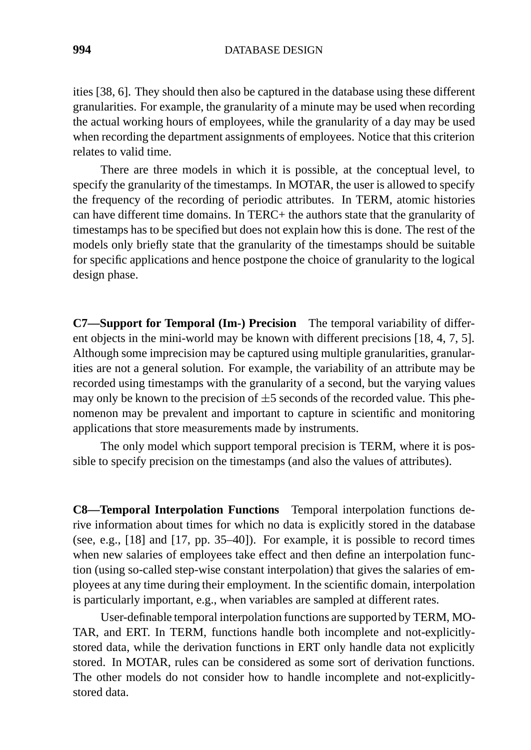ities [38, 6]. They should then also be captured in the database using these different granularities. For example, the granularity of a minute may be used when recording the actual working hours of employees, while the granularity of a day may be used when recording the department assignments of employees. Notice that this criterion relates to valid time.

There are three models in which it is possible, at the conceptual level, to specify the granularity of the timestamps. In MOTAR, the user is allowed to specify the frequency of the recording of periodic attributes. In TERM, atomic histories can have different time domains. In TERC+ the authors state that the granularity of timestamps has to be specified but does not explain how this is done. The rest of the models only briefly state that the granularity of the timestamps should be suitable for specific applications and hence postpone the choice of granularity to the logical design phase.

**C7—Support for Temporal (Im-) Precision** The temporal variability of different objects in the mini-world may be known with different precisions [18, 4, 7, 5]. Although some imprecision may be captured using multiple granularities, granularities are not a general solution. For example, the variability of an attribute may be recorded using timestamps with the granularity of a second, but the varying values may only be known to the precision of  $\pm 5$  seconds of the recorded value. This phenomenon may be prevalent and important to capture in scientific and monitoring applications that store measurements made by instruments.

The only model which support temporal precision is TERM, where it is possible to specify precision on the timestamps (and also the values of attributes).

**C8—Temporal Interpolation Functions** Temporal interpolation functions derive information about times for which no data is explicitly stored in the database (see, e.g., [18] and [17, pp. 35–40]). For example, it is possible to record times when new salaries of employees take effect and then define an interpolation function (using so-called step-wise constant interpolation) that gives the salaries of employees at any time during their employment. In the scientific domain, interpolation is particularly important, e.g., when variables are sampled at different rates.

User-definable temporal interpolation functions are supported by TERM, MO-TAR, and ERT. In TERM, functions handle both incomplete and not-explicitlystored data, while the derivation functions in ERT only handle data not explicitly stored. In MOTAR, rules can be considered as some sort of derivation functions. The other models do not consider how to handle incomplete and not-explicitlystored data.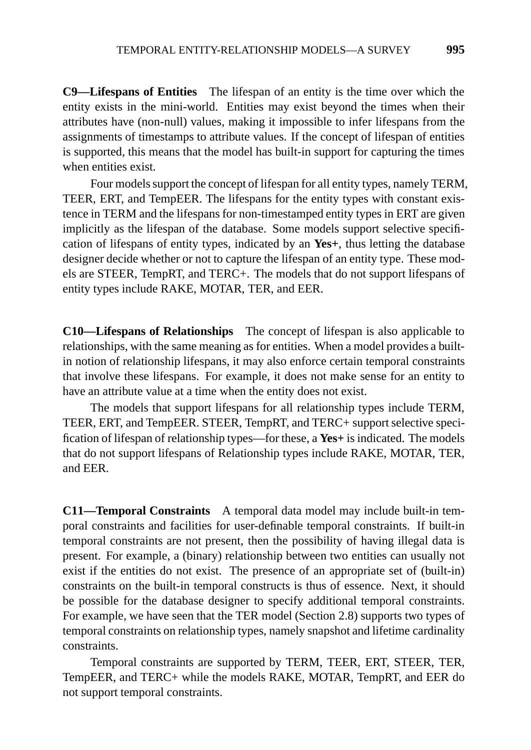**C9—Lifespans of Entities** The lifespan of an entity is the time over which the entity exists in the mini-world. Entities may exist beyond the times when their attributes have (non-null) values, making it impossible to infer lifespans from the assignments of timestamps to attribute values. If the concept of lifespan of entities is supported, this means that the model has built-in support for capturing the times when entities exist.

Four models support the concept of lifespan for all entity types, namely TERM, TEER, ERT, and TempEER. The lifespans for the entity types with constant existence in TERM and the lifespans for non-timestamped entity types in ERT are given implicitly as the lifespan of the database. Some models support selective specification of lifespans of entity types, indicated by an **Yes+**, thus letting the database designer decide whether or not to capture the lifespan of an entity type. These models are STEER, TempRT, and TERC+. The models that do not support lifespans of entity types include RAKE, MOTAR, TER, and EER.

**C10—Lifespans of Relationships** The concept of lifespan is also applicable to relationships, with the same meaning as for entities. When a model provides a builtin notion of relationship lifespans, it may also enforce certain temporal constraints that involve these lifespans. For example, it does not make sense for an entity to have an attribute value at a time when the entity does not exist.

The models that support lifespans for all relationship types include TERM, TEER, ERT, and TempEER. STEER, TempRT, and TERC+ support selective specification of lifespan of relationship types—for these, a **Yes+** is indicated. The models that do not support lifespans of Relationship types include RAKE, MOTAR, TER, and EER.

**C11—Temporal Constraints** A temporal data model may include built-in temporal constraints and facilities for user-definable temporal constraints. If built-in temporal constraints are not present, then the possibility of having illegal data is present. For example, a (binary) relationship between two entities can usually not exist if the entities do not exist. The presence of an appropriate set of (built-in) constraints on the built-in temporal constructs is thus of essence. Next, it should be possible for the database designer to specify additional temporal constraints. For example, we have seen that the TER model (Section 2.8) supports two types of temporal constraints on relationship types, namely snapshot and lifetime cardinality constraints.

Temporal constraints are supported by TERM, TEER, ERT, STEER, TER, TempEER, and TERC+ while the models RAKE, MOTAR, TempRT, and EER do not support temporal constraints.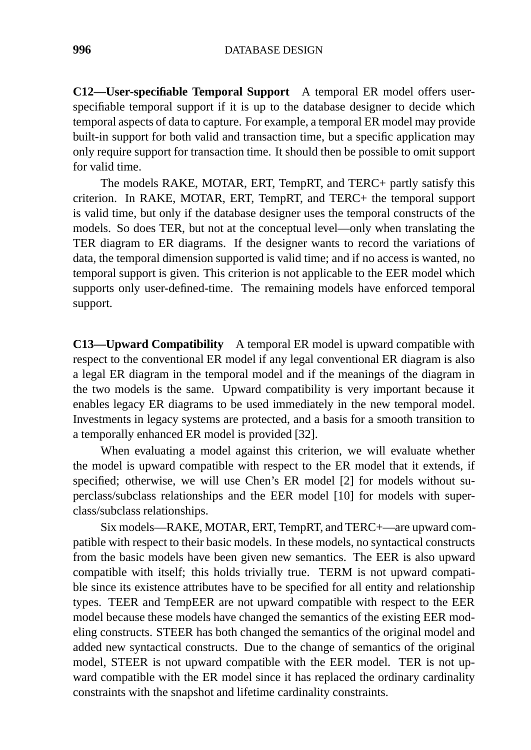**C12—User-specifiable Temporal Support** A temporal ER model offers userspecifiable temporal support if it is up to the database designer to decide which temporal aspects of data to capture. For example, a temporal ER model may provide built-in support for both valid and transaction time, but a specific application may only require support for transaction time. It should then be possible to omit support for valid time.

The models RAKE, MOTAR, ERT, TempRT, and TERC+ partly satisfy this criterion. In RAKE, MOTAR, ERT, TempRT, and TERC+ the temporal support is valid time, but only if the database designer uses the temporal constructs of the models. So does TER, but not at the conceptual level—only when translating the TER diagram to ER diagrams. If the designer wants to record the variations of data, the temporal dimension supported is valid time; and if no access is wanted, no temporal support is given. This criterion is not applicable to the EER model which supports only user-defined-time. The remaining models have enforced temporal support.

**C13—Upward Compatibility** A temporal ER model is upward compatible with respect to the conventional ER model if any legal conventional ER diagram is also a legal ER diagram in the temporal model and if the meanings of the diagram in the two models is the same. Upward compatibility is very important because it enables legacy ER diagrams to be used immediately in the new temporal model. Investments in legacy systems are protected, and a basis for a smooth transition to a temporally enhanced ER model is provided [32].

When evaluating a model against this criterion, we will evaluate whether the model is upward compatible with respect to the ER model that it extends, if specified; otherwise, we will use Chen's ER model [2] for models without superclass/subclass relationships and the EER model [10] for models with superclass/subclass relationships.

Six models—RAKE, MOTAR, ERT, TempRT, and TERC+—are upward compatible with respect to their basic models. In these models, no syntactical constructs from the basic models have been given new semantics. The EER is also upward compatible with itself; this holds trivially true. TERM is not upward compatible since its existence attributes have to be specified for all entity and relationship types. TEER and TempEER are not upward compatible with respect to the EER model because these models have changed the semantics of the existing EER modeling constructs. STEER has both changed the semantics of the original model and added new syntactical constructs. Due to the change of semantics of the original model, STEER is not upward compatible with the EER model. TER is not upward compatible with the ER model since it has replaced the ordinary cardinality constraints with the snapshot and lifetime cardinality constraints.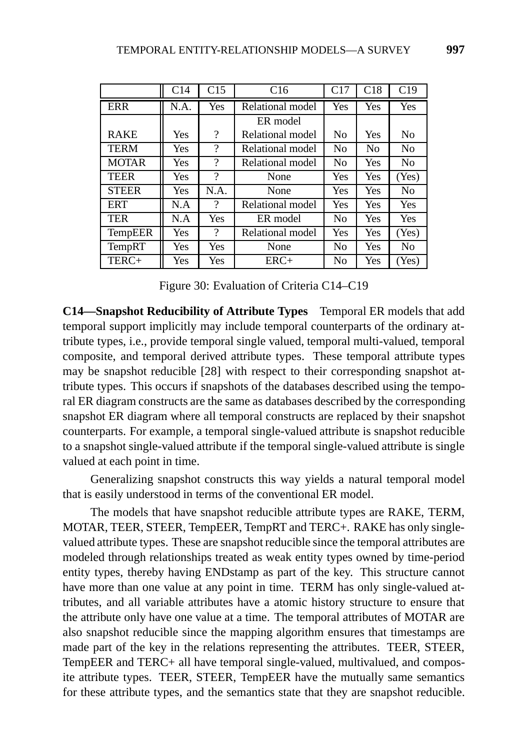|                | C14  | C15                      | C16              | C17            | C18            | C19            |
|----------------|------|--------------------------|------------------|----------------|----------------|----------------|
| <b>ERR</b>     | N.A. | Yes                      | Relational model | Yes            | Yes            | Yes            |
|                |      |                          | ER model         |                |                |                |
| <b>RAKE</b>    | Yes  | $\overline{\cdot}$       | Relational model | N <sub>0</sub> | Yes            | N <sub>0</sub> |
| <b>TERM</b>    | Yes  | $\overline{\cdot}$       | Relational model | No             | N <sub>0</sub> | N <sub>0</sub> |
| <b>MOTAR</b>   | Yes  | $\overline{\mathcal{L}}$ | Relational model | N <sub>o</sub> | Yes            | N <sub>o</sub> |
| <b>TEER</b>    | Yes  | $\overline{\mathcal{L}}$ | None             | Yes            | Yes            | (Yes)          |
| <b>STEER</b>   | Yes  | N.A.                     | None             | Yes            | Yes            | N <sub>0</sub> |
| <b>ERT</b>     | N.A  | $\gamma$                 | Relational model | Yes            | Yes            | Yes            |
| <b>TER</b>     | N.A  | Yes                      | ER model         | N <sub>o</sub> | Yes            | Yes            |
| <b>TempEER</b> | Yes  | $\overline{\mathcal{L}}$ | Relational model | Yes            | Yes            | (Yes)          |
| <b>TempRT</b>  | Yes  | Yes                      | None             | N <sub>o</sub> | Yes            | N <sub>o</sub> |
| TERC+          | Yes  | Yes                      | $ERC+$           | N <sub>0</sub> | Yes            | (Yes)          |

Figure 30: Evaluation of Criteria C14–C19

**C14—Snapshot Reducibility of Attribute Types** Temporal ER models that add temporal support implicitly may include temporal counterparts of the ordinary attribute types, i.e., provide temporal single valued, temporal multi-valued, temporal composite, and temporal derived attribute types. These temporal attribute types may be snapshot reducible [28] with respect to their corresponding snapshot attribute types. This occurs if snapshots of the databases described using the temporal ER diagram constructs are the same as databases described by the corresponding snapshot ER diagram where all temporal constructs are replaced by their snapshot counterparts. For example, a temporal single-valued attribute is snapshot reducible to a snapshot single-valued attribute if the temporal single-valued attribute is single valued at each point in time.

Generalizing snapshot constructs this way yields a natural temporal model that is easily understood in terms of the conventional ER model.

The models that have snapshot reducible attribute types are RAKE, TERM, MOTAR, TEER, STEER, TempEER, TempRT and TERC+. RAKE has only singlevalued attribute types. These are snapshot reducible since the temporal attributes are modeled through relationships treated as weak entity types owned by time-period entity types, thereby having ENDstamp as part of the key. This structure cannot have more than one value at any point in time. TERM has only single-valued attributes, and all variable attributes have a atomic history structure to ensure that the attribute only have one value at a time. The temporal attributes of MOTAR are also snapshot reducible since the mapping algorithm ensures that timestamps are made part of the key in the relations representing the attributes. TEER, STEER, TempEER and TERC+ all have temporal single-valued, multivalued, and composite attribute types. TEER, STEER, TempEER have the mutually same semantics for these attribute types, and the semantics state that they are snapshot reducible.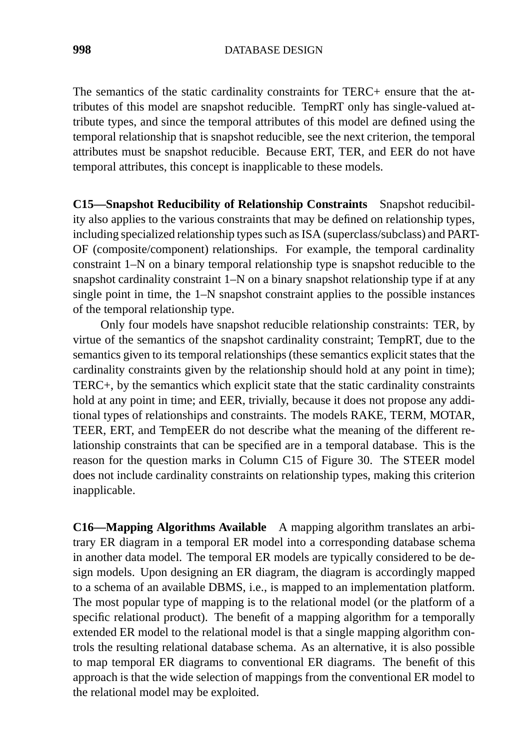The semantics of the static cardinality constraints for TERC+ ensure that the attributes of this model are snapshot reducible. TempRT only has single-valued attribute types, and since the temporal attributes of this model are defined using the temporal relationship that is snapshot reducible, see the next criterion, the temporal attributes must be snapshot reducible. Because ERT, TER, and EER do not have temporal attributes, this concept is inapplicable to these models.

**C15—Snapshot Reducibility of Relationship Constraints** Snapshot reducibility also applies to the various constraints that may be defined on relationship types, including specialized relationship types such as ISA (superclass/subclass) and PART-OF (composite/component) relationships. For example, the temporal cardinality constraint 1–N on a binary temporal relationship type is snapshot reducible to the snapshot cardinality constraint 1–N on a binary snapshot relationship type if at any single point in time, the 1–N snapshot constraint applies to the possible instances of the temporal relationship type.

Only four models have snapshot reducible relationship constraints: TER, by virtue of the semantics of the snapshot cardinality constraint; TempRT, due to the semantics given to its temporal relationships (these semantics explicit states that the cardinality constraints given by the relationship should hold at any point in time); TERC+, by the semantics which explicit state that the static cardinality constraints hold at any point in time; and EER, trivially, because it does not propose any additional types of relationships and constraints. The models RAKE, TERM, MOTAR, TEER, ERT, and TempEER do not describe what the meaning of the different relationship constraints that can be specified are in a temporal database. This is the reason for the question marks in Column C15 of Figure 30. The STEER model does not include cardinality constraints on relationship types, making this criterion inapplicable.

**C16—Mapping Algorithms Available** A mapping algorithm translates an arbitrary ER diagram in a temporal ER model into a corresponding database schema in another data model. The temporal ER models are typically considered to be design models. Upon designing an ER diagram, the diagram is accordingly mapped to a schema of an available DBMS, i.e., is mapped to an implementation platform. The most popular type of mapping is to the relational model (or the platform of a specific relational product). The benefit of a mapping algorithm for a temporally extended ER model to the relational model is that a single mapping algorithm controls the resulting relational database schema. As an alternative, it is also possible to map temporal ER diagrams to conventional ER diagrams. The benefit of this approach is that the wide selection of mappings from the conventional ER model to the relational model may be exploited.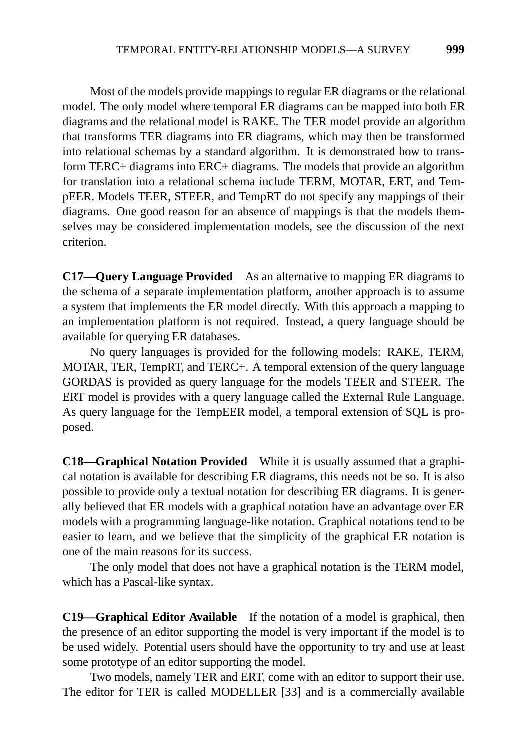Most of the models provide mappings to regular ER diagrams or the relational model. The only model where temporal ER diagrams can be mapped into both ER diagrams and the relational model is RAKE. The TER model provide an algorithm that transforms TER diagrams into ER diagrams, which may then be transformed into relational schemas by a standard algorithm. It is demonstrated how to transform TERC+ diagrams into ERC+ diagrams. The models that provide an algorithm for translation into a relational schema include TERM, MOTAR, ERT, and TempEER. Models TEER, STEER, and TempRT do not specify any mappings of their diagrams. One good reason for an absence of mappings is that the models themselves may be considered implementation models, see the discussion of the next criterion.

**C17—Query Language Provided** As an alternative to mapping ER diagrams to the schema of a separate implementation platform, another approach is to assume a system that implements the ER model directly. With this approach a mapping to an implementation platform is not required. Instead, a query language should be available for querying ER databases.

No query languages is provided for the following models: RAKE, TERM, MOTAR, TER, TempRT, and TERC+. A temporal extension of the query language GORDAS is provided as query language for the models TEER and STEER. The ERT model is provides with a query language called the External Rule Language. As query language for the TempEER model, a temporal extension of SQL is proposed.

**C18—Graphical Notation Provided** While it is usually assumed that a graphical notation is available for describing ER diagrams, this needs not be so. It is also possible to provide only a textual notation for describing ER diagrams. It is generally believed that ER models with a graphical notation have an advantage over ER models with a programming language-like notation. Graphical notations tend to be easier to learn, and we believe that the simplicity of the graphical ER notation is one of the main reasons for its success.

The only model that does not have a graphical notation is the TERM model, which has a Pascal-like syntax.

**C19—Graphical Editor Available** If the notation of a model is graphical, then the presence of an editor supporting the model is very important if the model is to be used widely. Potential users should have the opportunity to try and use at least some prototype of an editor supporting the model.

Two models, namely TER and ERT, come with an editor to support their use. The editor for TER is called MODELLER [33] and is a commercially available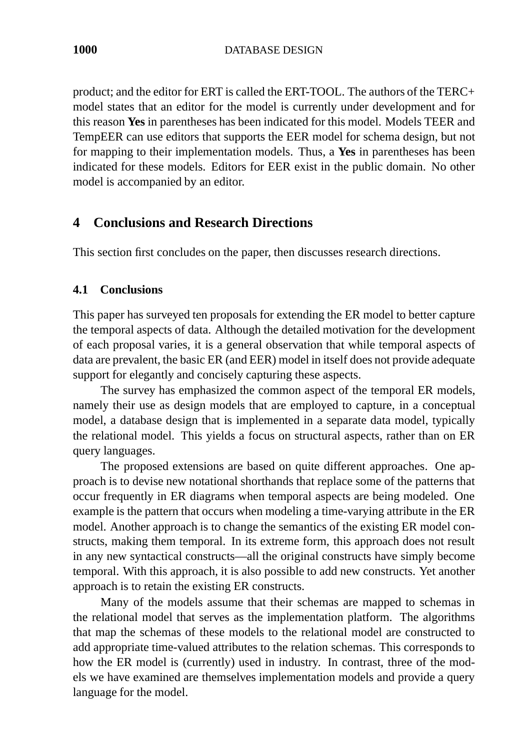**1000** DATABASE DESIGN

product; and the editor for ERT is called the ERT-TOOL. The authors of the TERC+ model states that an editor for the model is currently under development and for this reason **Yes** in parentheses has been indicated for this model. Models TEER and TempEER can use editors that supports the EER model for schema design, but not for mapping to their implementation models. Thus, a **Yes** in parentheses has been indicated for these models. Editors for EER exist in the public domain. No other model is accompanied by an editor.

# **4 Conclusions and Research Directions**

This section first concludes on the paper, then discusses research directions.

# **4.1 Conclusions**

This paper has surveyed ten proposals for extending the ER model to better capture the temporal aspects of data. Although the detailed motivation for the development of each proposal varies, it is a general observation that while temporal aspects of data are prevalent, the basic ER (and EER) model in itself does not provide adequate support for elegantly and concisely capturing these aspects.

The survey has emphasized the common aspect of the temporal ER models, namely their use as design models that are employed to capture, in a conceptual model, a database design that is implemented in a separate data model, typically the relational model. This yields a focus on structural aspects, rather than on ER query languages.

The proposed extensions are based on quite different approaches. One approach is to devise new notational shorthands that replace some of the patterns that occur frequently in ER diagrams when temporal aspects are being modeled. One example is the pattern that occurs when modeling a time-varying attribute in the ER model. Another approach is to change the semantics of the existing ER model constructs, making them temporal. In its extreme form, this approach does not result in any new syntactical constructs—all the original constructs have simply become temporal. With this approach, it is also possible to add new constructs. Yet another approach is to retain the existing ER constructs.

Many of the models assume that their schemas are mapped to schemas in the relational model that serves as the implementation platform. The algorithms that map the schemas of these models to the relational model are constructed to add appropriate time-valued attributes to the relation schemas. This corresponds to how the ER model is (currently) used in industry. In contrast, three of the models we have examined are themselves implementation models and provide a query language for the model.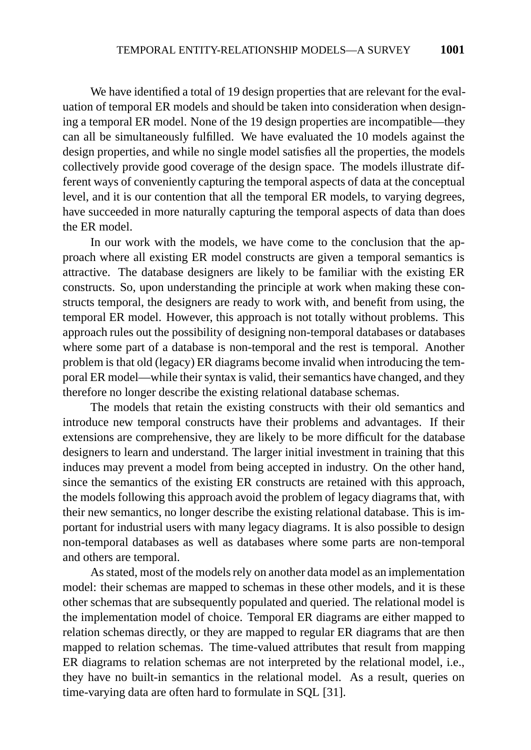We have identified a total of 19 design properties that are relevant for the evaluation of temporal ER models and should be taken into consideration when designing a temporal ER model. None of the 19 design properties are incompatible—they can all be simultaneously fulfilled. We have evaluated the 10 models against the design properties, and while no single model satisfies all the properties, the models collectively provide good coverage of the design space. The models illustrate different ways of conveniently capturing the temporal aspects of data at the conceptual level, and it is our contention that all the temporal ER models, to varying degrees, have succeeded in more naturally capturing the temporal aspects of data than does the ER model.

In our work with the models, we have come to the conclusion that the approach where all existing ER model constructs are given a temporal semantics is attractive. The database designers are likely to be familiar with the existing ER constructs. So, upon understanding the principle at work when making these constructs temporal, the designers are ready to work with, and benefit from using, the temporal ER model. However, this approach is not totally without problems. This approach rules out the possibility of designing non-temporal databases or databases where some part of a database is non-temporal and the rest is temporal. Another problem is that old (legacy) ER diagrams become invalid when introducing the temporal ER model—while their syntax is valid, their semantics have changed, and they therefore no longer describe the existing relational database schemas.

The models that retain the existing constructs with their old semantics and introduce new temporal constructs have their problems and advantages. If their extensions are comprehensive, they are likely to be more difficult for the database designers to learn and understand. The larger initial investment in training that this induces may prevent a model from being accepted in industry. On the other hand, since the semantics of the existing ER constructs are retained with this approach, the models following this approach avoid the problem of legacy diagrams that, with their new semantics, no longer describe the existing relational database. This is important for industrial users with many legacy diagrams. It is also possible to design non-temporal databases as well as databases where some parts are non-temporal and others are temporal.

As stated, most of the models rely on another data model as an implementation model: their schemas are mapped to schemas in these other models, and it is these other schemas that are subsequently populated and queried. The relational model is the implementation model of choice. Temporal ER diagrams are either mapped to relation schemas directly, or they are mapped to regular ER diagrams that are then mapped to relation schemas. The time-valued attributes that result from mapping ER diagrams to relation schemas are not interpreted by the relational model, i.e., they have no built-in semantics in the relational model. As a result, queries on time-varying data are often hard to formulate in SQL [31].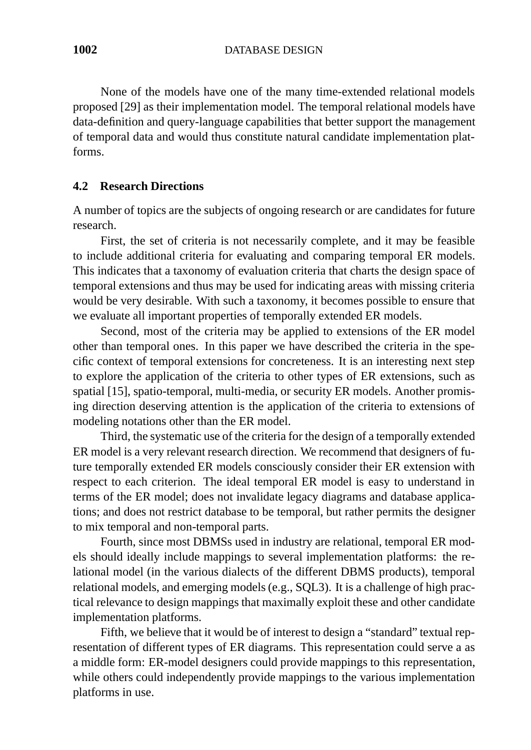None of the models have one of the many time-extended relational models proposed [29] as their implementation model. The temporal relational models have data-definition and query-language capabilities that better support the management of temporal data and would thus constitute natural candidate implementation platforms.

#### **4.2 Research Directions**

A number of topics are the subjects of ongoing research or are candidates for future research.

First, the set of criteria is not necessarily complete, and it may be feasible to include additional criteria for evaluating and comparing temporal ER models. This indicates that a taxonomy of evaluation criteria that charts the design space of temporal extensions and thus may be used for indicating areas with missing criteria would be very desirable. With such a taxonomy, it becomes possible to ensure that we evaluate all important properties of temporally extended ER models.

Second, most of the criteria may be applied to extensions of the ER model other than temporal ones. In this paper we have described the criteria in the specific context of temporal extensions for concreteness. It is an interesting next step to explore the application of the criteria to other types of ER extensions, such as spatial [15], spatio-temporal, multi-media, or security ER models. Another promising direction deserving attention is the application of the criteria to extensions of modeling notations other than the ER model.

Third, the systematic use of the criteria for the design of a temporally extended ER model is a very relevant research direction. We recommend that designers of future temporally extended ER models consciously consider their ER extension with respect to each criterion. The ideal temporal ER model is easy to understand in terms of the ER model; does not invalidate legacy diagrams and database applications; and does not restrict database to be temporal, but rather permits the designer to mix temporal and non-temporal parts.

Fourth, since most DBMSs used in industry are relational, temporal ER models should ideally include mappings to several implementation platforms: the relational model (in the various dialects of the different DBMS products), temporal relational models, and emerging models (e.g., SQL3). It is a challenge of high practical relevance to design mappings that maximally exploit these and other candidate implementation platforms.

Fifth, we believe that it would be of interest to design a "standard" textual representation of different types of ER diagrams. This representation could serve a as a middle form: ER-model designers could provide mappings to this representation, while others could independently provide mappings to the various implementation platforms in use.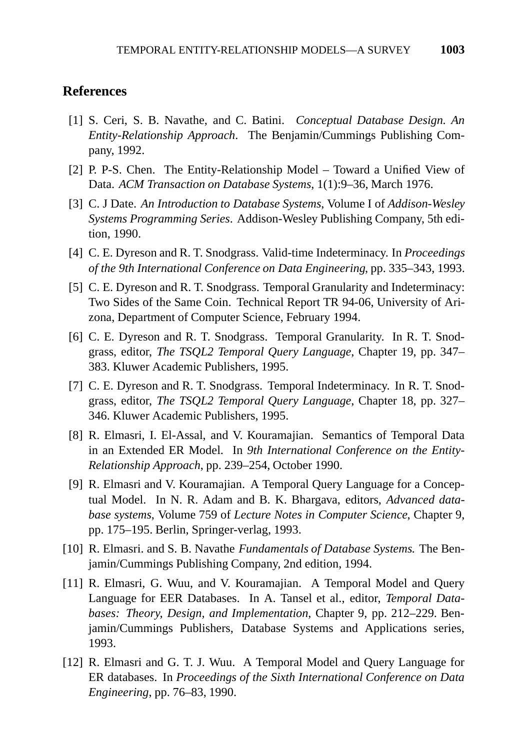#### **References**

- [1] S. Ceri, S. B. Navathe, and C. Batini. *Conceptual Database Design. An Entity-Relationship Approach*. The Benjamin/Cummings Publishing Company, 1992.
- [2] P. P-S. Chen. The Entity-Relationship Model Toward a Unified View of Data. *ACM Transaction on Database Systems*, 1(1):9–36, March 1976.
- [3] C. J Date. *An Introduction to Database Systems*, Volume I of *Addison-Wesley Systems Programming Series*. Addison-Wesley Publishing Company, 5th edition, 1990.
- [4] C. E. Dyreson and R. T. Snodgrass. Valid-time Indeterminacy. In *Proceedings of the 9th International Conference on Data Engineering*, pp. 335–343, 1993.
- [5] C. E. Dyreson and R. T. Snodgrass. Temporal Granularity and Indeterminacy: Two Sides of the Same Coin. Technical Report TR 94-06, University of Arizona, Department of Computer Science, February 1994.
- [6] C. E. Dyreson and R. T. Snodgrass. Temporal Granularity. In R. T. Snodgrass, editor, *The TSQL2 Temporal Query Language*, Chapter 19, pp. 347– 383. Kluwer Academic Publishers, 1995.
- [7] C. E. Dyreson and R. T. Snodgrass. Temporal Indeterminacy. In R. T. Snodgrass, editor, *The TSQL2 Temporal Query Language*, Chapter 18, pp. 327– 346. Kluwer Academic Publishers, 1995.
- [8] R. Elmasri, I. El-Assal, and V. Kouramajian. Semantics of Temporal Data in an Extended ER Model. In *9th International Conference on the Entity-Relationship Approach*, pp. 239–254, October 1990.
- [9] R. Elmasri and V. Kouramajian. A Temporal Query Language for a Conceptual Model. In N. R. Adam and B. K. Bhargava, editors, *Advanced database systems*, Volume 759 of *Lecture Notes in Computer Science*, Chapter 9, pp. 175–195. Berlin, Springer-verlag, 1993.
- [10] R. Elmasri. and S. B. Navathe *Fundamentals of Database Systems*. The Benjamin/Cummings Publishing Company, 2nd edition, 1994.
- [11] R. Elmasri, G. Wuu, and V. Kouramajian. A Temporal Model and Query Language for EER Databases. In A. Tansel et al., editor, *Temporal Databases: Theory, Design, and Implementation*, Chapter 9, pp. 212–229. Benjamin/Cummings Publishers, Database Systems and Applications series, 1993.
- [12] R. Elmasri and G. T. J. Wuu. A Temporal Model and Query Language for ER databases. In *Proceedings of the Sixth International Conference on Data Engineering*, pp. 76–83, 1990.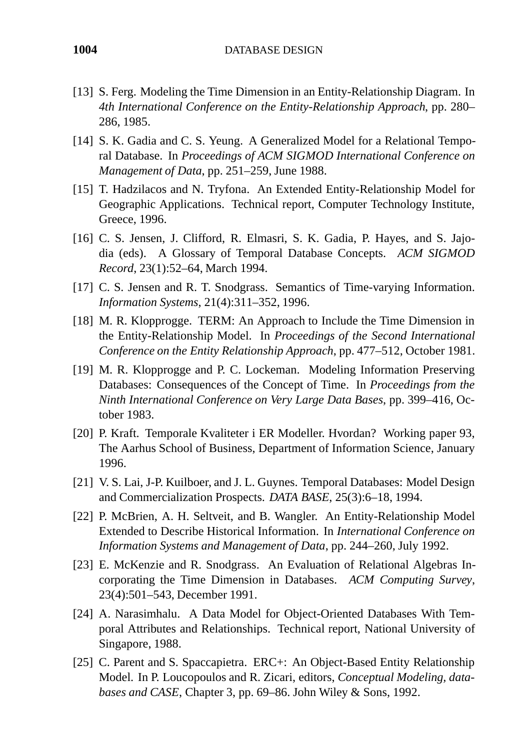- [13] S. Ferg. Modeling the Time Dimension in an Entity-Relationship Diagram. In *4th International Conference on the Entity-Relationship Approach*, pp. 280– 286, 1985.
- [14] S. K. Gadia and C. S. Yeung. A Generalized Model for a Relational Temporal Database. In *Proceedings of ACM SIGMOD International Conference on Management of Data*, pp. 251–259, June 1988.
- [15] T. Hadzilacos and N. Tryfona. An Extended Entity-Relationship Model for Geographic Applications. Technical report, Computer Technology Institute, Greece, 1996.
- [16] C. S. Jensen, J. Clifford, R. Elmasri, S. K. Gadia, P. Hayes, and S. Jajodia (eds). A Glossary of Temporal Database Concepts. *ACM SIGMOD Record*, 23(1):52–64, March 1994.
- [17] C. S. Jensen and R. T. Snodgrass. Semantics of Time-varying Information. *Information Systems*, 21(4):311–352, 1996.
- [18] M. R. Klopprogge. TERM: An Approach to Include the Time Dimension in the Entity-Relationship Model. In *Proceedings of the Second International Conference on the Entity Relationship Approach*, pp. 477–512, October 1981.
- [19] M. R. Klopprogge and P. C. Lockeman. Modeling Information Preserving Databases: Consequences of the Concept of Time. In *Proceedings from the Ninth International Conference on Very Large Data Bases*, pp. 399–416, October 1983.
- [20] P. Kraft. Temporale Kvaliteter i ER Modeller. Hvordan? Working paper 93, The Aarhus School of Business, Department of Information Science, January 1996.
- [21] V. S. Lai, J-P. Kuilboer, and J. L. Guynes. Temporal Databases: Model Design and Commercialization Prospects. *DATA BASE*, 25(3):6–18, 1994.
- [22] P. McBrien, A. H. Seltveit, and B. Wangler. An Entity-Relationship Model Extended to Describe Historical Information. In *International Conference on Information Systems and Management of Data*, pp. 244–260, July 1992.
- [23] E. McKenzie and R. Snodgrass. An Evaluation of Relational Algebras Incorporating the Time Dimension in Databases. *ACM Computing Survey*, 23(4):501–543, December 1991.
- [24] A. Narasimhalu. A Data Model for Object-Oriented Databases With Temporal Attributes and Relationships. Technical report, National University of Singapore, 1988.
- [25] C. Parent and S. Spaccapietra. ERC+: An Object-Based Entity Relationship Model. In P. Loucopoulos and R. Zicari, editors, *Conceptual Modeling, databases and CASE*, Chapter 3, pp. 69–86. John Wiley & Sons, 1992.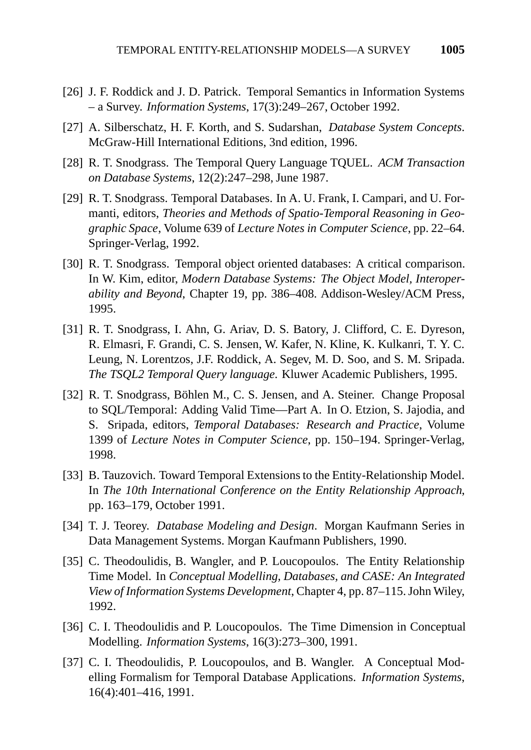- [26] J. F. Roddick and J. D. Patrick. Temporal Semantics in Information Systems – a Survey. *Information Systems*, 17(3):249–267, October 1992.
- [27] A. Silberschatz, H. F. Korth, and S. Sudarshan, *Database System Concepts*. McGraw-Hill International Editions, 3nd edition, 1996.
- [28] R. T. Snodgrass. The Temporal Query Language TQUEL. *ACM Transaction on Database Systems*, 12(2):247–298, June 1987.
- [29] R. T. Snodgrass. Temporal Databases. In A. U. Frank, I. Campari, and U. Formanti, editors, *Theories and Methods of Spatio-Temporal Reasoning in Geographic Space*, Volume 639 of *Lecture Notes in Computer Science*, pp. 22–64. Springer-Verlag, 1992.
- [30] R. T. Snodgrass. Temporal object oriented databases: A critical comparison. In W. Kim, editor, *Modern Database Systems: The Object Model, Interoperability and Beyond*, Chapter 19, pp. 386–408. Addison-Wesley/ACM Press, 1995.
- [31] R. T. Snodgrass, I. Ahn, G. Ariav, D. S. Batory, J. Clifford, C. E. Dyreson, R. Elmasri, F. Grandi, C. S. Jensen, W. Kafer, N. Kline, K. Kulkanri, T. Y. C. Leung, N. Lorentzos, J.F. Roddick, A. Segev, M. D. Soo, and S. M. Sripada. *The TSQL2 Temporal Query language*. Kluwer Academic Publishers, 1995.
- [32] R. T. Snodgrass, Böhlen M., C. S. Jensen, and A. Steiner. Change Proposal to SQL/Temporal: Adding Valid Time—Part A. In O. Etzion, S. Jajodia, and S. Sripada, editors, *Temporal Databases: Research and Practice*, Volume 1399 of *Lecture Notes in Computer Science*, pp. 150–194. Springer-Verlag, 1998.
- [33] B. Tauzovich. Toward Temporal Extensions to the Entity-Relationship Model. In *The 10th International Conference on the Entity Relationship Approach*, pp. 163–179, October 1991.
- [34] T. J. Teorey. *Database Modeling and Design*. Morgan Kaufmann Series in Data Management Systems. Morgan Kaufmann Publishers, 1990.
- [35] C. Theodoulidis, B. Wangler, and P. Loucopoulos. The Entity Relationship Time Model. In *Conceptual Modelling, Databases, and CASE: An Integrated View of Information Systems Development*, Chapter 4, pp. 87–115. John Wiley, 1992.
- [36] C. I. Theodoulidis and P. Loucopoulos. The Time Dimension in Conceptual Modelling. *Information Systems*, 16(3):273–300, 1991.
- [37] C. I. Theodoulidis, P. Loucopoulos, and B. Wangler. A Conceptual Modelling Formalism for Temporal Database Applications. *Information Systems*, 16(4):401–416, 1991.